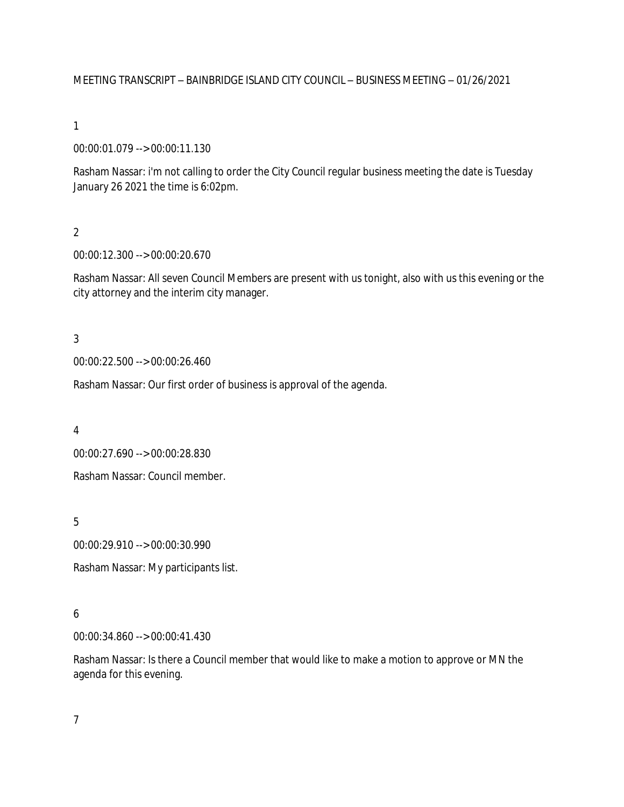MEETING TRANSCRIPT – BAINBRIDGE ISLAND CITY COUNCIL – BUSINESS MEETING – 01/26/2021

1

00:00:01.079 --> 00:00:11.130

Rasham Nassar: i'm not calling to order the City Council regular business meeting the date is Tuesday January 26 2021 the time is 6:02pm.

2

00:00:12.300 --> 00:00:20.670

Rasham Nassar: All seven Council Members are present with us tonight, also with us this evening or the city attorney and the interim city manager.

3

00:00:22.500 --> 00:00:26.460

Rasham Nassar: Our first order of business is approval of the agenda.

4

00:00:27.690 --> 00:00:28.830

Rasham Nassar: Council member.

5

00:00:29.910 --> 00:00:30.990

Rasham Nassar: My participants list.

#### 6

00:00:34.860 --> 00:00:41.430

Rasham Nassar: Is there a Council member that would like to make a motion to approve or MN the agenda for this evening.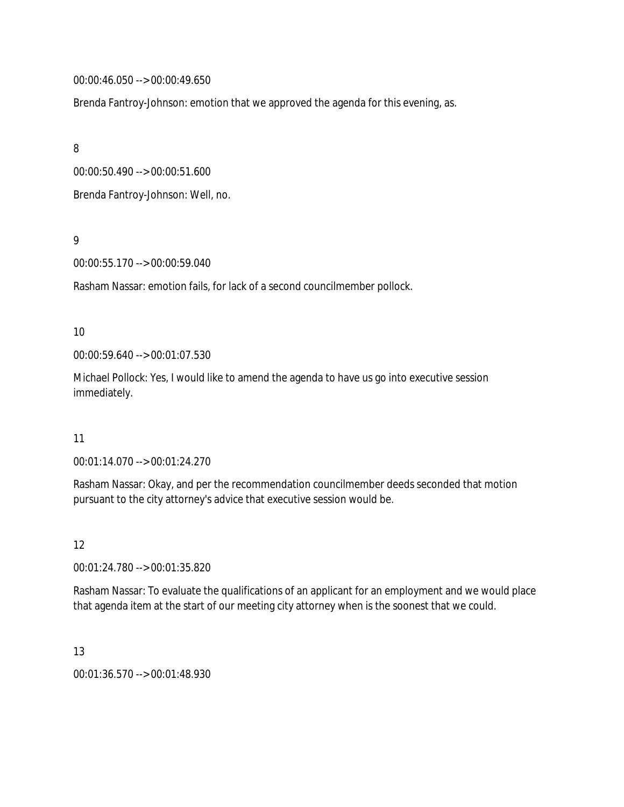00:00:46.050 --> 00:00:49.650

Brenda Fantroy-Johnson: emotion that we approved the agenda for this evening, as.

8

00:00:50.490 --> 00:00:51.600

Brenda Fantroy-Johnson: Well, no.

9

00:00:55.170 --> 00:00:59.040

Rasham Nassar: emotion fails, for lack of a second councilmember pollock.

### 10

00:00:59.640 --> 00:01:07.530

Michael Pollock: Yes, I would like to amend the agenda to have us go into executive session immediately.

#### 11

00:01:14.070 --> 00:01:24.270

Rasham Nassar: Okay, and per the recommendation councilmember deeds seconded that motion pursuant to the city attorney's advice that executive session would be.

12

00:01:24.780 --> 00:01:35.820

Rasham Nassar: To evaluate the qualifications of an applicant for an employment and we would place that agenda item at the start of our meeting city attorney when is the soonest that we could.

# 13

00:01:36.570 --> 00:01:48.930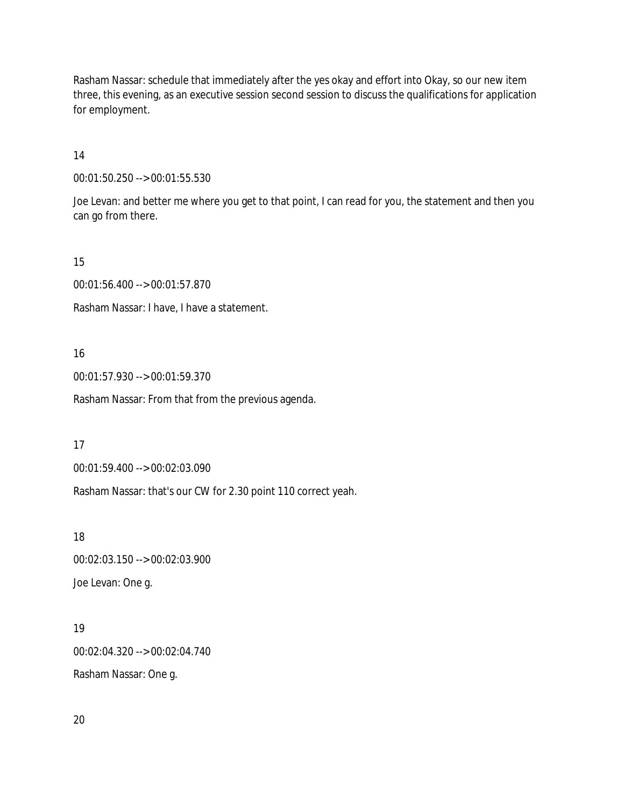Rasham Nassar: schedule that immediately after the yes okay and effort into Okay, so our new item three, this evening, as an executive session second session to discuss the qualifications for application for employment.

14

00:01:50.250 --> 00:01:55.530

Joe Levan: and better me where you get to that point, I can read for you, the statement and then you can go from there.

15

00:01:56.400 --> 00:01:57.870

Rasham Nassar: I have, I have a statement.

#### 16

00:01:57.930 --> 00:01:59.370

Rasham Nassar: From that from the previous agenda.

17

00:01:59.400 --> 00:02:03.090

Rasham Nassar: that's our CW for 2.30 point 110 correct yeah.

18

00:02:03.150 --> 00:02:03.900 Joe Levan: One g.

## 19

00:02:04.320 --> 00:02:04.740 Rasham Nassar: One g.

20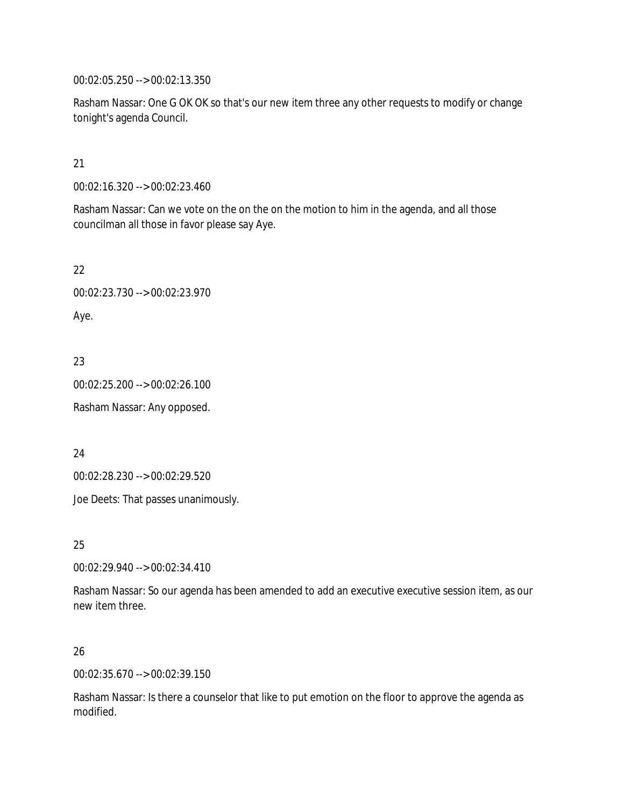00:02:05.250 --> 00:02:13.350

Rasham Nassar: One G OK OK so that's our new item three any other requests to modify or change tonight's agenda Council.

### 21

00:02:16.320 --> 00:02:23.460

Rasham Nassar: Can we vote on the on the on the motion to him in the agenda, and all those councilman all those in favor please say Aye.

22

00:02:23.730 --> 00:02:23.970

Aye.

23

00:02:25.200 --> 00:02:26.100

Rasham Nassar: Any opposed.

24

00:02:28.230 --> 00:02:29.520

Joe Deets: That passes unanimously.

25

00:02:29.940 --> 00:02:34.410

Rasham Nassar: So our agenda has been amended to add an executive executive session item, as our new item three.

## 26

00:02:35.670 --> 00:02:39.150

Rasham Nassar: Is there a counselor that like to put emotion on the floor to approve the agenda as modified.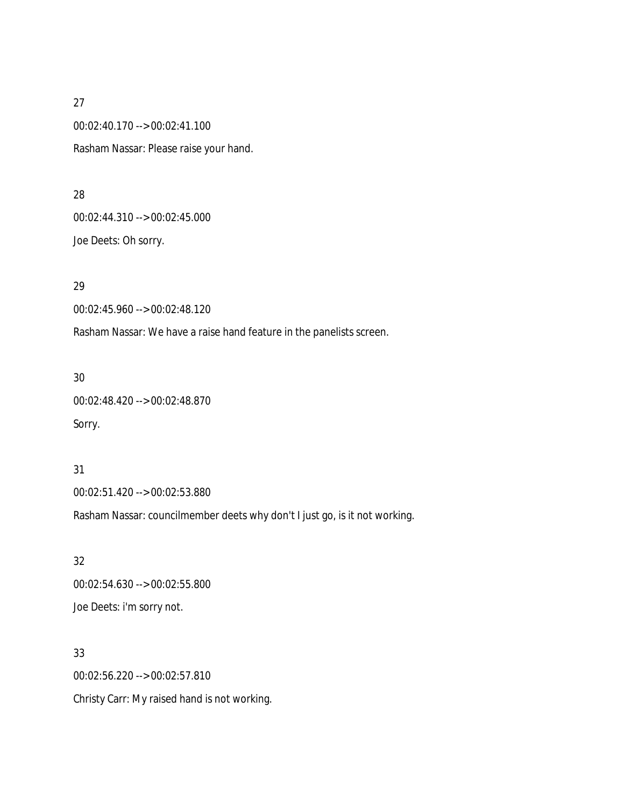27 00:02:40.170 --> 00:02:41.100 Rasham Nassar: Please raise your hand.

28 00:02:44.310 --> 00:02:45.000 Joe Deets: Oh sorry.

29

00:02:45.960 --> 00:02:48.120

Rasham Nassar: We have a raise hand feature in the panelists screen.

30

00:02:48.420 --> 00:02:48.870 Sorry.

31

00:02:51.420 --> 00:02:53.880

Rasham Nassar: councilmember deets why don't I just go, is it not working.

32 00:02:54.630 --> 00:02:55.800 Joe Deets: i'm sorry not.

33 00:02:56.220 --> 00:02:57.810 Christy Carr: My raised hand is not working.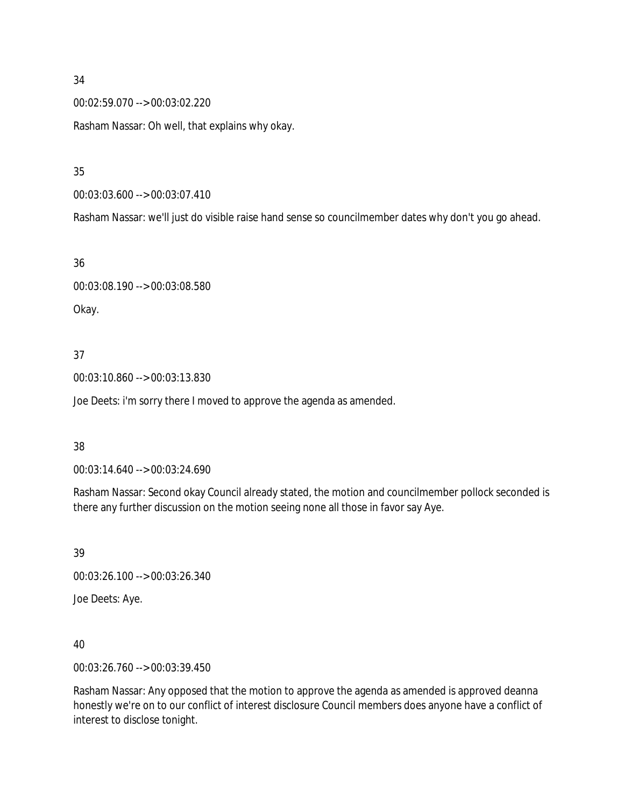00:02:59.070 --> 00:03:02.220

Rasham Nassar: Oh well, that explains why okay.

### 35

00:03:03.600 --> 00:03:07.410

Rasham Nassar: we'll just do visible raise hand sense so councilmember dates why don't you go ahead.

#### 36

00:03:08.190 --> 00:03:08.580 Okay.

### 37

00:03:10.860 --> 00:03:13.830

Joe Deets: i'm sorry there I moved to approve the agenda as amended.

#### 38

00:03:14.640 --> 00:03:24.690

Rasham Nassar: Second okay Council already stated, the motion and councilmember pollock seconded is there any further discussion on the motion seeing none all those in favor say Aye.

39

00:03:26.100 --> 00:03:26.340

Joe Deets: Aye.

## 40

00:03:26.760 --> 00:03:39.450

Rasham Nassar: Any opposed that the motion to approve the agenda as amended is approved deanna honestly we're on to our conflict of interest disclosure Council members does anyone have a conflict of interest to disclose tonight.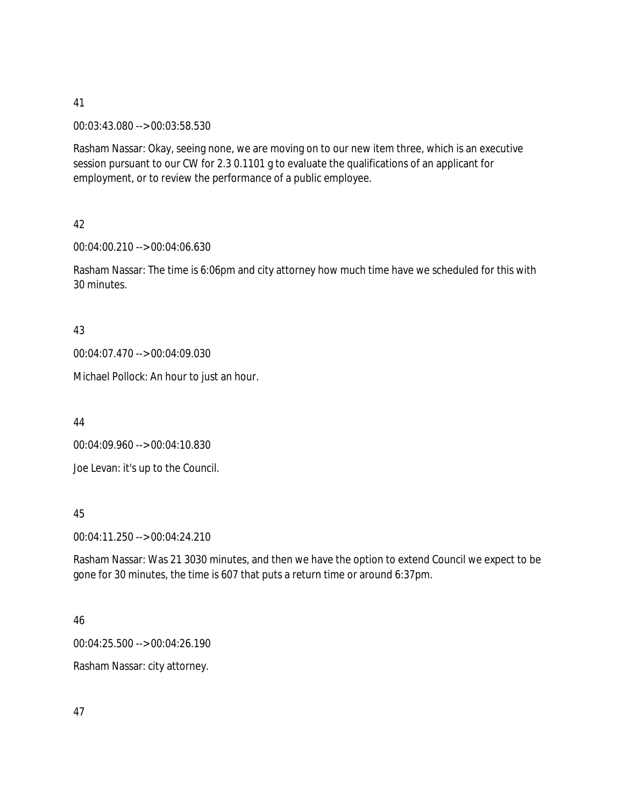00:03:43.080 --> 00:03:58.530

Rasham Nassar: Okay, seeing none, we are moving on to our new item three, which is an executive session pursuant to our CW for 2.3 0.1101 g to evaluate the qualifications of an applicant for employment, or to review the performance of a public employee.

42

00:04:00.210 --> 00:04:06.630

Rasham Nassar: The time is 6:06pm and city attorney how much time have we scheduled for this with 30 minutes.

43

00:04:07.470 --> 00:04:09.030

Michael Pollock: An hour to just an hour.

44

00:04:09.960 --> 00:04:10.830 Joe Levan: it's up to the Council.

45

00:04:11.250 --> 00:04:24.210

Rasham Nassar: Was 21 3030 minutes, and then we have the option to extend Council we expect to be gone for 30 minutes, the time is 607 that puts a return time or around 6:37pm.

#### 46

00:04:25.500 --> 00:04:26.190

Rasham Nassar: city attorney.

47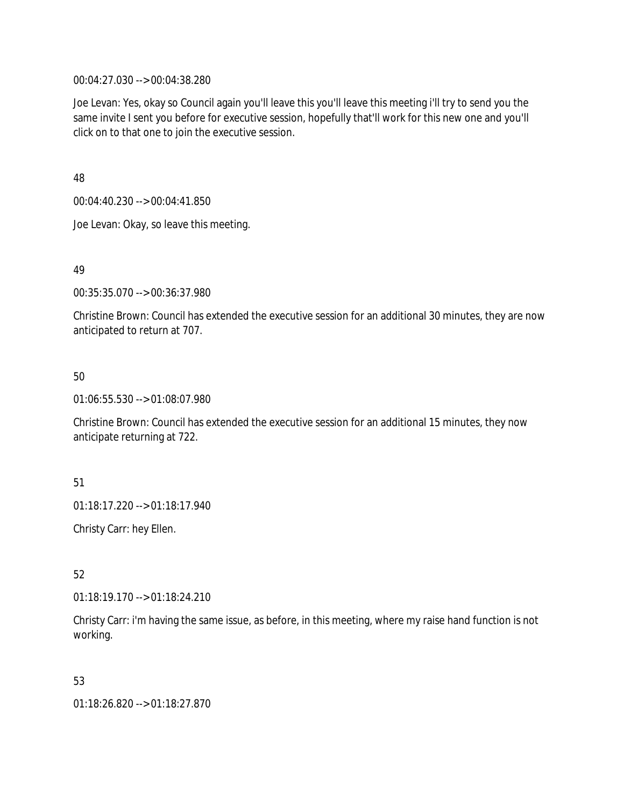00:04:27.030 --> 00:04:38.280

Joe Levan: Yes, okay so Council again you'll leave this you'll leave this meeting i'll try to send you the same invite I sent you before for executive session, hopefully that'll work for this new one and you'll click on to that one to join the executive session.

48

00:04:40.230 --> 00:04:41.850

Joe Levan: Okay, so leave this meeting.

49

00:35:35.070 --> 00:36:37.980

Christine Brown: Council has extended the executive session for an additional 30 minutes, they are now anticipated to return at 707.

50

01:06:55.530 --> 01:08:07.980

Christine Brown: Council has extended the executive session for an additional 15 minutes, they now anticipate returning at 722.

51

01:18:17.220 --> 01:18:17.940

Christy Carr: hey Ellen.

52

01:18:19.170 --> 01:18:24.210

Christy Carr: i'm having the same issue, as before, in this meeting, where my raise hand function is not working.

53

01:18:26.820 --> 01:18:27.870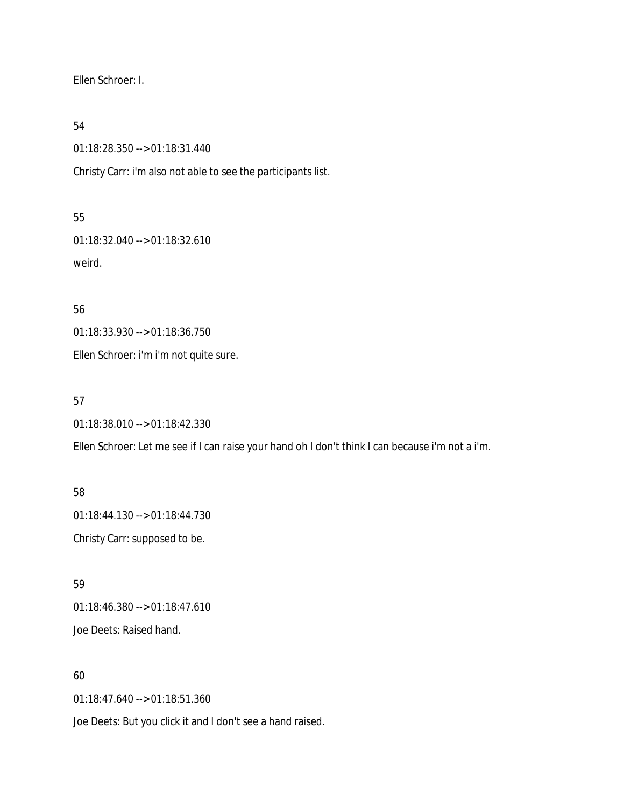Ellen Schroer: I.

54

01:18:28.350 --> 01:18:31.440

Christy Carr: i'm also not able to see the participants list.

55

01:18:32.040 --> 01:18:32.610 weird.

56

01:18:33.930 --> 01:18:36.750

Ellen Schroer: i'm i'm not quite sure.

57

01:18:38.010 --> 01:18:42.330

Ellen Schroer: Let me see if I can raise your hand oh I don't think I can because i'm not a i'm.

58 01:18:44.130 --> 01:18:44.730 Christy Carr: supposed to be.

59 01:18:46.380 --> 01:18:47.610 Joe Deets: Raised hand.

60

01:18:47.640 --> 01:18:51.360

Joe Deets: But you click it and I don't see a hand raised.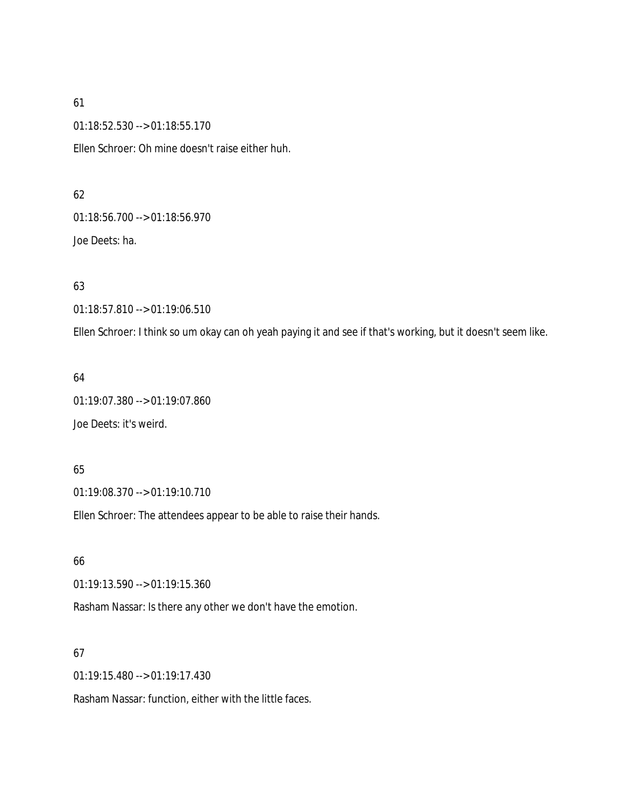01:18:52.530 --> 01:18:55.170

Ellen Schroer: Oh mine doesn't raise either huh.

#### 62

01:18:56.700 --> 01:18:56.970

Joe Deets: ha.

### 63

01:18:57.810 --> 01:19:06.510

Ellen Schroer: I think so um okay can oh yeah paying it and see if that's working, but it doesn't seem like.

### 64

01:19:07.380 --> 01:19:07.860

Joe Deets: it's weird.

## 65

01:19:08.370 --> 01:19:10.710

Ellen Schroer: The attendees appear to be able to raise their hands.

# 66

01:19:13.590 --> 01:19:15.360

Rasham Nassar: Is there any other we don't have the emotion.

# 67

01:19:15.480 --> 01:19:17.430

Rasham Nassar: function, either with the little faces.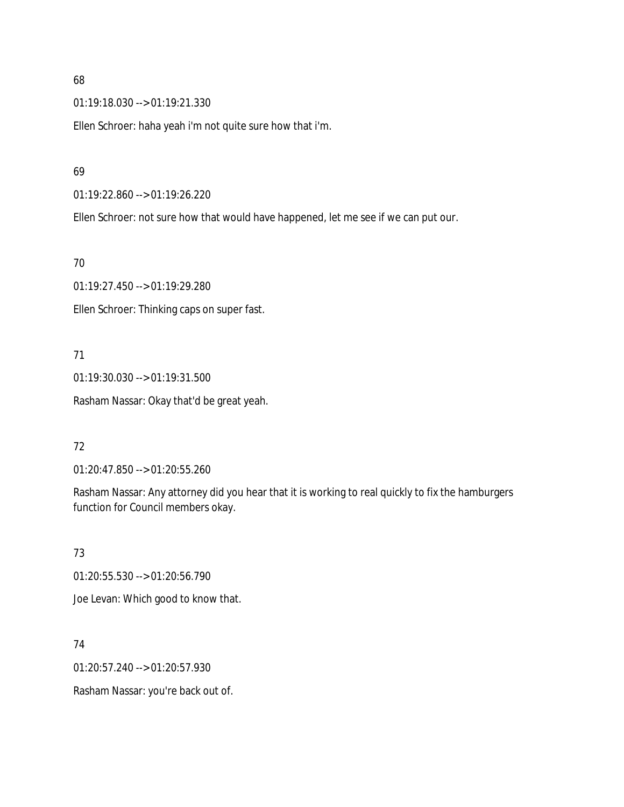01:19:18.030 --> 01:19:21.330

Ellen Schroer: haha yeah i'm not quite sure how that i'm.

#### 69

01:19:22.860 --> 01:19:26.220

Ellen Schroer: not sure how that would have happened, let me see if we can put our.

#### 70

01:19:27.450 --> 01:19:29.280

Ellen Schroer: Thinking caps on super fast.

## 71

01:19:30.030 --> 01:19:31.500 Rasham Nassar: Okay that'd be great yeah.

## 72

01:20:47.850 --> 01:20:55.260

Rasham Nassar: Any attorney did you hear that it is working to real quickly to fix the hamburgers function for Council members okay.

## 73

01:20:55.530 --> 01:20:56.790

Joe Levan: Which good to know that.

## 74

01:20:57.240 --> 01:20:57.930

Rasham Nassar: you're back out of.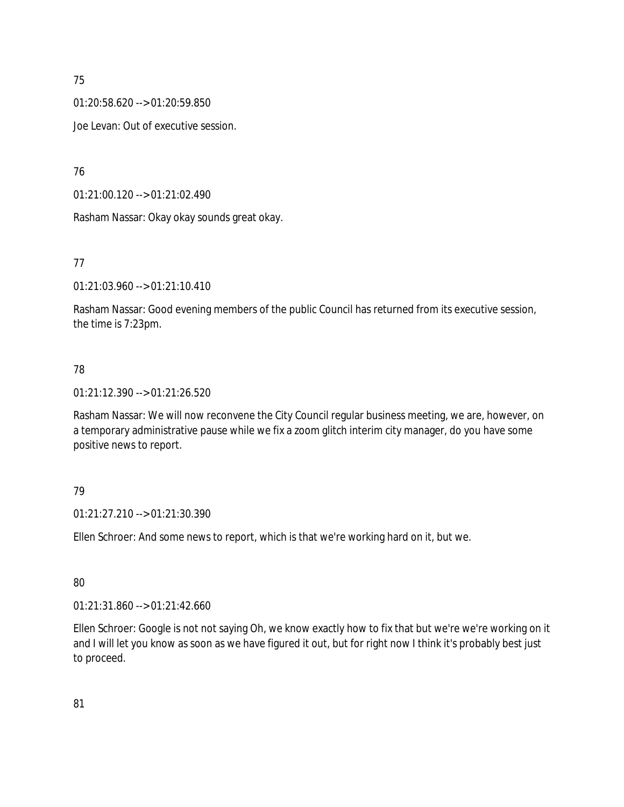01:20:58.620 --> 01:20:59.850

Joe Levan: Out of executive session.

76

01:21:00.120 --> 01:21:02.490

Rasham Nassar: Okay okay sounds great okay.

# 77

01:21:03.960 --> 01:21:10.410

Rasham Nassar: Good evening members of the public Council has returned from its executive session, the time is 7:23pm.

# 78

01:21:12.390 --> 01:21:26.520

Rasham Nassar: We will now reconvene the City Council regular business meeting, we are, however, on a temporary administrative pause while we fix a zoom glitch interim city manager, do you have some positive news to report.

## 79

01:21:27.210 --> 01:21:30.390

Ellen Schroer: And some news to report, which is that we're working hard on it, but we.

## 80

01:21:31.860 --> 01:21:42.660

Ellen Schroer: Google is not not saying Oh, we know exactly how to fix that but we're we're working on it and I will let you know as soon as we have figured it out, but for right now I think it's probably best just to proceed.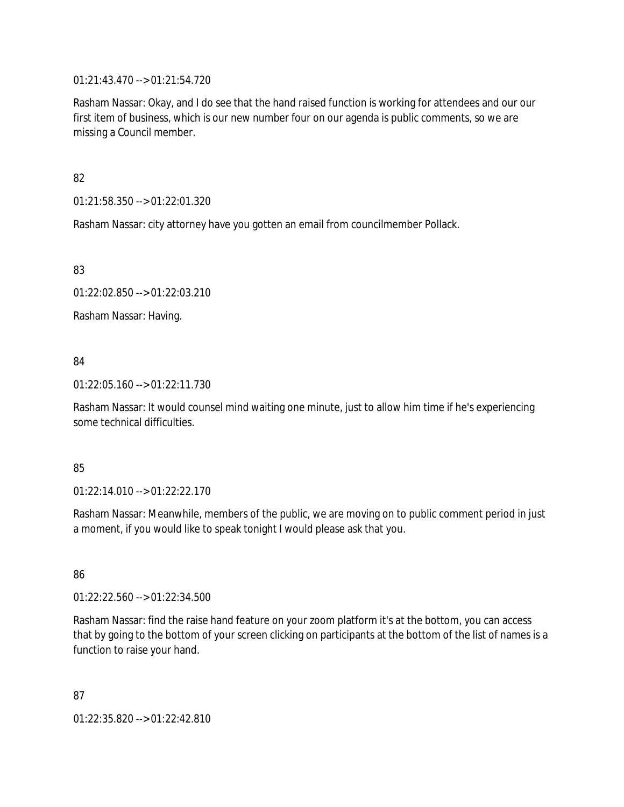01:21:43.470 --> 01:21:54.720

Rasham Nassar: Okay, and I do see that the hand raised function is working for attendees and our our first item of business, which is our new number four on our agenda is public comments, so we are missing a Council member.

82

01:21:58.350 --> 01:22:01.320

Rasham Nassar: city attorney have you gotten an email from councilmember Pollack.

83

01:22:02.850 --> 01:22:03.210

Rasham Nassar: Having.

### 84

01:22:05.160 --> 01:22:11.730

Rasham Nassar: It would counsel mind waiting one minute, just to allow him time if he's experiencing some technical difficulties.

#### 85

01:22:14.010 --> 01:22:22.170

Rasham Nassar: Meanwhile, members of the public, we are moving on to public comment period in just a moment, if you would like to speak tonight I would please ask that you.

86

01:22:22.560 --> 01:22:34.500

Rasham Nassar: find the raise hand feature on your zoom platform it's at the bottom, you can access that by going to the bottom of your screen clicking on participants at the bottom of the list of names is a function to raise your hand.

87 01:22:35.820 --> 01:22:42.810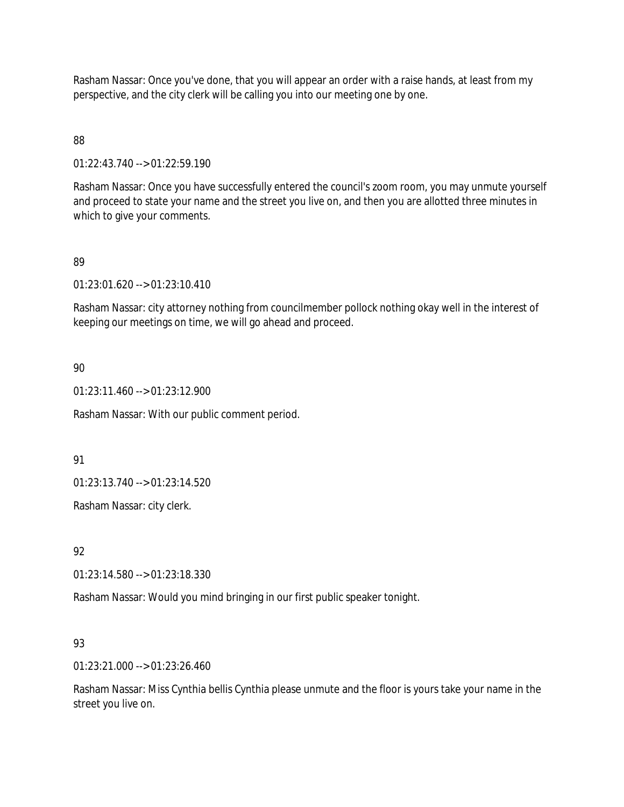Rasham Nassar: Once you've done, that you will appear an order with a raise hands, at least from my perspective, and the city clerk will be calling you into our meeting one by one.

### 88

01:22:43.740 --> 01:22:59.190

Rasham Nassar: Once you have successfully entered the council's zoom room, you may unmute yourself and proceed to state your name and the street you live on, and then you are allotted three minutes in which to give your comments.

### 89

01:23:01.620 --> 01:23:10.410

Rasham Nassar: city attorney nothing from councilmember pollock nothing okay well in the interest of keeping our meetings on time, we will go ahead and proceed.

### 90

01:23:11.460 --> 01:23:12.900

Rasham Nassar: With our public comment period.

#### 91

01:23:13.740 --> 01:23:14.520

Rasham Nassar: city clerk.

## 92

01:23:14.580 --> 01:23:18.330

Rasham Nassar: Would you mind bringing in our first public speaker tonight.

## 93

01:23:21.000 --> 01:23:26.460

Rasham Nassar: Miss Cynthia bellis Cynthia please unmute and the floor is yours take your name in the street you live on.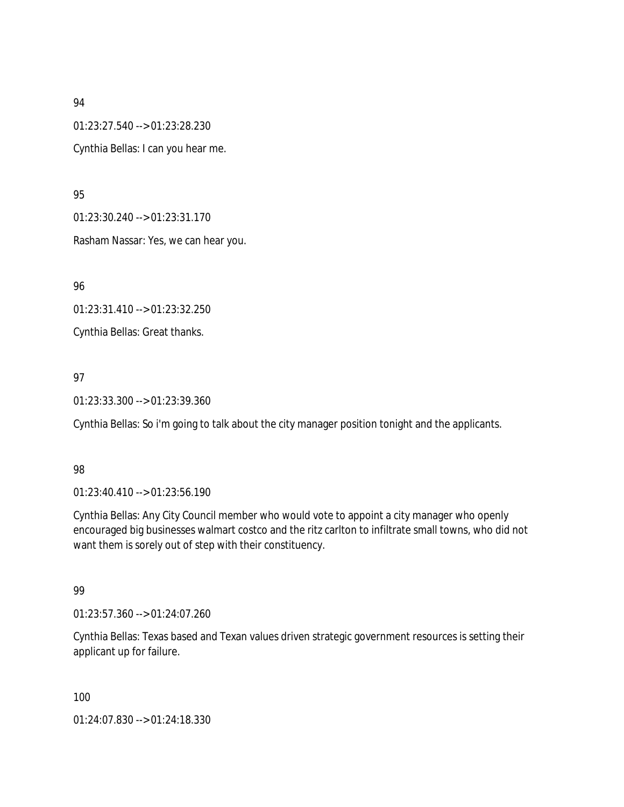01:23:27.540 --> 01:23:28.230

Cynthia Bellas: I can you hear me.

95

01:23:30.240 --> 01:23:31.170

Rasham Nassar: Yes, we can hear you.

96

01:23:31.410 --> 01:23:32.250

Cynthia Bellas: Great thanks.

97

01:23:33.300 --> 01:23:39.360

Cynthia Bellas: So i'm going to talk about the city manager position tonight and the applicants.

## 98

01:23:40.410 --> 01:23:56.190

Cynthia Bellas: Any City Council member who would vote to appoint a city manager who openly encouraged big businesses walmart costco and the ritz carlton to infiltrate small towns, who did not want them is sorely out of step with their constituency.

## 99

01:23:57.360 --> 01:24:07.260

Cynthia Bellas: Texas based and Texan values driven strategic government resources is setting their applicant up for failure.

100

01:24:07.830 --> 01:24:18.330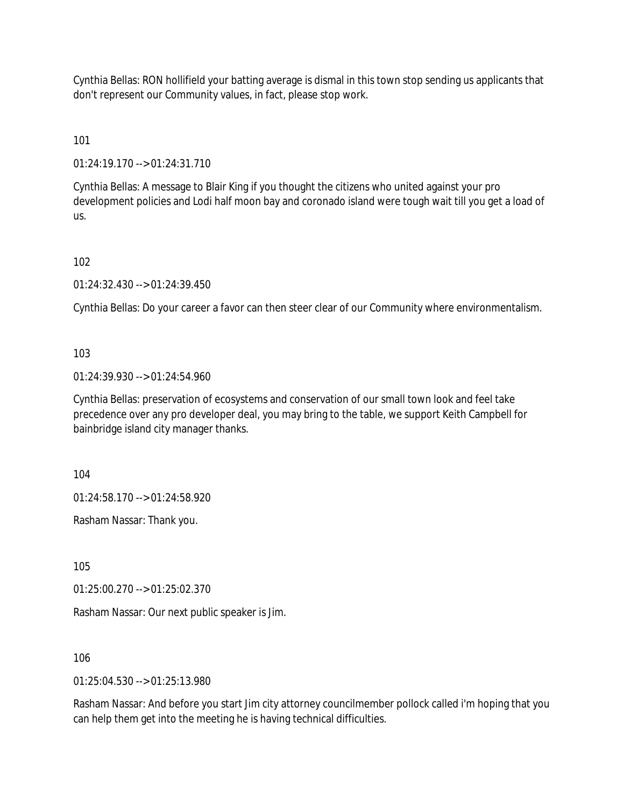Cynthia Bellas: RON hollifield your batting average is dismal in this town stop sending us applicants that don't represent our Community values, in fact, please stop work.

101

01:24:19.170 --> 01:24:31.710

Cynthia Bellas: A message to Blair King if you thought the citizens who united against your pro development policies and Lodi half moon bay and coronado island were tough wait till you get a load of us.

102

01:24:32.430 --> 01:24:39.450

Cynthia Bellas: Do your career a favor can then steer clear of our Community where environmentalism.

### 103

01:24:39.930 --> 01:24:54.960

Cynthia Bellas: preservation of ecosystems and conservation of our small town look and feel take precedence over any pro developer deal, you may bring to the table, we support Keith Campbell for bainbridge island city manager thanks.

104

01:24:58.170 --> 01:24:58.920

Rasham Nassar: Thank you.

105

01:25:00.270 --> 01:25:02.370

Rasham Nassar: Our next public speaker is Jim.

106

01:25:04.530 --> 01:25:13.980

Rasham Nassar: And before you start Jim city attorney councilmember pollock called i'm hoping that you can help them get into the meeting he is having technical difficulties.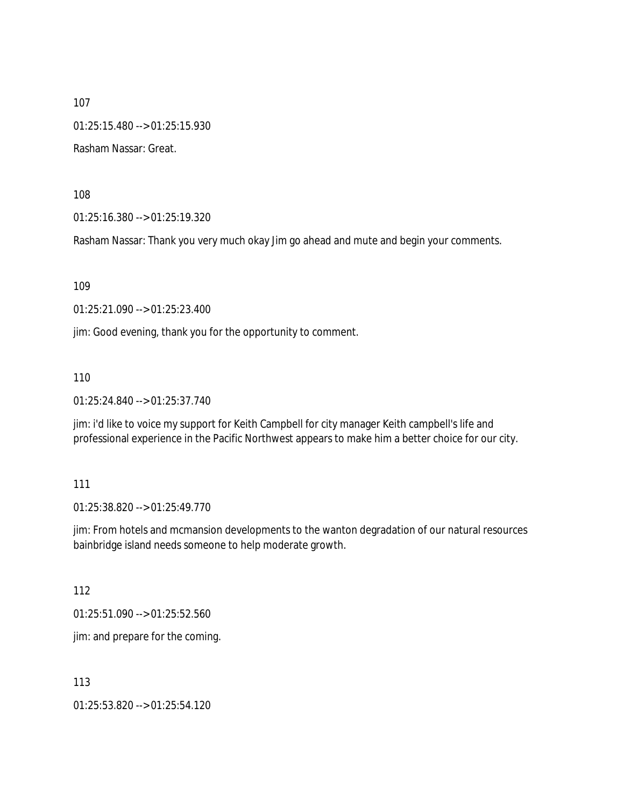01:25:15.480 --> 01:25:15.930

Rasham Nassar: Great.

108

01:25:16.380 --> 01:25:19.320

Rasham Nassar: Thank you very much okay Jim go ahead and mute and begin your comments.

109

01:25:21.090 --> 01:25:23.400

jim: Good evening, thank you for the opportunity to comment.

110

01:25:24.840 --> 01:25:37.740

jim: i'd like to voice my support for Keith Campbell for city manager Keith campbell's life and professional experience in the Pacific Northwest appears to make him a better choice for our city.

111

01:25:38.820 --> 01:25:49.770

jim: From hotels and mcmansion developments to the wanton degradation of our natural resources bainbridge island needs someone to help moderate growth.

112

01:25:51.090 --> 01:25:52.560

jim: and prepare for the coming.

113

01:25:53.820 --> 01:25:54.120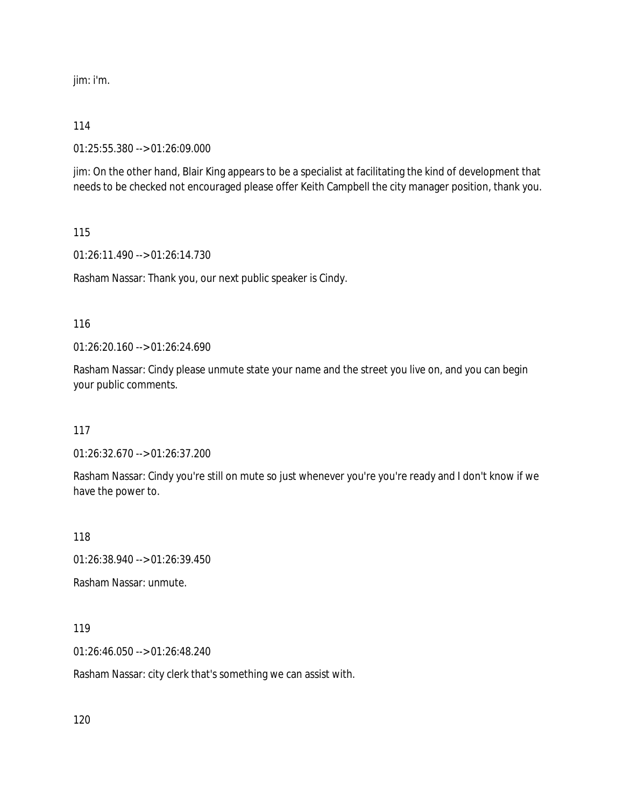jim: i'm.

#### 114

01:25:55.380 --> 01:26:09.000

jim: On the other hand, Blair King appears to be a specialist at facilitating the kind of development that needs to be checked not encouraged please offer Keith Campbell the city manager position, thank you.

115

01:26:11.490 --> 01:26:14.730

Rasham Nassar: Thank you, our next public speaker is Cindy.

#### 116

01:26:20.160 --> 01:26:24.690

Rasham Nassar: Cindy please unmute state your name and the street you live on, and you can begin your public comments.

117

01:26:32.670 --> 01:26:37.200

Rasham Nassar: Cindy you're still on mute so just whenever you're you're ready and I don't know if we have the power to.

118

01:26:38.940 --> 01:26:39.450

Rasham Nassar: unmute.

119

01:26:46.050 --> 01:26:48.240

Rasham Nassar: city clerk that's something we can assist with.

120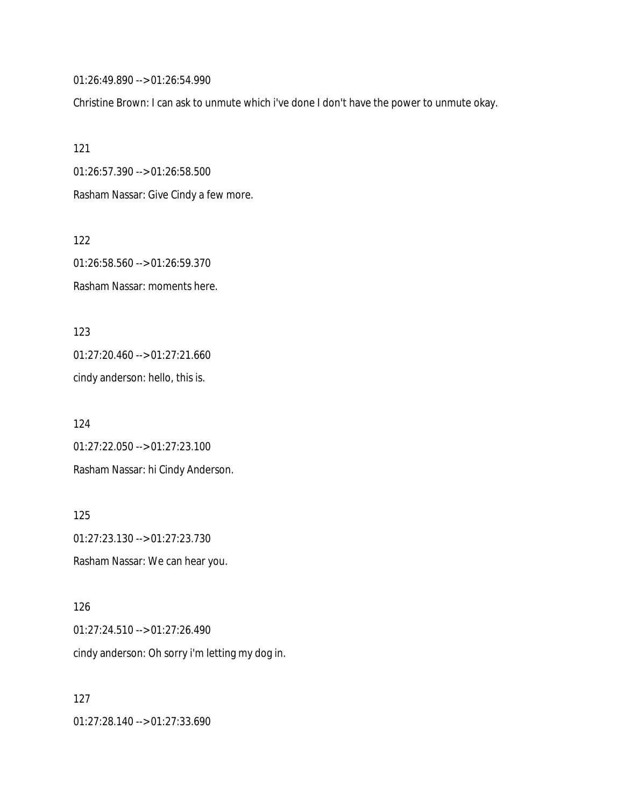01:26:49.890 --> 01:26:54.990

Christine Brown: I can ask to unmute which i've done I don't have the power to unmute okay.

121

01:26:57.390 --> 01:26:58.500

Rasham Nassar: Give Cindy a few more.

122 01:26:58.560 --> 01:26:59.370 Rasham Nassar: moments here.

123 01:27:20.460 --> 01:27:21.660 cindy anderson: hello, this is.

124 01:27:22.050 --> 01:27:23.100 Rasham Nassar: hi Cindy Anderson.

125 01:27:23.130 --> 01:27:23.730 Rasham Nassar: We can hear you.

126 01:27:24.510 --> 01:27:26.490 cindy anderson: Oh sorry i'm letting my dog in.

127 01:27:28.140 --> 01:27:33.690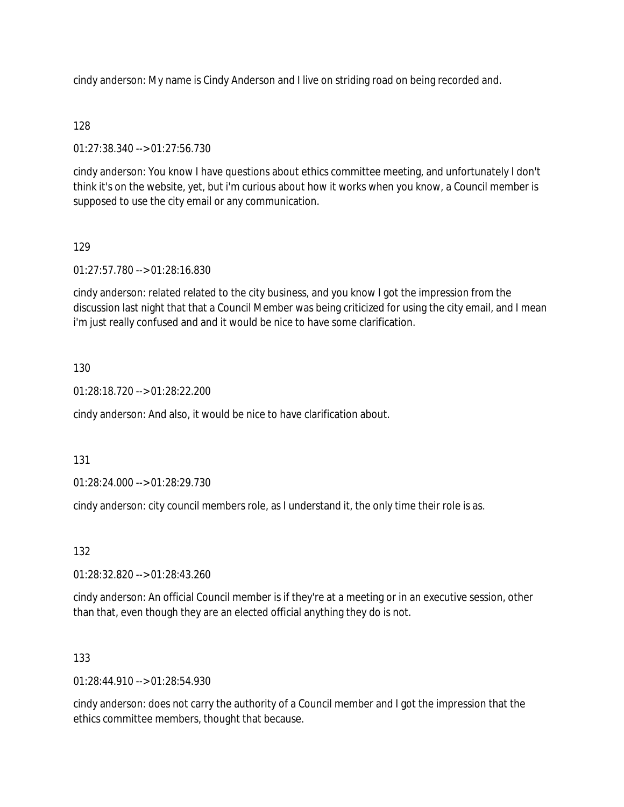cindy anderson: My name is Cindy Anderson and I live on striding road on being recorded and.

### 128

01:27:38.340 --> 01:27:56.730

cindy anderson: You know I have questions about ethics committee meeting, and unfortunately I don't think it's on the website, yet, but i'm curious about how it works when you know, a Council member is supposed to use the city email or any communication.

### 129

01:27:57.780 --> 01:28:16.830

cindy anderson: related related to the city business, and you know I got the impression from the discussion last night that that a Council Member was being criticized for using the city email, and I mean i'm just really confused and and it would be nice to have some clarification.

#### 130

01:28:18.720 --> 01:28:22.200

cindy anderson: And also, it would be nice to have clarification about.

#### 131

01:28:24.000 --> 01:28:29.730

cindy anderson: city council members role, as I understand it, the only time their role is as.

#### 132

01:28:32.820 --> 01:28:43.260

cindy anderson: An official Council member is if they're at a meeting or in an executive session, other than that, even though they are an elected official anything they do is not.

#### 133

 $01:28:44.910 \rightarrow 01:28:54.930$ 

cindy anderson: does not carry the authority of a Council member and I got the impression that the ethics committee members, thought that because.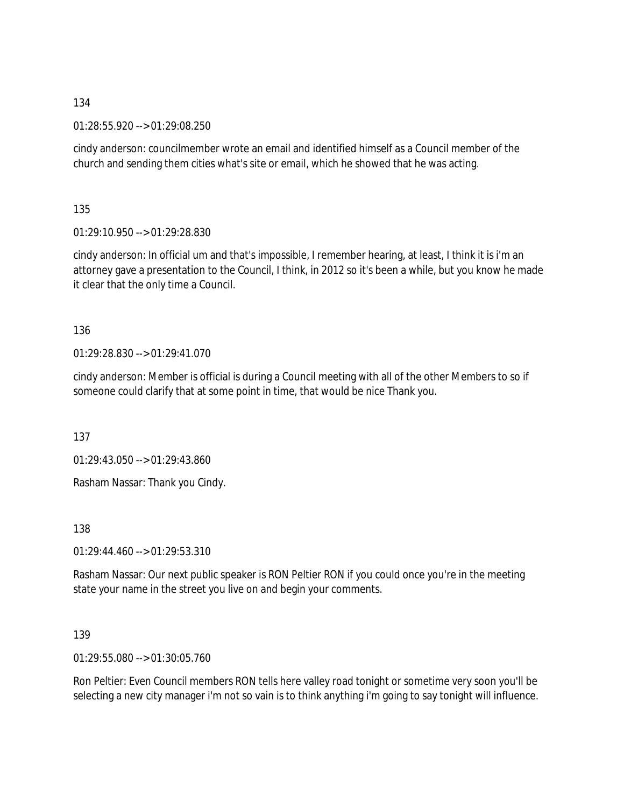01:28:55.920 --> 01:29:08.250

cindy anderson: councilmember wrote an email and identified himself as a Council member of the church and sending them cities what's site or email, which he showed that he was acting.

135

01:29:10.950 --> 01:29:28.830

cindy anderson: In official um and that's impossible, I remember hearing, at least, I think it is i'm an attorney gave a presentation to the Council, I think, in 2012 so it's been a while, but you know he made it clear that the only time a Council.

136

01:29:28.830 --> 01:29:41.070

cindy anderson: Member is official is during a Council meeting with all of the other Members to so if someone could clarify that at some point in time, that would be nice Thank you.

137

01:29:43.050 --> 01:29:43.860

Rasham Nassar: Thank you Cindy.

138

 $01:29:44.460 \rightarrow 01:29:53.310$ 

Rasham Nassar: Our next public speaker is RON Peltier RON if you could once you're in the meeting state your name in the street you live on and begin your comments.

139

01:29:55.080 --> 01:30:05.760

Ron Peltier: Even Council members RON tells here valley road tonight or sometime very soon you'll be selecting a new city manager i'm not so vain is to think anything i'm going to say tonight will influence.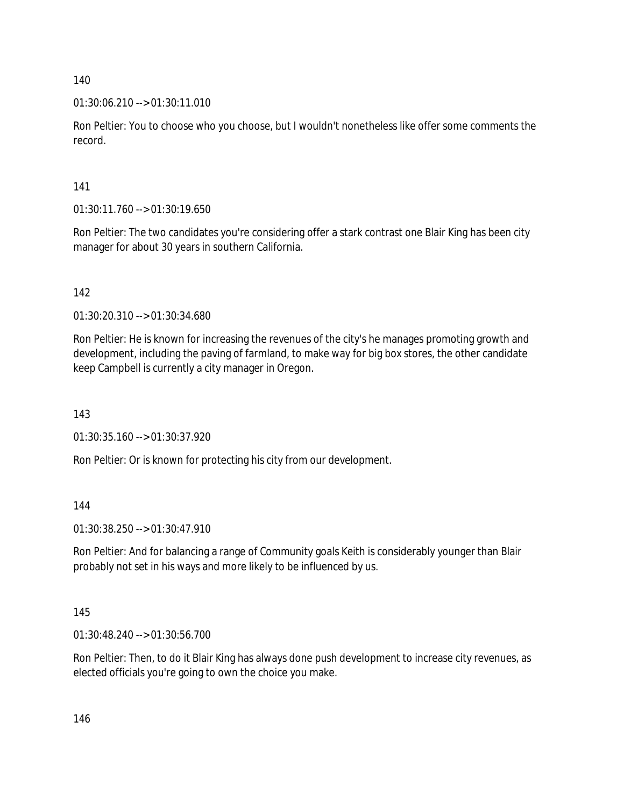## $01:30:06.210 \rightarrow 01:30:11.010$

Ron Peltier: You to choose who you choose, but I wouldn't nonetheless like offer some comments the record.

141

01:30:11.760 --> 01:30:19.650

Ron Peltier: The two candidates you're considering offer a stark contrast one Blair King has been city manager for about 30 years in southern California.

142

01:30:20.310 --> 01:30:34.680

Ron Peltier: He is known for increasing the revenues of the city's he manages promoting growth and development, including the paving of farmland, to make way for big box stores, the other candidate keep Campbell is currently a city manager in Oregon.

143

01:30:35.160 --> 01:30:37.920

Ron Peltier: Or is known for protecting his city from our development.

144

01:30:38.250 --> 01:30:47.910

Ron Peltier: And for balancing a range of Community goals Keith is considerably younger than Blair probably not set in his ways and more likely to be influenced by us.

145

01:30:48.240 --> 01:30:56.700

Ron Peltier: Then, to do it Blair King has always done push development to increase city revenues, as elected officials you're going to own the choice you make.

146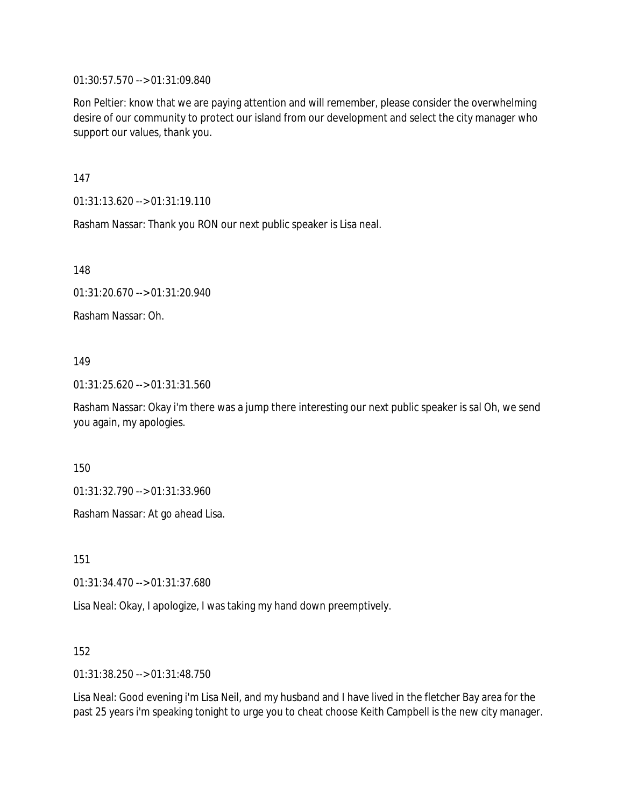01:30:57.570 --> 01:31:09.840

Ron Peltier: know that we are paying attention and will remember, please consider the overwhelming desire of our community to protect our island from our development and select the city manager who support our values, thank you.

147

01:31:13.620 --> 01:31:19.110

Rasham Nassar: Thank you RON our next public speaker is Lisa neal.

148

01:31:20.670 --> 01:31:20.940

Rasham Nassar: Oh.

#### 149

01:31:25.620 --> 01:31:31.560

Rasham Nassar: Okay i'm there was a jump there interesting our next public speaker is sal Oh, we send you again, my apologies.

150

01:31:32.790 --> 01:31:33.960

Rasham Nassar: At go ahead Lisa.

151

01:31:34.470 --> 01:31:37.680

Lisa Neal: Okay, I apologize, I was taking my hand down preemptively.

152

01:31:38.250 --> 01:31:48.750

Lisa Neal: Good evening i'm Lisa Neil, and my husband and I have lived in the fletcher Bay area for the past 25 years i'm speaking tonight to urge you to cheat choose Keith Campbell is the new city manager.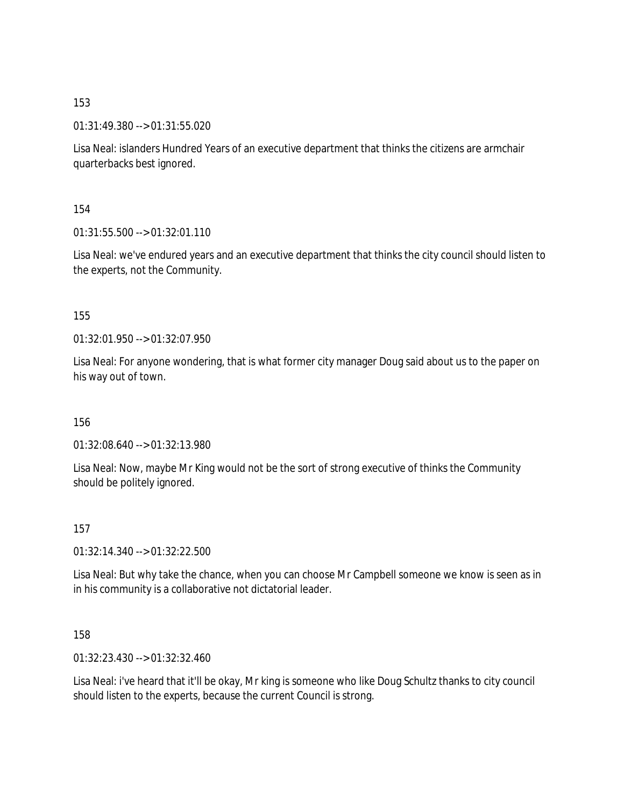01:31:49.380 --> 01:31:55.020

Lisa Neal: islanders Hundred Years of an executive department that thinks the citizens are armchair quarterbacks best ignored.

154

 $01:31:55.500 \rightarrow 01:32:01.110$ 

Lisa Neal: we've endured years and an executive department that thinks the city council should listen to the experts, not the Community.

155

 $01:32:01.950 \rightarrow 01:32:07.950$ 

Lisa Neal: For anyone wondering, that is what former city manager Doug said about us to the paper on his way out of town.

156

01:32:08.640 --> 01:32:13.980

Lisa Neal: Now, maybe Mr King would not be the sort of strong executive of thinks the Community should be politely ignored.

157

01:32:14.340 --> 01:32:22.500

Lisa Neal: But why take the chance, when you can choose Mr Campbell someone we know is seen as in in his community is a collaborative not dictatorial leader.

158

01:32:23.430 --> 01:32:32.460

Lisa Neal: i've heard that it'll be okay, Mr king is someone who like Doug Schultz thanks to city council should listen to the experts, because the current Council is strong.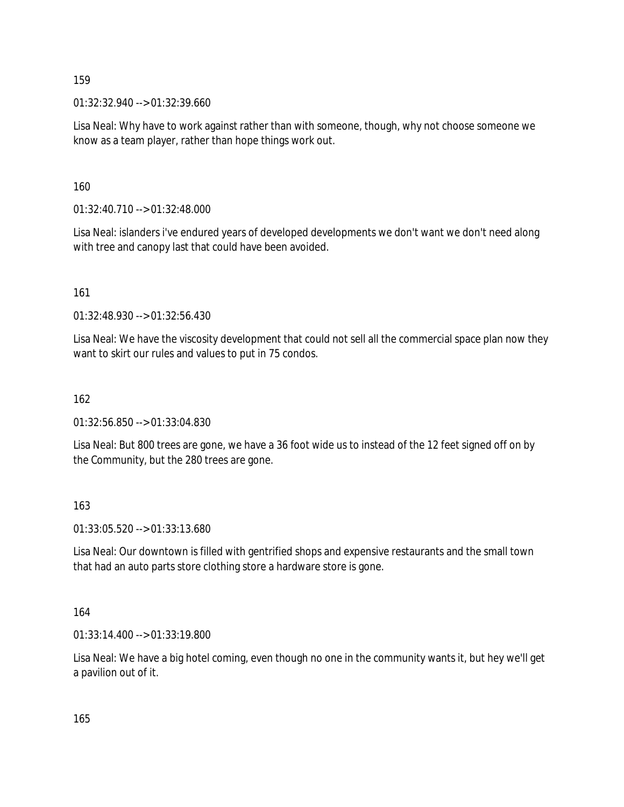01:32:32.940 --> 01:32:39.660

Lisa Neal: Why have to work against rather than with someone, though, why not choose someone we know as a team player, rather than hope things work out.

160

01:32:40.710 --> 01:32:48.000

Lisa Neal: islanders i've endured years of developed developments we don't want we don't need along with tree and canopy last that could have been avoided.

161

01:32:48.930 --> 01:32:56.430

Lisa Neal: We have the viscosity development that could not sell all the commercial space plan now they want to skirt our rules and values to put in 75 condos.

#### 162

01:32:56.850 --> 01:33:04.830

Lisa Neal: But 800 trees are gone, we have a 36 foot wide us to instead of the 12 feet signed off on by the Community, but the 280 trees are gone.

#### 163

01:33:05.520 --> 01:33:13.680

Lisa Neal: Our downtown is filled with gentrified shops and expensive restaurants and the small town that had an auto parts store clothing store a hardware store is gone.

#### 164

01:33:14.400 --> 01:33:19.800

Lisa Neal: We have a big hotel coming, even though no one in the community wants it, but hey we'll get a pavilion out of it.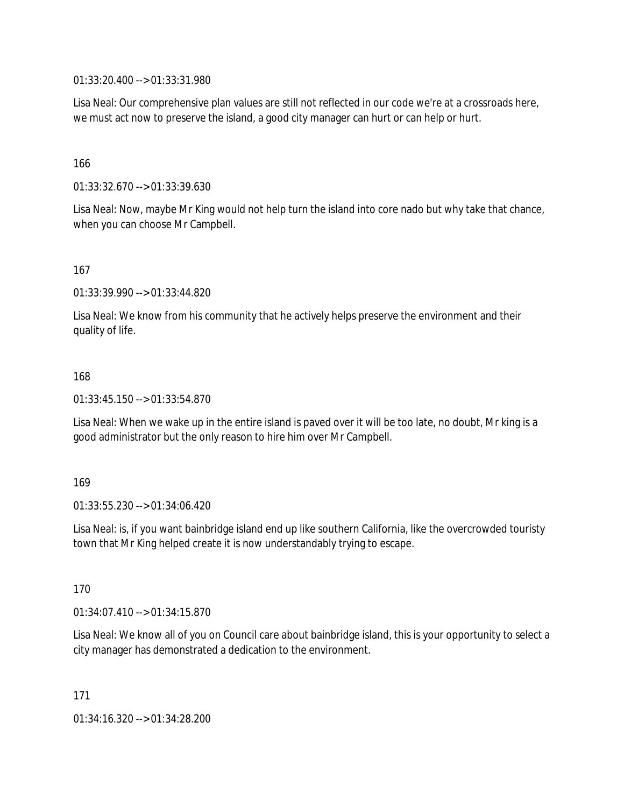01:33:20.400 --> 01:33:31.980

Lisa Neal: Our comprehensive plan values are still not reflected in our code we're at a crossroads here, we must act now to preserve the island, a good city manager can hurt or can help or hurt.

166

01:33:32.670 --> 01:33:39.630

Lisa Neal: Now, maybe Mr King would not help turn the island into core nado but why take that chance, when you can choose Mr Campbell.

167

01:33:39.990 --> 01:33:44.820

Lisa Neal: We know from his community that he actively helps preserve the environment and their quality of life.

168

01:33:45.150 --> 01:33:54.870

Lisa Neal: When we wake up in the entire island is paved over it will be too late, no doubt, Mr king is a good administrator but the only reason to hire him over Mr Campbell.

169

01:33:55.230 --> 01:34:06.420

Lisa Neal: is, if you want bainbridge island end up like southern California, like the overcrowded touristy town that Mr King helped create it is now understandably trying to escape.

170

01:34:07.410 --> 01:34:15.870

Lisa Neal: We know all of you on Council care about bainbridge island, this is your opportunity to select a city manager has demonstrated a dedication to the environment.

171

01:34:16.320 --> 01:34:28.200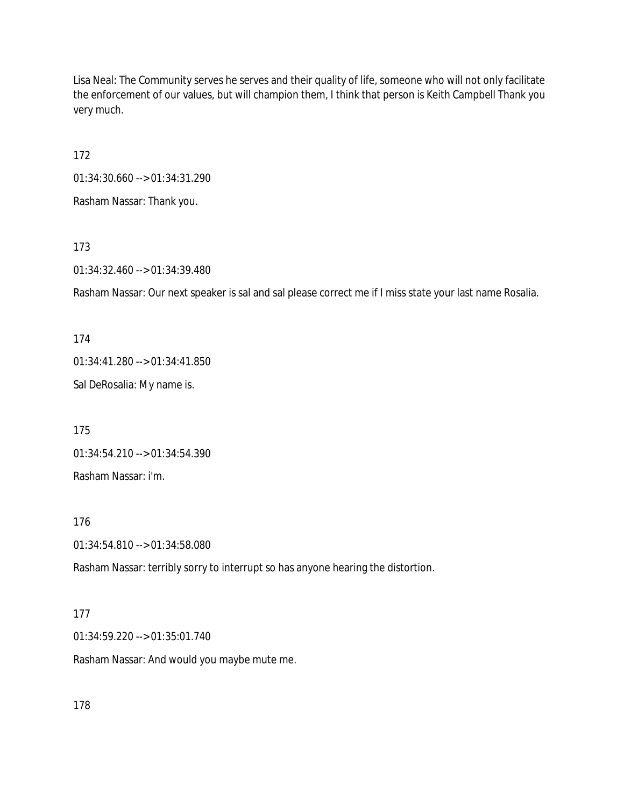Lisa Neal: The Community serves he serves and their quality of life, someone who will not only facilitate the enforcement of our values, but will champion them, I think that person is Keith Campbell Thank you very much.

172

01:34:30.660 --> 01:34:31.290

Rasham Nassar: Thank you.

173

01:34:32.460 --> 01:34:39.480

Rasham Nassar: Our next speaker is sal and sal please correct me if I miss state your last name Rosalia.

174

01:34:41.280 --> 01:34:41.850

Sal DeRosalia: My name is.

175 01:34:54.210 --> 01:34:54.390 Rasham Nassar: i'm.

176

01:34:54.810 --> 01:34:58.080

Rasham Nassar: terribly sorry to interrupt so has anyone hearing the distortion.

#### 177

01:34:59.220 --> 01:35:01.740

Rasham Nassar: And would you maybe mute me.

178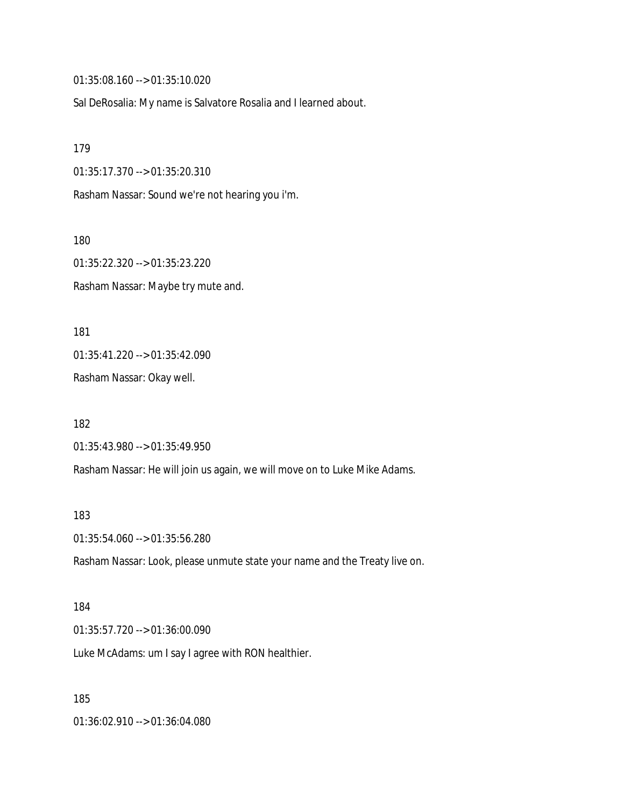01:35:08.160 --> 01:35:10.020

Sal DeRosalia: My name is Salvatore Rosalia and I learned about.

179

01:35:17.370 --> 01:35:20.310

Rasham Nassar: Sound we're not hearing you i'm.

180

01:35:22.320 --> 01:35:23.220 Rasham Nassar: Maybe try mute and.

181 01:35:41.220 --> 01:35:42.090

Rasham Nassar: Okay well.

182 01:35:43.980 --> 01:35:49.950

Rasham Nassar: He will join us again, we will move on to Luke Mike Adams.

183

01:35:54.060 --> 01:35:56.280

Rasham Nassar: Look, please unmute state your name and the Treaty live on.

184

01:35:57.720 --> 01:36:00.090

Luke McAdams: um I say I agree with RON healthier.

185

01:36:02.910 --> 01:36:04.080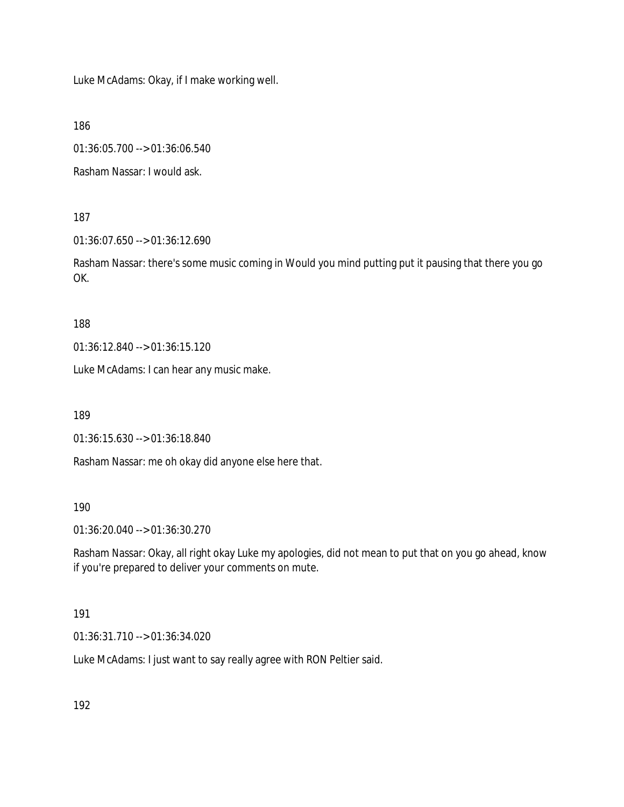Luke McAdams: Okay, if I make working well.

186

01:36:05.700 --> 01:36:06.540

Rasham Nassar: I would ask.

187

01:36:07.650 --> 01:36:12.690

Rasham Nassar: there's some music coming in Would you mind putting put it pausing that there you go OK.

188

01:36:12.840 --> 01:36:15.120

Luke McAdams: I can hear any music make.

189

01:36:15.630 --> 01:36:18.840

Rasham Nassar: me oh okay did anyone else here that.

190

01:36:20.040 --> 01:36:30.270

Rasham Nassar: Okay, all right okay Luke my apologies, did not mean to put that on you go ahead, know if you're prepared to deliver your comments on mute.

## 191

01:36:31.710 --> 01:36:34.020

Luke McAdams: I just want to say really agree with RON Peltier said.

192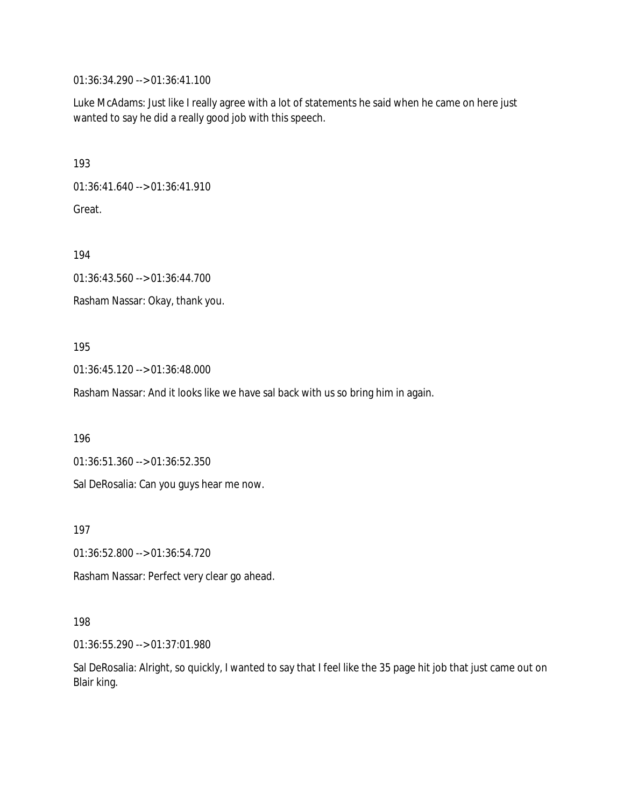01:36:34.290 --> 01:36:41.100

Luke McAdams: Just like I really agree with a lot of statements he said when he came on here just wanted to say he did a really good job with this speech.

193

01:36:41.640 --> 01:36:41.910

Great.

194

01:36:43.560 --> 01:36:44.700

Rasham Nassar: Okay, thank you.

195

01:36:45.120 --> 01:36:48.000

Rasham Nassar: And it looks like we have sal back with us so bring him in again.

196

01:36:51.360 --> 01:36:52.350

Sal DeRosalia: Can you guys hear me now.

197

01:36:52.800 --> 01:36:54.720

Rasham Nassar: Perfect very clear go ahead.

#### 198

01:36:55.290 --> 01:37:01.980

Sal DeRosalia: Alright, so quickly, I wanted to say that I feel like the 35 page hit job that just came out on Blair king.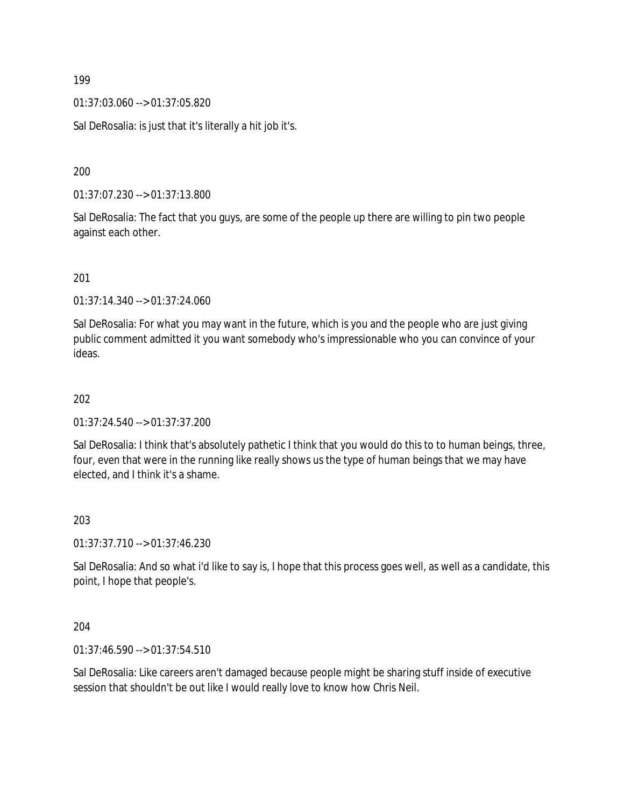01:37:03.060 --> 01:37:05.820

Sal DeRosalia: is just that it's literally a hit job it's.

200

01:37:07.230 --> 01:37:13.800

Sal DeRosalia: The fact that you guys, are some of the people up there are willing to pin two people against each other.

201

01:37:14.340 --> 01:37:24.060

Sal DeRosalia: For what you may want in the future, which is you and the people who are just giving public comment admitted it you want somebody who's impressionable who you can convince of your ideas.

202

01:37:24.540 --> 01:37:37.200

Sal DeRosalia: I think that's absolutely pathetic I think that you would do this to to human beings, three, four, even that were in the running like really shows us the type of human beings that we may have elected, and I think it's a shame.

203

01:37:37.710 --> 01:37:46.230

Sal DeRosalia: And so what i'd like to say is, I hope that this process goes well, as well as a candidate, this point, I hope that people's.

204

01:37:46.590 --> 01:37:54.510

Sal DeRosalia: Like careers aren't damaged because people might be sharing stuff inside of executive session that shouldn't be out like I would really love to know how Chris Neil.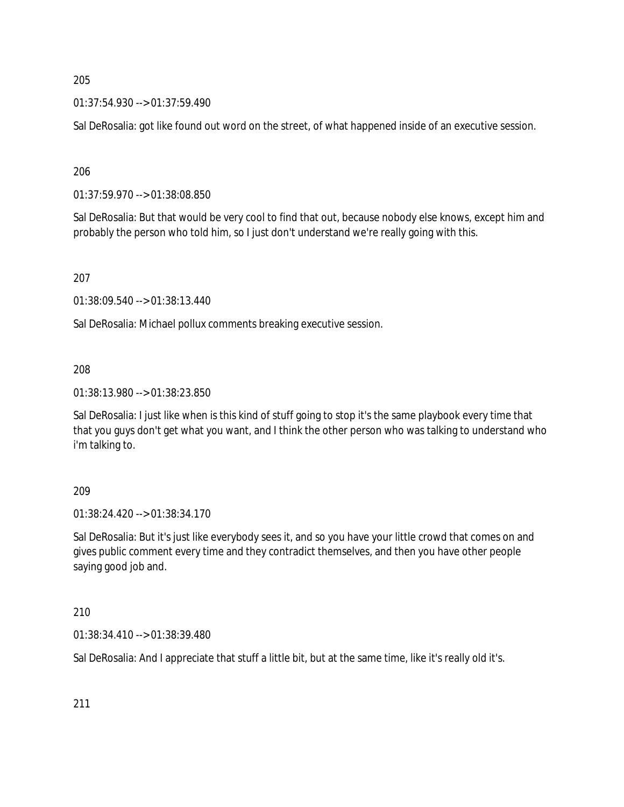01:37:54.930 --> 01:37:59.490

Sal DeRosalia: got like found out word on the street, of what happened inside of an executive session.

206

01:37:59.970 --> 01:38:08.850

Sal DeRosalia: But that would be very cool to find that out, because nobody else knows, except him and probably the person who told him, so I just don't understand we're really going with this.

207

01:38:09.540 --> 01:38:13.440

Sal DeRosalia: Michael pollux comments breaking executive session.

208

01:38:13.980 --> 01:38:23.850

Sal DeRosalia: I just like when is this kind of stuff going to stop it's the same playbook every time that that you guys don't get what you want, and I think the other person who was talking to understand who i'm talking to.

209

01:38:24.420 --> 01:38:34.170

Sal DeRosalia: But it's just like everybody sees it, and so you have your little crowd that comes on and gives public comment every time and they contradict themselves, and then you have other people saying good job and.

210

01:38:34.410 --> 01:38:39.480

Sal DeRosalia: And I appreciate that stuff a little bit, but at the same time, like it's really old it's.

211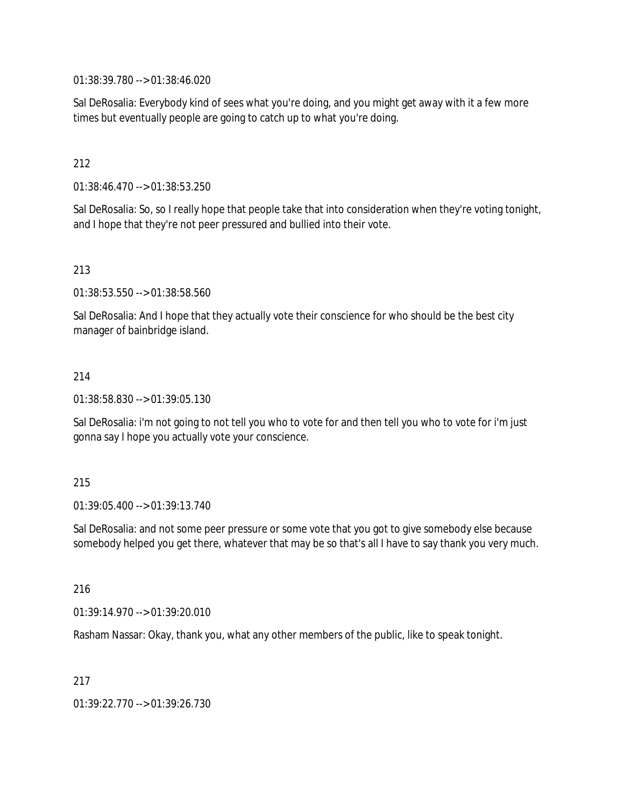01:38:39.780 --> 01:38:46.020

Sal DeRosalia: Everybody kind of sees what you're doing, and you might get away with it a few more times but eventually people are going to catch up to what you're doing.

### 212

01:38:46.470 --> 01:38:53.250

Sal DeRosalia: So, so I really hope that people take that into consideration when they're voting tonight, and I hope that they're not peer pressured and bullied into their vote.

### 213

01:38:53.550 --> 01:38:58.560

Sal DeRosalia: And I hope that they actually vote their conscience for who should be the best city manager of bainbridge island.

#### 214

01:38:58.830 --> 01:39:05.130

Sal DeRosalia: i'm not going to not tell you who to vote for and then tell you who to vote for i'm just gonna say I hope you actually vote your conscience.

#### 215

01:39:05.400 --> 01:39:13.740

Sal DeRosalia: and not some peer pressure or some vote that you got to give somebody else because somebody helped you get there, whatever that may be so that's all I have to say thank you very much.

#### 216

01:39:14.970 --> 01:39:20.010

Rasham Nassar: Okay, thank you, what any other members of the public, like to speak tonight.

#### 217

01:39:22.770 --> 01:39:26.730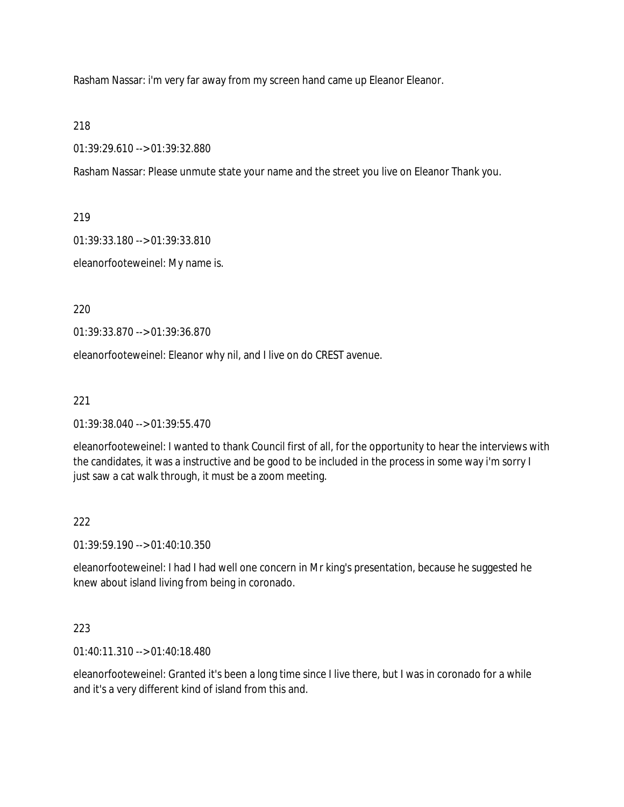Rasham Nassar: i'm very far away from my screen hand came up Eleanor Eleanor.

218

01:39:29.610 --> 01:39:32.880

Rasham Nassar: Please unmute state your name and the street you live on Eleanor Thank you.

219

01:39:33.180 --> 01:39:33.810

eleanorfooteweinel: My name is.

220

01:39:33.870 --> 01:39:36.870

eleanorfooteweinel: Eleanor why nil, and I live on do CREST avenue.

221

01:39:38.040 --> 01:39:55.470

eleanorfooteweinel: I wanted to thank Council first of all, for the opportunity to hear the interviews with the candidates, it was a instructive and be good to be included in the process in some way i'm sorry I just saw a cat walk through, it must be a zoom meeting.

## 222

01:39:59.190 --> 01:40:10.350

eleanorfooteweinel: I had I had well one concern in Mr king's presentation, because he suggested he knew about island living from being in coronado.

## 223

01:40:11.310 --> 01:40:18.480

eleanorfooteweinel: Granted it's been a long time since I live there, but I was in coronado for a while and it's a very different kind of island from this and.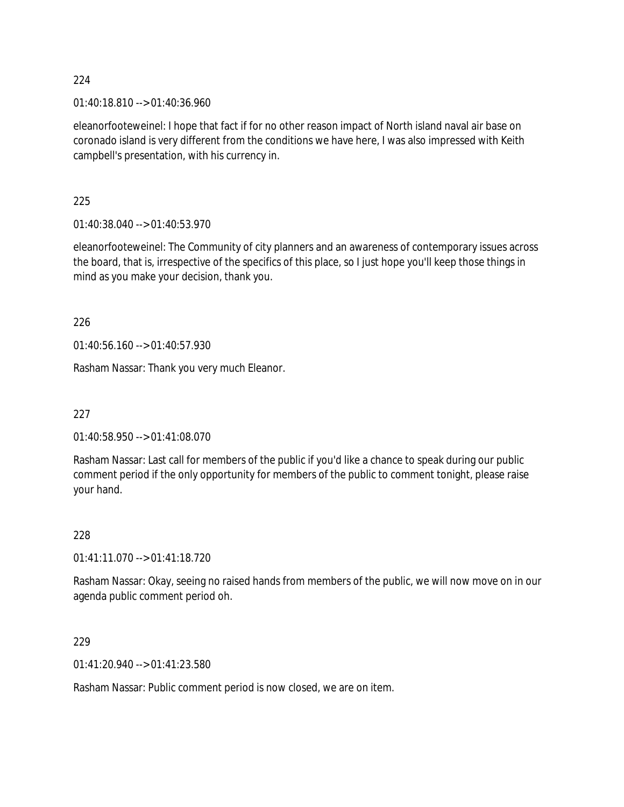01:40:18.810 --> 01:40:36.960

eleanorfooteweinel: I hope that fact if for no other reason impact of North island naval air base on coronado island is very different from the conditions we have here, I was also impressed with Keith campbell's presentation, with his currency in.

225

01:40:38.040 --> 01:40:53.970

eleanorfooteweinel: The Community of city planners and an awareness of contemporary issues across the board, that is, irrespective of the specifics of this place, so I just hope you'll keep those things in mind as you make your decision, thank you.

226

01:40:56.160 --> 01:40:57.930

Rasham Nassar: Thank you very much Eleanor.

227

01:40:58.950 --> 01:41:08.070

Rasham Nassar: Last call for members of the public if you'd like a chance to speak during our public comment period if the only opportunity for members of the public to comment tonight, please raise your hand.

228

01:41:11.070 --> 01:41:18.720

Rasham Nassar: Okay, seeing no raised hands from members of the public, we will now move on in our agenda public comment period oh.

229

01:41:20.940 --> 01:41:23.580

Rasham Nassar: Public comment period is now closed, we are on item.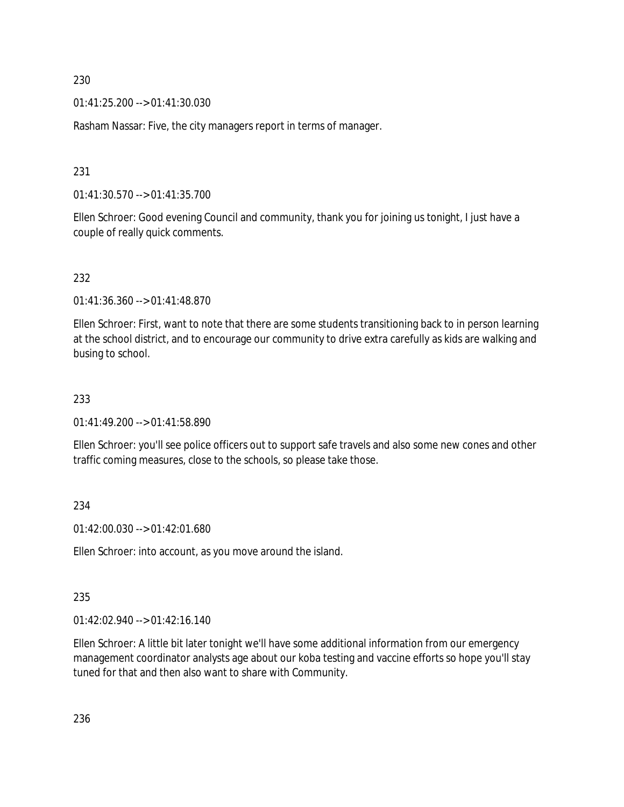01:41:25.200 --> 01:41:30.030

Rasham Nassar: Five, the city managers report in terms of manager.

231

01:41:30.570 --> 01:41:35.700

Ellen Schroer: Good evening Council and community, thank you for joining us tonight, I just have a couple of really quick comments.

### 232

01:41:36.360 --> 01:41:48.870

Ellen Schroer: First, want to note that there are some students transitioning back to in person learning at the school district, and to encourage our community to drive extra carefully as kids are walking and busing to school.

### 233

01:41:49.200 --> 01:41:58.890

Ellen Schroer: you'll see police officers out to support safe travels and also some new cones and other traffic coming measures, close to the schools, so please take those.

#### 234

01:42:00.030 --> 01:42:01.680

Ellen Schroer: into account, as you move around the island.

#### 235

01:42:02.940 --> 01:42:16.140

Ellen Schroer: A little bit later tonight we'll have some additional information from our emergency management coordinator analysts age about our koba testing and vaccine efforts so hope you'll stay tuned for that and then also want to share with Community.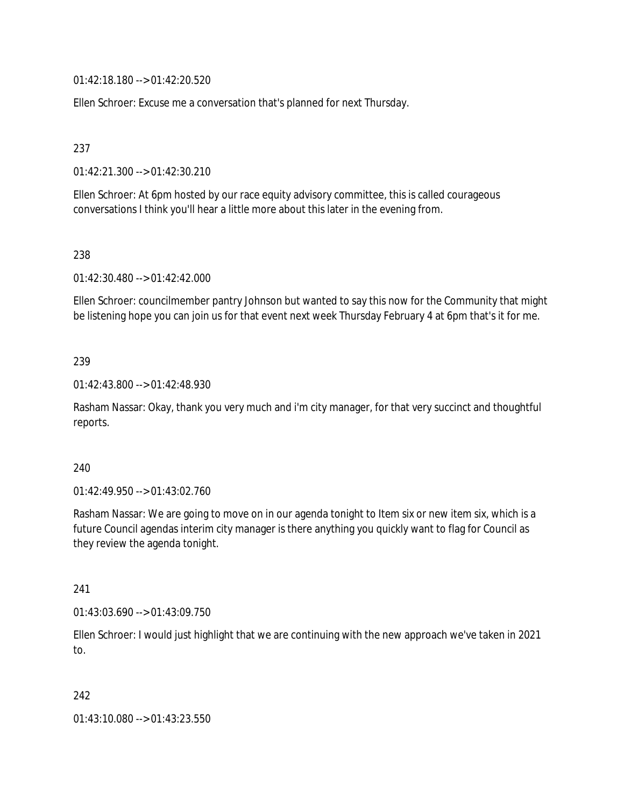01:42:18.180 --> 01:42:20.520

Ellen Schroer: Excuse me a conversation that's planned for next Thursday.

237

01:42:21.300 --> 01:42:30.210

Ellen Schroer: At 6pm hosted by our race equity advisory committee, this is called courageous conversations I think you'll hear a little more about this later in the evening from.

238

01:42:30.480 --> 01:42:42.000

Ellen Schroer: councilmember pantry Johnson but wanted to say this now for the Community that might be listening hope you can join us for that event next week Thursday February 4 at 6pm that's it for me.

### 239

01:42:43.800 --> 01:42:48.930

Rasham Nassar: Okay, thank you very much and i'm city manager, for that very succinct and thoughtful reports.

### 240

01:42:49.950 --> 01:43:02.760

Rasham Nassar: We are going to move on in our agenda tonight to Item six or new item six, which is a future Council agendas interim city manager is there anything you quickly want to flag for Council as they review the agenda tonight.

### 241

01:43:03.690 --> 01:43:09.750

Ellen Schroer: I would just highlight that we are continuing with the new approach we've taken in 2021 to.

### 242

01:43:10.080 --> 01:43:23.550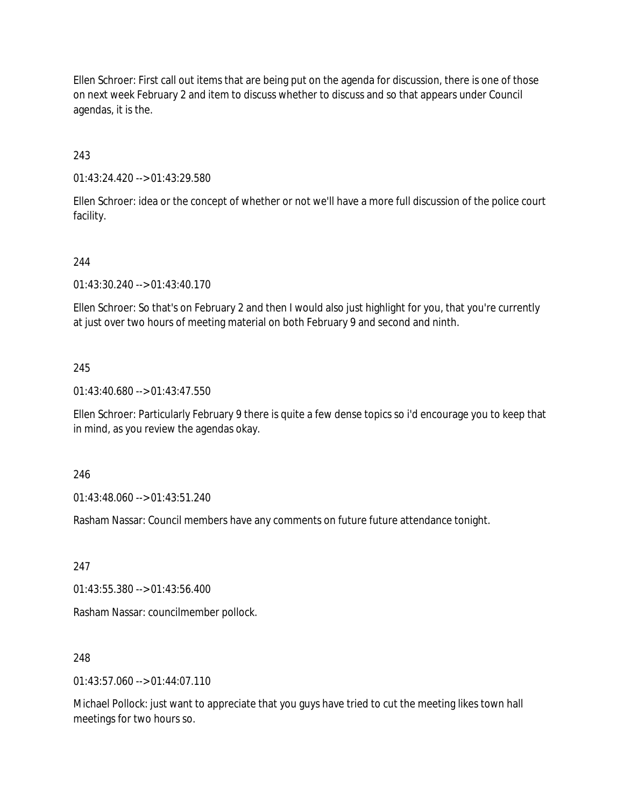Ellen Schroer: First call out items that are being put on the agenda for discussion, there is one of those on next week February 2 and item to discuss whether to discuss and so that appears under Council agendas, it is the.

243

01:43:24.420 --> 01:43:29.580

Ellen Schroer: idea or the concept of whether or not we'll have a more full discussion of the police court facility.

## 244

01:43:30.240 --> 01:43:40.170

Ellen Schroer: So that's on February 2 and then I would also just highlight for you, that you're currently at just over two hours of meeting material on both February 9 and second and ninth.

### 245

01:43:40.680 --> 01:43:47.550

Ellen Schroer: Particularly February 9 there is quite a few dense topics so i'd encourage you to keep that in mind, as you review the agendas okay.

246

01:43:48.060 --> 01:43:51.240

Rasham Nassar: Council members have any comments on future future attendance tonight.

247

01:43:55.380 --> 01:43:56.400

Rasham Nassar: councilmember pollock.

### 248

01:43:57.060 --> 01:44:07.110

Michael Pollock: just want to appreciate that you guys have tried to cut the meeting likes town hall meetings for two hours so.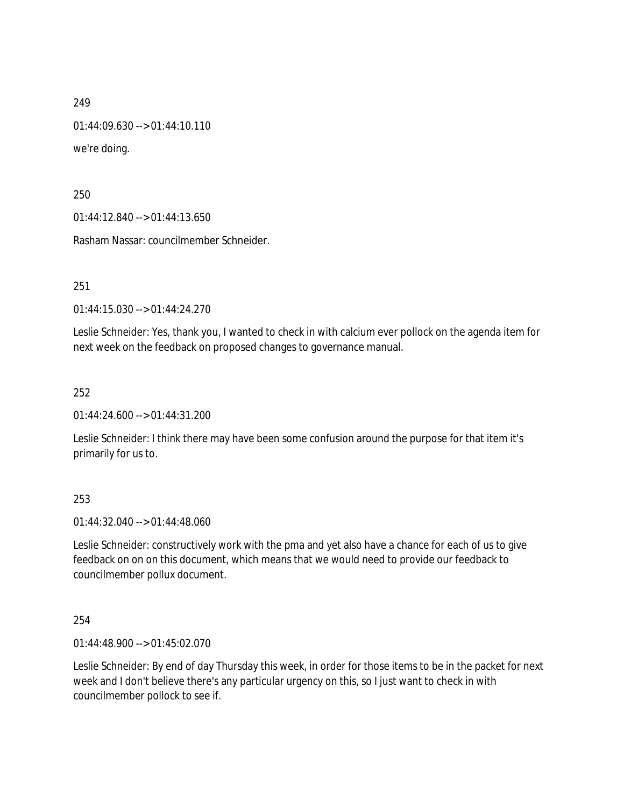01:44:09.630 --> 01:44:10.110

we're doing.

250

01:44:12.840 --> 01:44:13.650

Rasham Nassar: councilmember Schneider.

251

01:44:15.030 --> 01:44:24.270

Leslie Schneider: Yes, thank you, I wanted to check in with calcium ever pollock on the agenda item for next week on the feedback on proposed changes to governance manual.

252

01:44:24.600 --> 01:44:31.200

Leslie Schneider: I think there may have been some confusion around the purpose for that item it's primarily for us to.

### 253

01:44:32.040 --> 01:44:48.060

Leslie Schneider: constructively work with the pma and yet also have a chance for each of us to give feedback on on on this document, which means that we would need to provide our feedback to councilmember pollux document.

254

01:44:48.900 --> 01:45:02.070

Leslie Schneider: By end of day Thursday this week, in order for those items to be in the packet for next week and I don't believe there's any particular urgency on this, so I just want to check in with councilmember pollock to see if.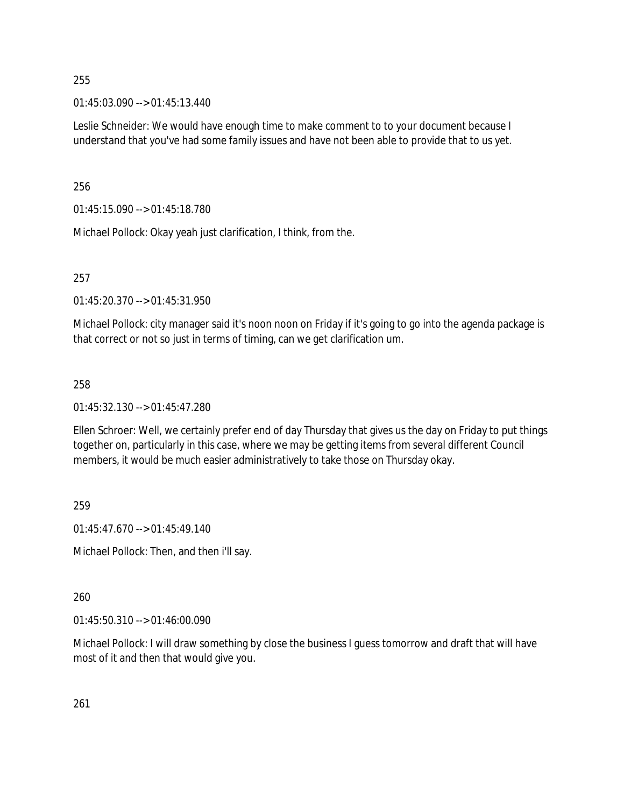01:45:03.090 --> 01:45:13.440

Leslie Schneider: We would have enough time to make comment to to your document because I understand that you've had some family issues and have not been able to provide that to us yet.

256

01:45:15.090 --> 01:45:18.780

Michael Pollock: Okay yeah just clarification, I think, from the.

257

01:45:20.370 --> 01:45:31.950

Michael Pollock: city manager said it's noon noon on Friday if it's going to go into the agenda package is that correct or not so just in terms of timing, can we get clarification um.

258

01:45:32.130 --> 01:45:47.280

Ellen Schroer: Well, we certainly prefer end of day Thursday that gives us the day on Friday to put things together on, particularly in this case, where we may be getting items from several different Council members, it would be much easier administratively to take those on Thursday okay.

259

01:45:47.670 --> 01:45:49.140

Michael Pollock: Then, and then i'll say.

260

01:45:50.310 --> 01:46:00.090

Michael Pollock: I will draw something by close the business I guess tomorrow and draft that will have most of it and then that would give you.

261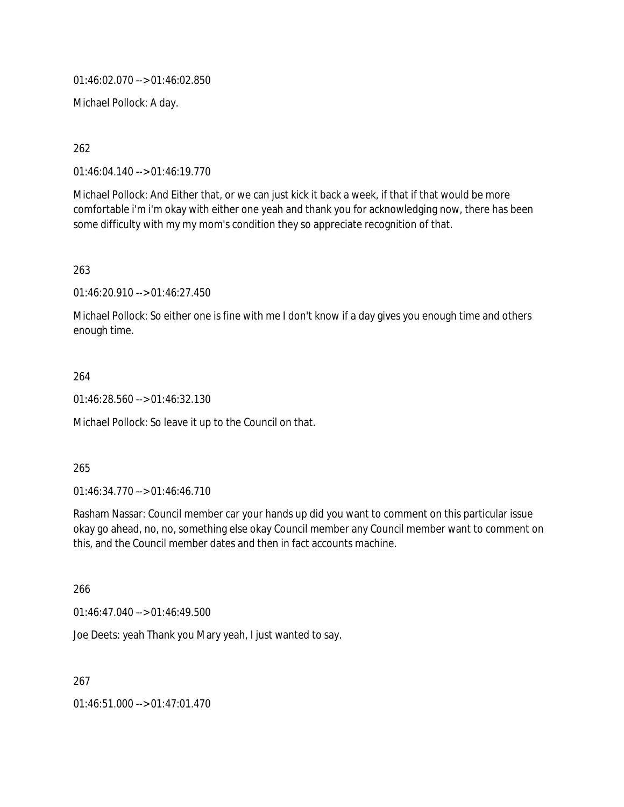01:46:02.070 --> 01:46:02.850

Michael Pollock: A day.

262

01:46:04.140 --> 01:46:19.770

Michael Pollock: And Either that, or we can just kick it back a week, if that if that would be more comfortable i'm i'm okay with either one yeah and thank you for acknowledging now, there has been some difficulty with my my mom's condition they so appreciate recognition of that.

263

01:46:20.910 --> 01:46:27.450

Michael Pollock: So either one is fine with me I don't know if a day gives you enough time and others enough time.

264

01:46:28.560 --> 01:46:32.130

Michael Pollock: So leave it up to the Council on that.

265

01:46:34.770 --> 01:46:46.710

Rasham Nassar: Council member car your hands up did you want to comment on this particular issue okay go ahead, no, no, something else okay Council member any Council member want to comment on this, and the Council member dates and then in fact accounts machine.

266

01:46:47.040 --> 01:46:49.500

Joe Deets: yeah Thank you Mary yeah, I just wanted to say.

267

01:46:51.000 --> 01:47:01.470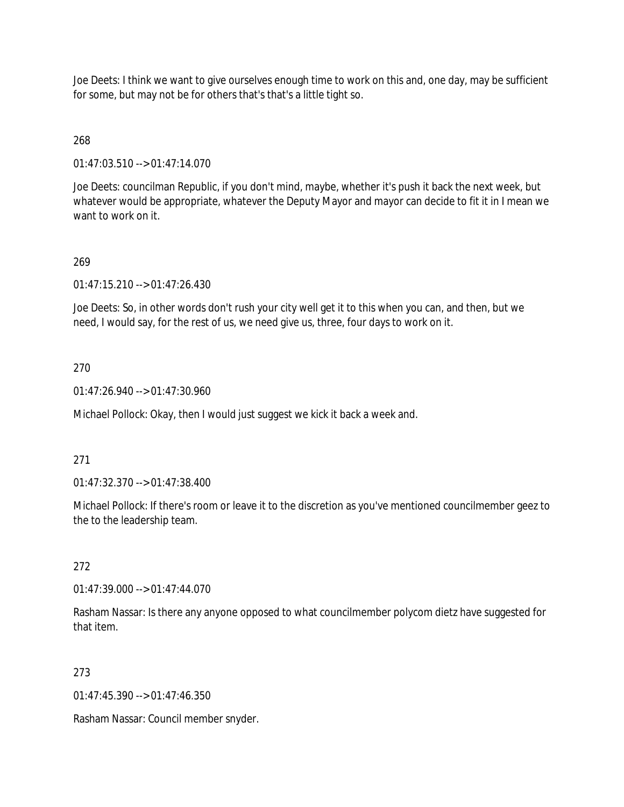Joe Deets: I think we want to give ourselves enough time to work on this and, one day, may be sufficient for some, but may not be for others that's that's a little tight so.

# 268

01:47:03.510 --> 01:47:14.070

Joe Deets: councilman Republic, if you don't mind, maybe, whether it's push it back the next week, but whatever would be appropriate, whatever the Deputy Mayor and mayor can decide to fit it in I mean we want to work on it.

## 269

01:47:15.210 --> 01:47:26.430

Joe Deets: So, in other words don't rush your city well get it to this when you can, and then, but we need, I would say, for the rest of us, we need give us, three, four days to work on it.

### 270

01:47:26.940 --> 01:47:30.960

Michael Pollock: Okay, then I would just suggest we kick it back a week and.

### 271

01:47:32.370 --> 01:47:38.400

Michael Pollock: If there's room or leave it to the discretion as you've mentioned councilmember geez to the to the leadership team.

### 272

01:47:39.000 --> 01:47:44.070

Rasham Nassar: Is there any anyone opposed to what councilmember polycom dietz have suggested for that item.

### 273

01:47:45.390 --> 01:47:46.350

Rasham Nassar: Council member snyder.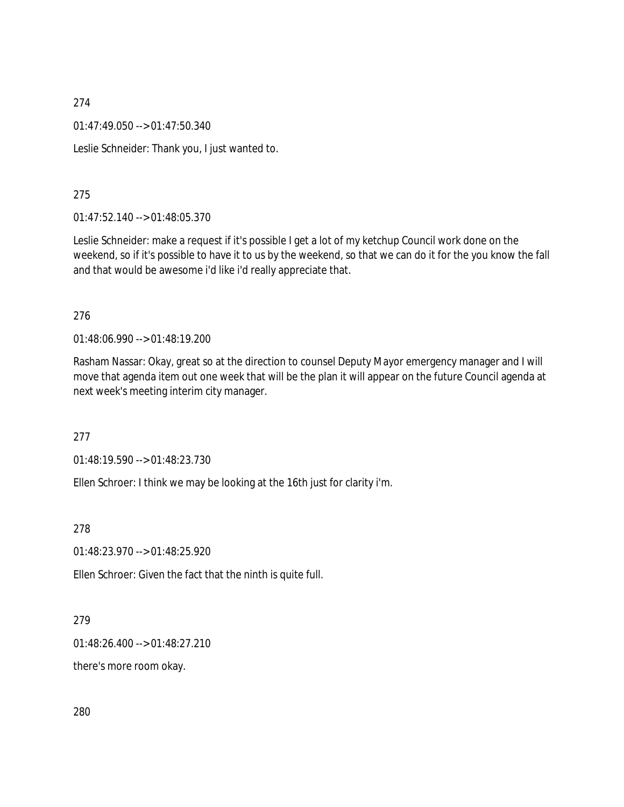01:47:49.050 --> 01:47:50.340

Leslie Schneider: Thank you, I just wanted to.

### 275

01:47:52.140 --> 01:48:05.370

Leslie Schneider: make a request if it's possible I get a lot of my ketchup Council work done on the weekend, so if it's possible to have it to us by the weekend, so that we can do it for the you know the fall and that would be awesome i'd like i'd really appreciate that.

### 276

01:48:06.990 --> 01:48:19.200

Rasham Nassar: Okay, great so at the direction to counsel Deputy Mayor emergency manager and I will move that agenda item out one week that will be the plan it will appear on the future Council agenda at next week's meeting interim city manager.

277

01:48:19.590 --> 01:48:23.730

Ellen Schroer: I think we may be looking at the 16th just for clarity i'm.

278

01:48:23.970 --> 01:48:25.920

Ellen Schroer: Given the fact that the ninth is quite full.

### 279

01:48:26.400 --> 01:48:27.210

there's more room okay.

280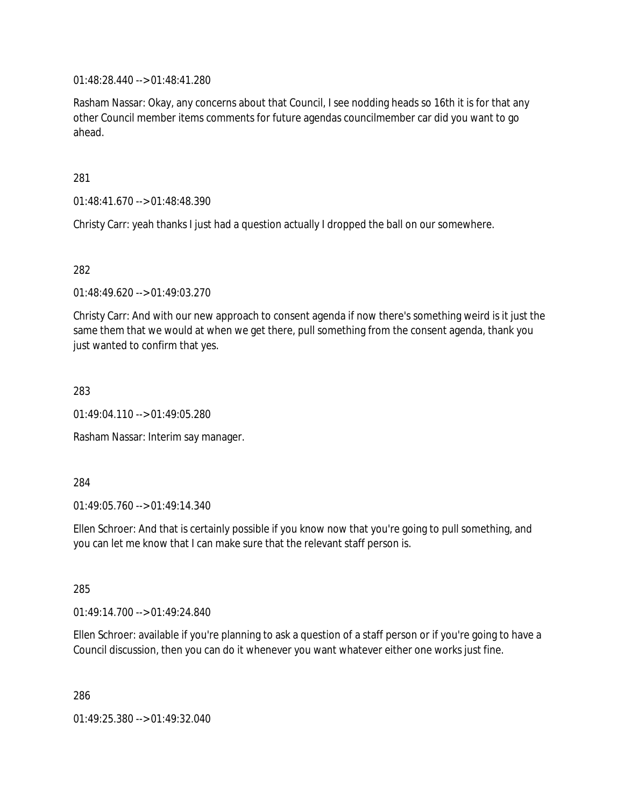01:48:28.440 --> 01:48:41.280

Rasham Nassar: Okay, any concerns about that Council, I see nodding heads so 16th it is for that any other Council member items comments for future agendas councilmember car did you want to go ahead.

281

01:48:41.670 --> 01:48:48.390

Christy Carr: yeah thanks I just had a question actually I dropped the ball on our somewhere.

282

01:48:49.620 --> 01:49:03.270

Christy Carr: And with our new approach to consent agenda if now there's something weird is it just the same them that we would at when we get there, pull something from the consent agenda, thank you just wanted to confirm that yes.

283

01:49:04.110 --> 01:49:05.280

Rasham Nassar: Interim say manager.

284

01:49:05.760 --> 01:49:14.340

Ellen Schroer: And that is certainly possible if you know now that you're going to pull something, and you can let me know that I can make sure that the relevant staff person is.

285

01:49:14.700 --> 01:49:24.840

Ellen Schroer: available if you're planning to ask a question of a staff person or if you're going to have a Council discussion, then you can do it whenever you want whatever either one works just fine.

286

01:49:25.380 --> 01:49:32.040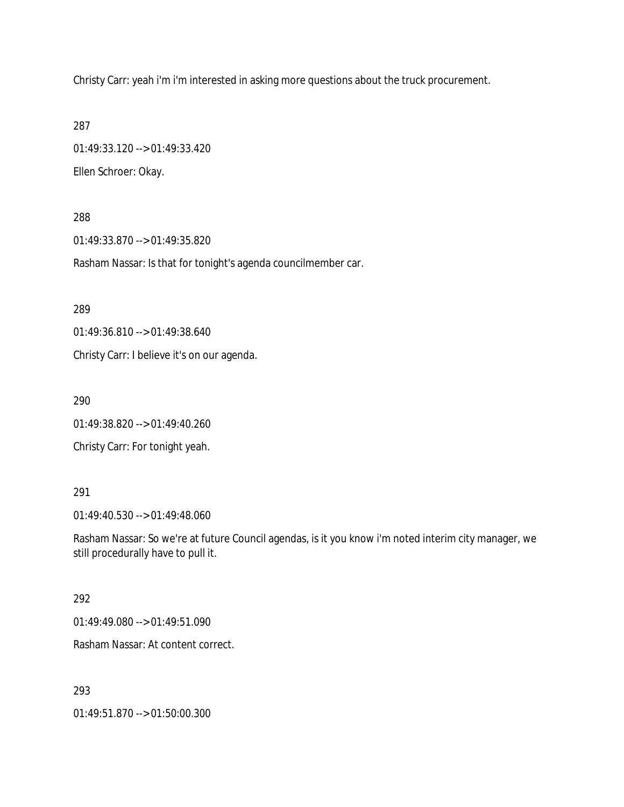Christy Carr: yeah i'm i'm interested in asking more questions about the truck procurement.

287

01:49:33.120 --> 01:49:33.420 Ellen Schroer: Okay.

288

01:49:33.870 --> 01:49:35.820

Rasham Nassar: Is that for tonight's agenda councilmember car.

289

01:49:36.810 --> 01:49:38.640

Christy Carr: I believe it's on our agenda.

290

01:49:38.820 --> 01:49:40.260

Christy Carr: For tonight yeah.

#### 291

01:49:40.530 --> 01:49:48.060

Rasham Nassar: So we're at future Council agendas, is it you know i'm noted interim city manager, we still procedurally have to pull it.

#### 292

01:49:49.080 --> 01:49:51.090

Rasham Nassar: At content correct.

293

01:49:51.870 --> 01:50:00.300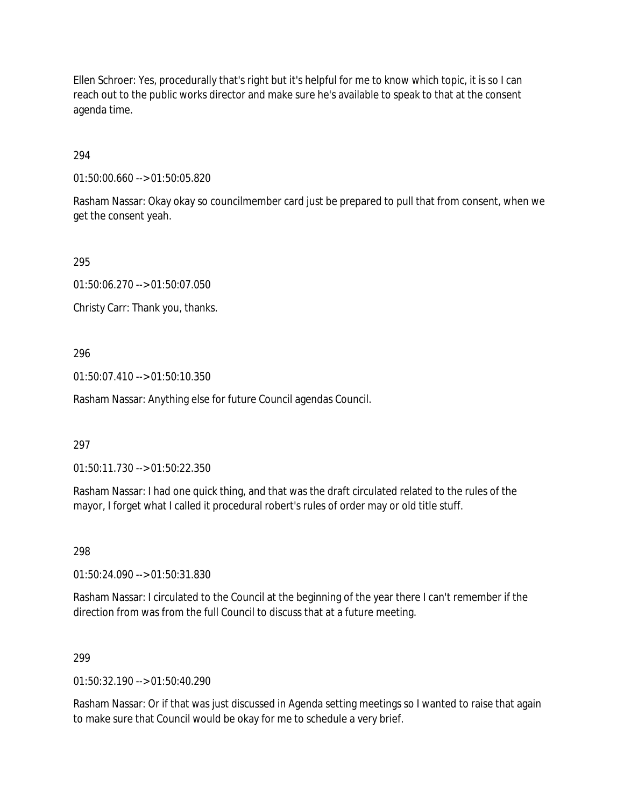Ellen Schroer: Yes, procedurally that's right but it's helpful for me to know which topic, it is so I can reach out to the public works director and make sure he's available to speak to that at the consent agenda time.

# 294

01:50:00.660 --> 01:50:05.820

Rasham Nassar: Okay okay so councilmember card just be prepared to pull that from consent, when we get the consent yeah.

## 295

01:50:06.270 --> 01:50:07.050

Christy Carr: Thank you, thanks.

# 296

01:50:07.410 --> 01:50:10.350

Rasham Nassar: Anything else for future Council agendas Council.

# 297

01:50:11.730 --> 01:50:22.350

Rasham Nassar: I had one quick thing, and that was the draft circulated related to the rules of the mayor, I forget what I called it procedural robert's rules of order may or old title stuff.

298

01:50:24.090 --> 01:50:31.830

Rasham Nassar: I circulated to the Council at the beginning of the year there I can't remember if the direction from was from the full Council to discuss that at a future meeting.

### 299

 $01:50:32.190 \rightarrow 01:50:40.290$ 

Rasham Nassar: Or if that was just discussed in Agenda setting meetings so I wanted to raise that again to make sure that Council would be okay for me to schedule a very brief.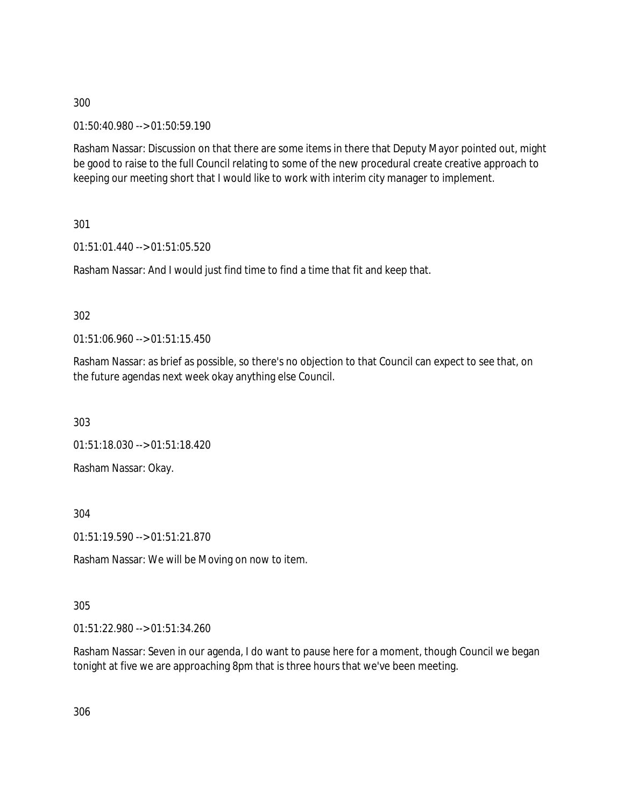01:50:40.980 --> 01:50:59.190

Rasham Nassar: Discussion on that there are some items in there that Deputy Mayor pointed out, might be good to raise to the full Council relating to some of the new procedural create creative approach to keeping our meeting short that I would like to work with interim city manager to implement.

301

01:51:01.440 --> 01:51:05.520

Rasham Nassar: And I would just find time to find a time that fit and keep that.

302

01:51:06.960 --> 01:51:15.450

Rasham Nassar: as brief as possible, so there's no objection to that Council can expect to see that, on the future agendas next week okay anything else Council.

303

01:51:18.030 --> 01:51:18.420

Rasham Nassar: Okay.

304

01:51:19.590 --> 01:51:21.870

Rasham Nassar: We will be Moving on now to item.

305

01:51:22.980 --> 01:51:34.260

Rasham Nassar: Seven in our agenda, I do want to pause here for a moment, though Council we began tonight at five we are approaching 8pm that is three hours that we've been meeting.

306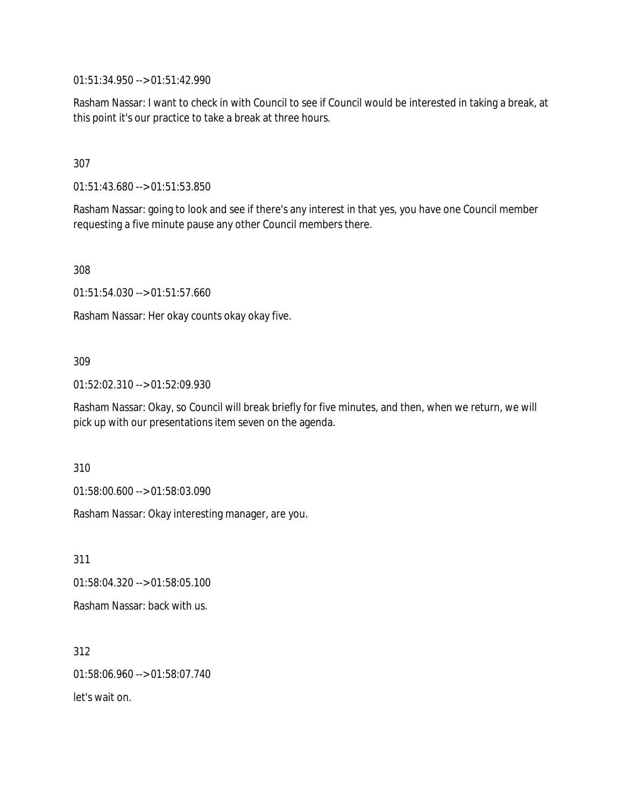01:51:34.950 --> 01:51:42.990

Rasham Nassar: I want to check in with Council to see if Council would be interested in taking a break, at this point it's our practice to take a break at three hours.

307

01:51:43.680 --> 01:51:53.850

Rasham Nassar: going to look and see if there's any interest in that yes, you have one Council member requesting a five minute pause any other Council members there.

308

01:51:54.030 --> 01:51:57.660

Rasham Nassar: Her okay counts okay okay five.

### 309

01:52:02.310 --> 01:52:09.930

Rasham Nassar: Okay, so Council will break briefly for five minutes, and then, when we return, we will pick up with our presentations item seven on the agenda.

310

01:58:00.600 --> 01:58:03.090

Rasham Nassar: Okay interesting manager, are you.

311 01:58:04.320 --> 01:58:05.100 Rasham Nassar: back with us.

312 01:58:06.960 --> 01:58:07.740 let's wait on.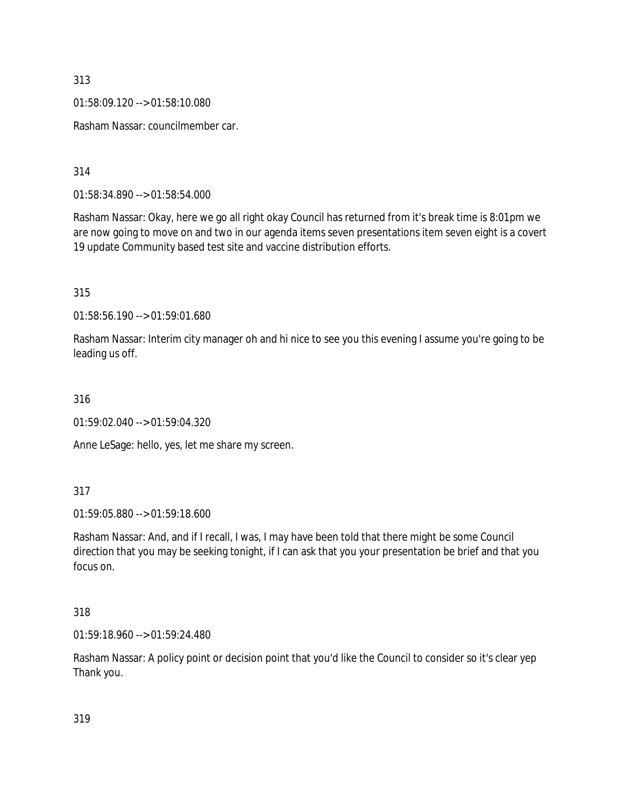01:58:09.120 --> 01:58:10.080

Rasham Nassar: councilmember car.

314

01:58:34.890 --> 01:58:54.000

Rasham Nassar: Okay, here we go all right okay Council has returned from it's break time is 8:01pm we are now going to move on and two in our agenda items seven presentations item seven eight is a covert 19 update Community based test site and vaccine distribution efforts.

315

01:58:56.190 --> 01:59:01.680

Rasham Nassar: Interim city manager oh and hi nice to see you this evening I assume you're going to be leading us off.

316

01:59:02.040 --> 01:59:04.320

Anne LeSage: hello, yes, let me share my screen.

317

01:59:05.880 --> 01:59:18.600

Rasham Nassar: And, and if I recall, I was, I may have been told that there might be some Council direction that you may be seeking tonight, if I can ask that you your presentation be brief and that you focus on.

## 318

01:59:18.960 --> 01:59:24.480

Rasham Nassar: A policy point or decision point that you'd like the Council to consider so it's clear yep Thank you.

319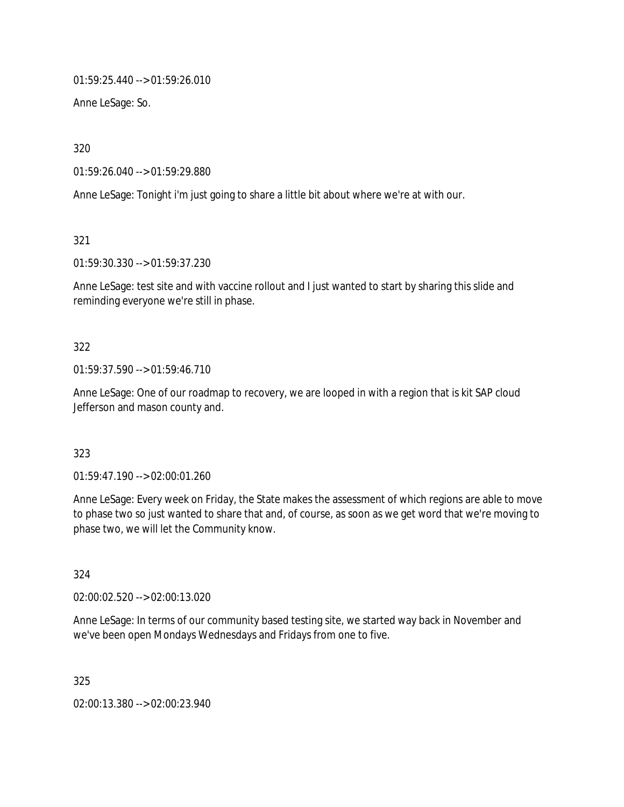01:59:25.440 --> 01:59:26.010

Anne LeSage: So.

320

01:59:26.040 --> 01:59:29.880

Anne LeSage: Tonight i'm just going to share a little bit about where we're at with our.

321

01:59:30.330 --> 01:59:37.230

Anne LeSage: test site and with vaccine rollout and I just wanted to start by sharing this slide and reminding everyone we're still in phase.

### 322

01:59:37.590 --> 01:59:46.710

Anne LeSage: One of our roadmap to recovery, we are looped in with a region that is kit SAP cloud Jefferson and mason county and.

### 323

01:59:47.190 --> 02:00:01.260

Anne LeSage: Every week on Friday, the State makes the assessment of which regions are able to move to phase two so just wanted to share that and, of course, as soon as we get word that we're moving to phase two, we will let the Community know.

324

02:00:02.520 --> 02:00:13.020

Anne LeSage: In terms of our community based testing site, we started way back in November and we've been open Mondays Wednesdays and Fridays from one to five.

325

02:00:13.380 --> 02:00:23.940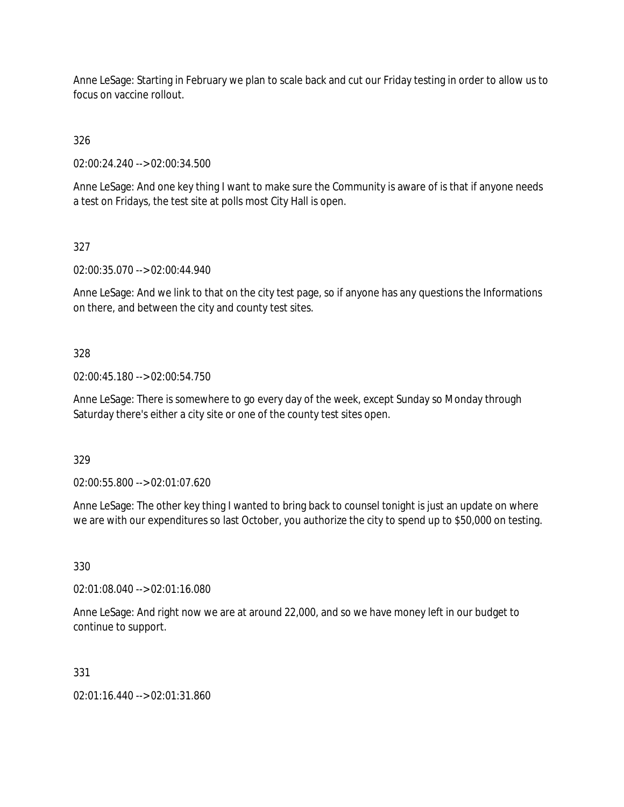Anne LeSage: Starting in February we plan to scale back and cut our Friday testing in order to allow us to focus on vaccine rollout.

326

02:00:24.240 --> 02:00:34.500

Anne LeSage: And one key thing I want to make sure the Community is aware of is that if anyone needs a test on Fridays, the test site at polls most City Hall is open.

# 327

02:00:35.070 --> 02:00:44.940

Anne LeSage: And we link to that on the city test page, so if anyone has any questions the Informations on there, and between the city and county test sites.

## 328

02:00:45.180 --> 02:00:54.750

Anne LeSage: There is somewhere to go every day of the week, except Sunday so Monday through Saturday there's either a city site or one of the county test sites open.

329

02:00:55.800 --> 02:01:07.620

Anne LeSage: The other key thing I wanted to bring back to counsel tonight is just an update on where we are with our expenditures so last October, you authorize the city to spend up to \$50,000 on testing.

330

02:01:08.040 --> 02:01:16.080

Anne LeSage: And right now we are at around 22,000, and so we have money left in our budget to continue to support.

### 331

02:01:16.440 --> 02:01:31.860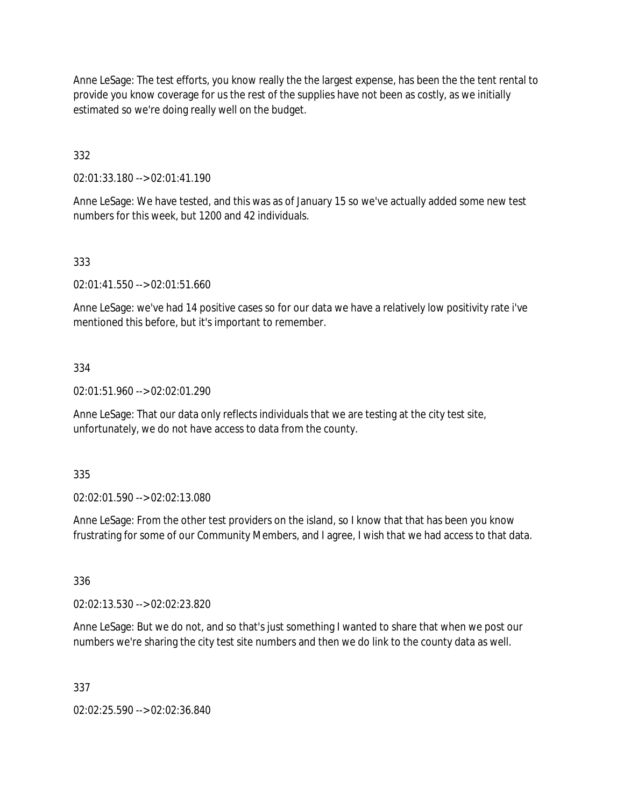Anne LeSage: The test efforts, you know really the the largest expense, has been the the tent rental to provide you know coverage for us the rest of the supplies have not been as costly, as we initially estimated so we're doing really well on the budget.

332

02:01:33.180 --> 02:01:41.190

Anne LeSage: We have tested, and this was as of January 15 so we've actually added some new test numbers for this week, but 1200 and 42 individuals.

## 333

02:01:41.550 --> 02:01:51.660

Anne LeSage: we've had 14 positive cases so for our data we have a relatively low positivity rate i've mentioned this before, but it's important to remember.

### 334

02:01:51.960 --> 02:02:01.290

Anne LeSage: That our data only reflects individuals that we are testing at the city test site, unfortunately, we do not have access to data from the county.

### 335

02:02:01.590 --> 02:02:13.080

Anne LeSage: From the other test providers on the island, so I know that that has been you know frustrating for some of our Community Members, and I agree, I wish that we had access to that data.

336

02:02:13.530 --> 02:02:23.820

Anne LeSage: But we do not, and so that's just something I wanted to share that when we post our numbers we're sharing the city test site numbers and then we do link to the county data as well.

### 337

02:02:25.590 --> 02:02:36.840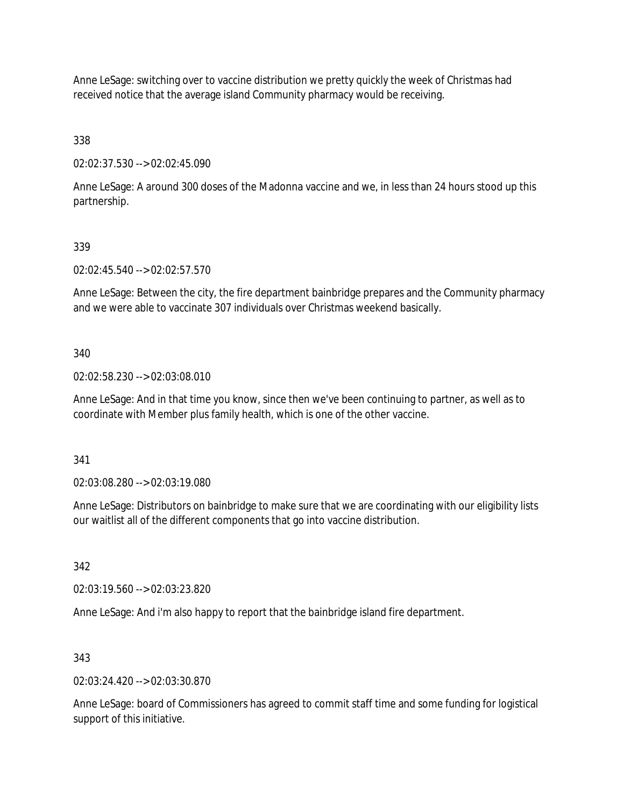Anne LeSage: switching over to vaccine distribution we pretty quickly the week of Christmas had received notice that the average island Community pharmacy would be receiving.

338

02:02:37.530 --> 02:02:45.090

Anne LeSage: A around 300 doses of the Madonna vaccine and we, in less than 24 hours stood up this partnership.

## 339

02:02:45.540 --> 02:02:57.570

Anne LeSage: Between the city, the fire department bainbridge prepares and the Community pharmacy and we were able to vaccinate 307 individuals over Christmas weekend basically.

### 340

02:02:58.230 --> 02:03:08.010

Anne LeSage: And in that time you know, since then we've been continuing to partner, as well as to coordinate with Member plus family health, which is one of the other vaccine.

341

02:03:08.280 --> 02:03:19.080

Anne LeSage: Distributors on bainbridge to make sure that we are coordinating with our eligibility lists our waitlist all of the different components that go into vaccine distribution.

342

02:03:19.560 --> 02:03:23.820

Anne LeSage: And i'm also happy to report that the bainbridge island fire department.

### 343

02:03:24.420 --> 02:03:30.870

Anne LeSage: board of Commissioners has agreed to commit staff time and some funding for logistical support of this initiative.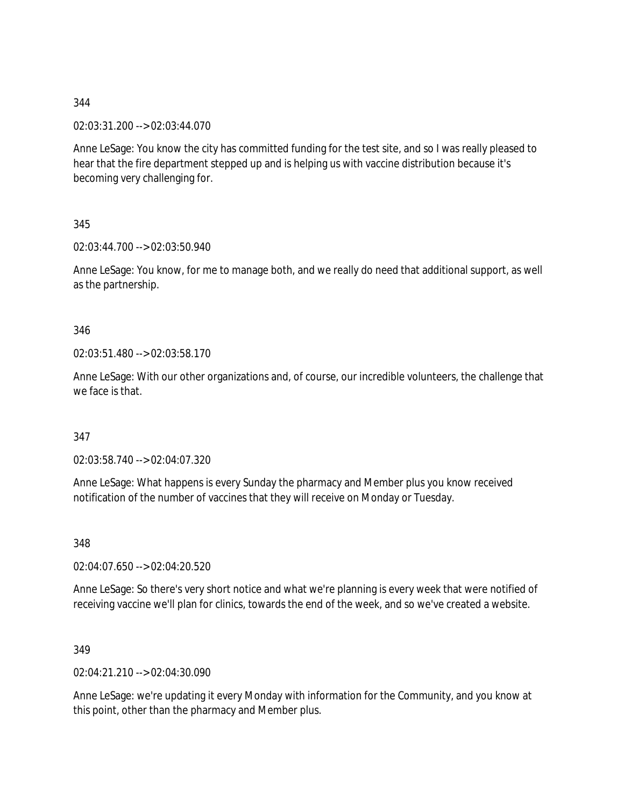02:03:31.200 --> 02:03:44.070

Anne LeSage: You know the city has committed funding for the test site, and so I was really pleased to hear that the fire department stepped up and is helping us with vaccine distribution because it's becoming very challenging for.

345

02:03:44.700 --> 02:03:50.940

Anne LeSage: You know, for me to manage both, and we really do need that additional support, as well as the partnership.

346

02:03:51.480 --> 02:03:58.170

Anne LeSage: With our other organizations and, of course, our incredible volunteers, the challenge that we face is that.

347

02:03:58.740 --> 02:04:07.320

Anne LeSage: What happens is every Sunday the pharmacy and Member plus you know received notification of the number of vaccines that they will receive on Monday or Tuesday.

348

02:04:07.650 --> 02:04:20.520

Anne LeSage: So there's very short notice and what we're planning is every week that were notified of receiving vaccine we'll plan for clinics, towards the end of the week, and so we've created a website.

349

02:04:21.210 --> 02:04:30.090

Anne LeSage: we're updating it every Monday with information for the Community, and you know at this point, other than the pharmacy and Member plus.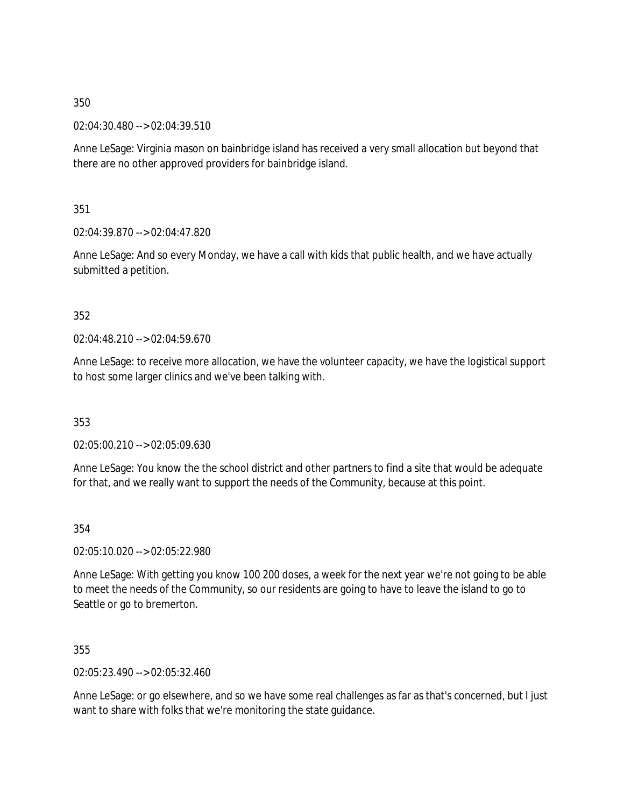02:04:30.480 --> 02:04:39.510

Anne LeSage: Virginia mason on bainbridge island has received a very small allocation but beyond that there are no other approved providers for bainbridge island.

351

02:04:39.870 --> 02:04:47.820

Anne LeSage: And so every Monday, we have a call with kids that public health, and we have actually submitted a petition.

352

02:04:48.210 --> 02:04:59.670

Anne LeSage: to receive more allocation, we have the volunteer capacity, we have the logistical support to host some larger clinics and we've been talking with.

353

02:05:00.210 --> 02:05:09.630

Anne LeSage: You know the the school district and other partners to find a site that would be adequate for that, and we really want to support the needs of the Community, because at this point.

354

02:05:10.020 --> 02:05:22.980

Anne LeSage: With getting you know 100 200 doses, a week for the next year we're not going to be able to meet the needs of the Community, so our residents are going to have to leave the island to go to Seattle or go to bremerton.

355

02:05:23.490 --> 02:05:32.460

Anne LeSage: or go elsewhere, and so we have some real challenges as far as that's concerned, but I just want to share with folks that we're monitoring the state guidance.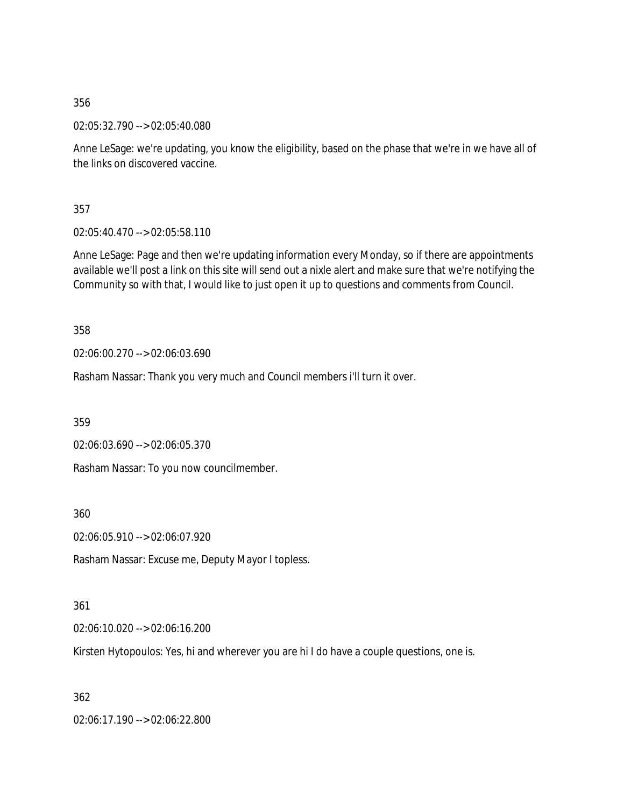02:05:32.790 --> 02:05:40.080

Anne LeSage: we're updating, you know the eligibility, based on the phase that we're in we have all of the links on discovered vaccine.

357

02:05:40.470 --> 02:05:58.110

Anne LeSage: Page and then we're updating information every Monday, so if there are appointments available we'll post a link on this site will send out a nixle alert and make sure that we're notifying the Community so with that, I would like to just open it up to questions and comments from Council.

358

02:06:00.270 --> 02:06:03.690

Rasham Nassar: Thank you very much and Council members i'll turn it over.

359

02:06:03.690 --> 02:06:05.370

Rasham Nassar: To you now councilmember.

360

02:06:05.910 --> 02:06:07.920

Rasham Nassar: Excuse me, Deputy Mayor I topless.

### 361

02:06:10.020 --> 02:06:16.200

Kirsten Hytopoulos: Yes, hi and wherever you are hi I do have a couple questions, one is.

362

02:06:17.190 --> 02:06:22.800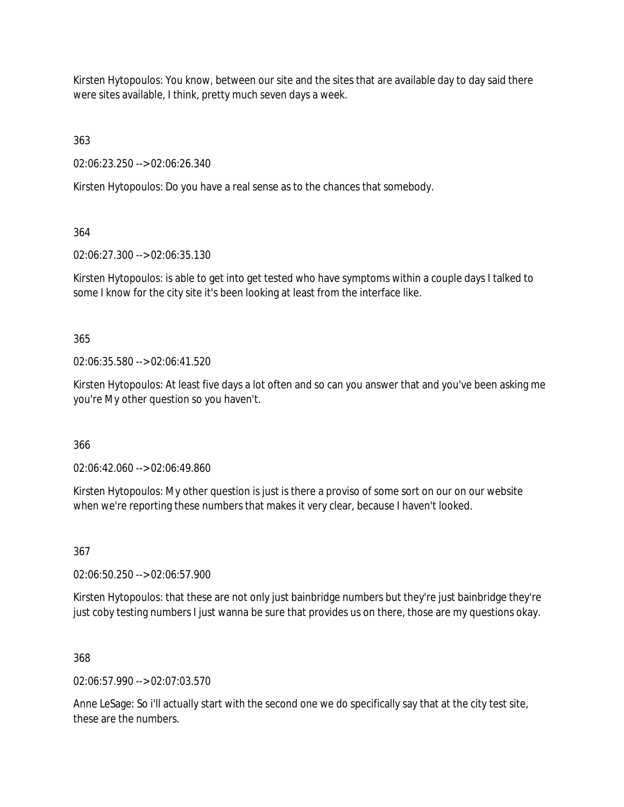Kirsten Hytopoulos: You know, between our site and the sites that are available day to day said there were sites available, I think, pretty much seven days a week.

363

02:06:23.250 --> 02:06:26.340

Kirsten Hytopoulos: Do you have a real sense as to the chances that somebody.

364

02:06:27.300 --> 02:06:35.130

Kirsten Hytopoulos: is able to get into get tested who have symptoms within a couple days I talked to some I know for the city site it's been looking at least from the interface like.

365

02:06:35.580 --> 02:06:41.520

Kirsten Hytopoulos: At least five days a lot often and so can you answer that and you've been asking me you're My other question so you haven't.

366

02:06:42.060 --> 02:06:49.860

Kirsten Hytopoulos: My other question is just is there a proviso of some sort on our on our website when we're reporting these numbers that makes it very clear, because I haven't looked.

367

02:06:50.250 --> 02:06:57.900

Kirsten Hytopoulos: that these are not only just bainbridge numbers but they're just bainbridge they're just coby testing numbers I just wanna be sure that provides us on there, those are my questions okay.

368

02:06:57.990 --> 02:07:03.570

Anne LeSage: So i'll actually start with the second one we do specifically say that at the city test site, these are the numbers.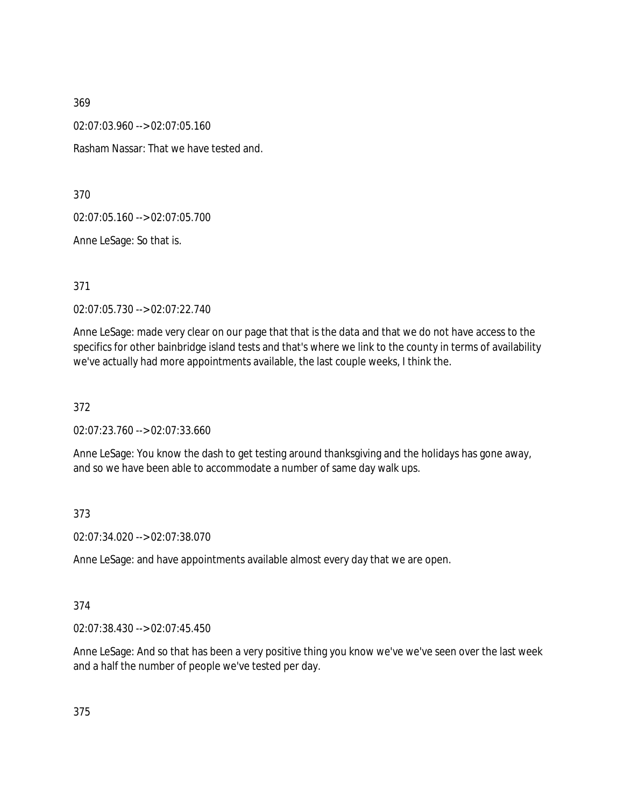02:07:03.960 --> 02:07:05.160

Rasham Nassar: That we have tested and.

370

02:07:05.160 --> 02:07:05.700

Anne LeSage: So that is.

371

02:07:05.730 --> 02:07:22.740

Anne LeSage: made very clear on our page that that is the data and that we do not have access to the specifics for other bainbridge island tests and that's where we link to the county in terms of availability we've actually had more appointments available, the last couple weeks, I think the.

372

02:07:23.760 --> 02:07:33.660

Anne LeSage: You know the dash to get testing around thanksgiving and the holidays has gone away, and so we have been able to accommodate a number of same day walk ups.

373

02:07:34.020 --> 02:07:38.070

Anne LeSage: and have appointments available almost every day that we are open.

374

02:07:38.430 --> 02:07:45.450

Anne LeSage: And so that has been a very positive thing you know we've we've seen over the last week and a half the number of people we've tested per day.

375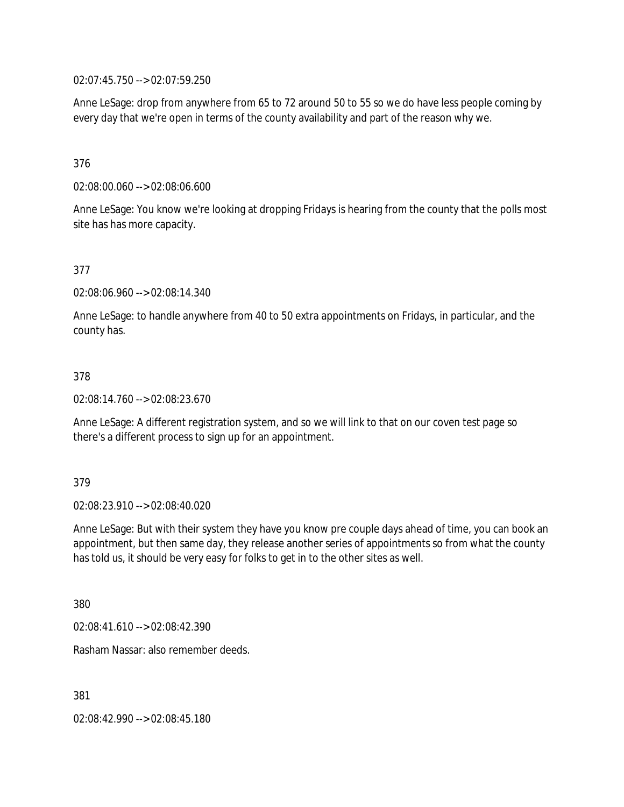02:07:45.750 --> 02:07:59.250

Anne LeSage: drop from anywhere from 65 to 72 around 50 to 55 so we do have less people coming by every day that we're open in terms of the county availability and part of the reason why we.

### 376

02:08:00.060 --> 02:08:06.600

Anne LeSage: You know we're looking at dropping Fridays is hearing from the county that the polls most site has has more capacity.

### 377

02:08:06.960 --> 02:08:14.340

Anne LeSage: to handle anywhere from 40 to 50 extra appointments on Fridays, in particular, and the county has.

#### 378

02:08:14.760 --> 02:08:23.670

Anne LeSage: A different registration system, and so we will link to that on our coven test page so there's a different process to sign up for an appointment.

#### 379

02:08:23.910 --> 02:08:40.020

Anne LeSage: But with their system they have you know pre couple days ahead of time, you can book an appointment, but then same day, they release another series of appointments so from what the county has told us, it should be very easy for folks to get in to the other sites as well.

380

02:08:41.610 --> 02:08:42.390

Rasham Nassar: also remember deeds.

381

02:08:42.990 --> 02:08:45.180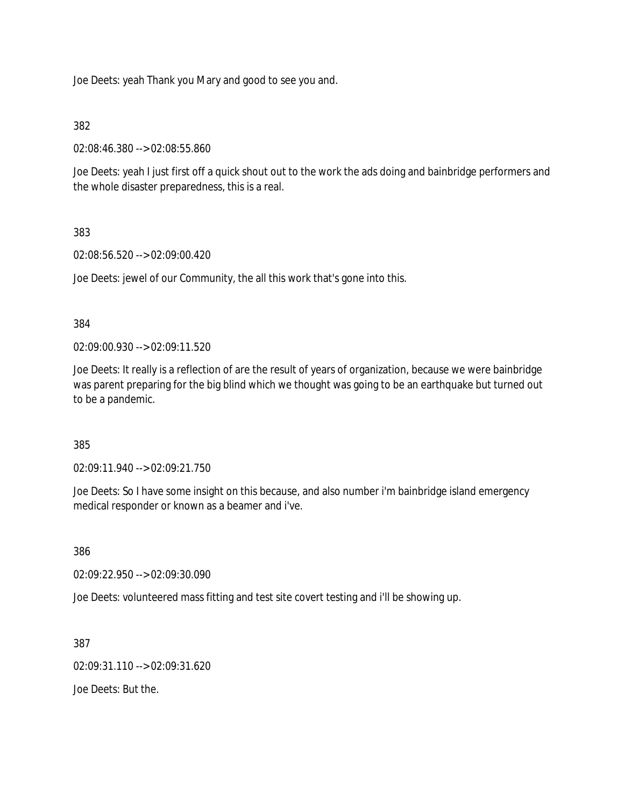Joe Deets: yeah Thank you Mary and good to see you and.

### 382

02:08:46.380 --> 02:08:55.860

Joe Deets: yeah I just first off a quick shout out to the work the ads doing and bainbridge performers and the whole disaster preparedness, this is a real.

# 383

02:08:56.520 --> 02:09:00.420

Joe Deets: jewel of our Community, the all this work that's gone into this.

### 384

02:09:00.930 --> 02:09:11.520

Joe Deets: It really is a reflection of are the result of years of organization, because we were bainbridge was parent preparing for the big blind which we thought was going to be an earthquake but turned out to be a pandemic.

### 385

02:09:11.940 --> 02:09:21.750

Joe Deets: So I have some insight on this because, and also number i'm bainbridge island emergency medical responder or known as a beamer and i've.

386

02:09:22.950 --> 02:09:30.090

Joe Deets: volunteered mass fitting and test site covert testing and i'll be showing up.

387

02:09:31.110 --> 02:09:31.620

Joe Deets: But the.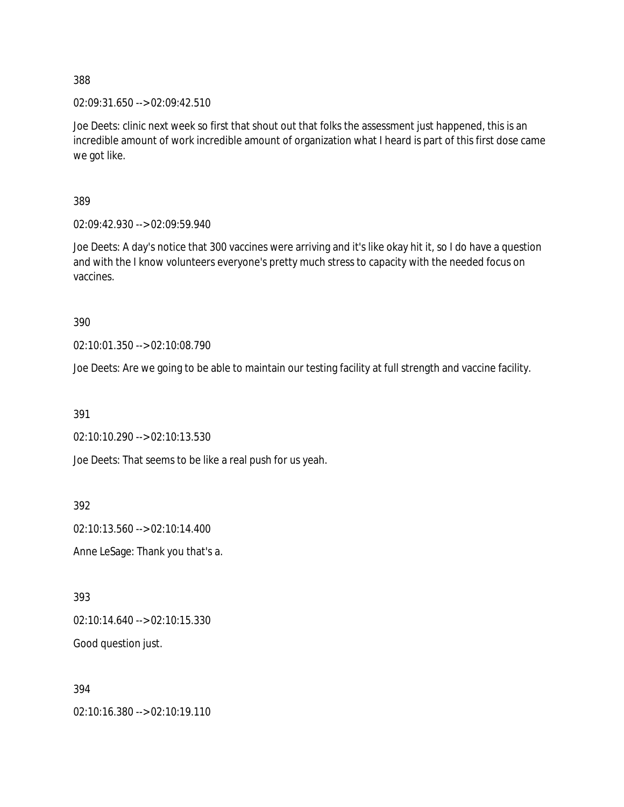02:09:31.650 --> 02:09:42.510

Joe Deets: clinic next week so first that shout out that folks the assessment just happened, this is an incredible amount of work incredible amount of organization what I heard is part of this first dose came we got like.

389

02:09:42.930 --> 02:09:59.940

Joe Deets: A day's notice that 300 vaccines were arriving and it's like okay hit it, so I do have a question and with the I know volunteers everyone's pretty much stress to capacity with the needed focus on vaccines.

390

02:10:01.350 --> 02:10:08.790

Joe Deets: Are we going to be able to maintain our testing facility at full strength and vaccine facility.

391

02:10:10.290 --> 02:10:13.530

Joe Deets: That seems to be like a real push for us yeah.

392

02:10:13.560 --> 02:10:14.400

Anne LeSage: Thank you that's a.

393

02:10:14.640 --> 02:10:15.330

Good question just.

394

02:10:16.380 --> 02:10:19.110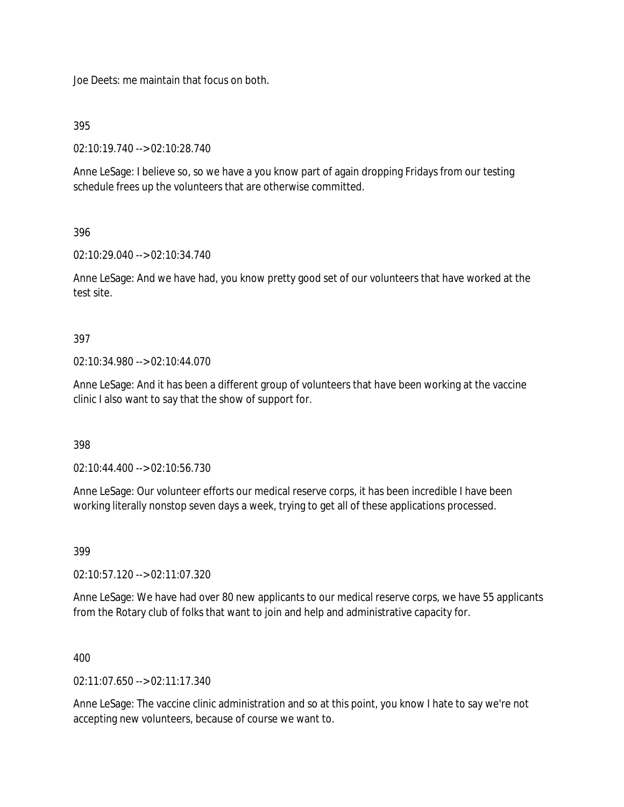Joe Deets: me maintain that focus on both.

395

02:10:19.740 --> 02:10:28.740

Anne LeSage: I believe so, so we have a you know part of again dropping Fridays from our testing schedule frees up the volunteers that are otherwise committed.

## 396

02:10:29.040 --> 02:10:34.740

Anne LeSage: And we have had, you know pretty good set of our volunteers that have worked at the test site.

## 397

02:10:34.980 --> 02:10:44.070

Anne LeSage: And it has been a different group of volunteers that have been working at the vaccine clinic I also want to say that the show of support for.

398

02:10:44.400 --> 02:10:56.730

Anne LeSage: Our volunteer efforts our medical reserve corps, it has been incredible I have been working literally nonstop seven days a week, trying to get all of these applications processed.

399

02:10:57.120 --> 02:11:07.320

Anne LeSage: We have had over 80 new applicants to our medical reserve corps, we have 55 applicants from the Rotary club of folks that want to join and help and administrative capacity for.

# 400

 $02.11.07650 - 02.11.17.340$ 

Anne LeSage: The vaccine clinic administration and so at this point, you know I hate to say we're not accepting new volunteers, because of course we want to.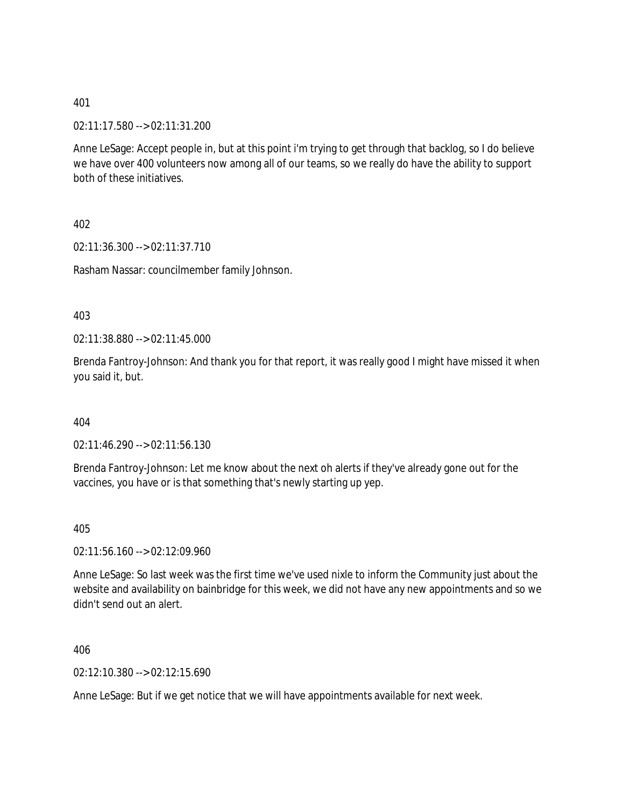02:11:17.580 --> 02:11:31.200

Anne LeSage: Accept people in, but at this point i'm trying to get through that backlog, so I do believe we have over 400 volunteers now among all of our teams, so we really do have the ability to support both of these initiatives.

402

02:11:36.300 --> 02:11:37.710

Rasham Nassar: councilmember family Johnson.

403

02:11:38.880 --> 02:11:45.000

Brenda Fantroy-Johnson: And thank you for that report, it was really good I might have missed it when you said it, but.

404

02:11:46.290 --> 02:11:56.130

Brenda Fantroy-Johnson: Let me know about the next oh alerts if they've already gone out for the vaccines, you have or is that something that's newly starting up yep.

405

02:11:56.160 --> 02:12:09.960

Anne LeSage: So last week was the first time we've used nixle to inform the Community just about the website and availability on bainbridge for this week, we did not have any new appointments and so we didn't send out an alert.

406

02:12:10.380 --> 02:12:15.690

Anne LeSage: But if we get notice that we will have appointments available for next week.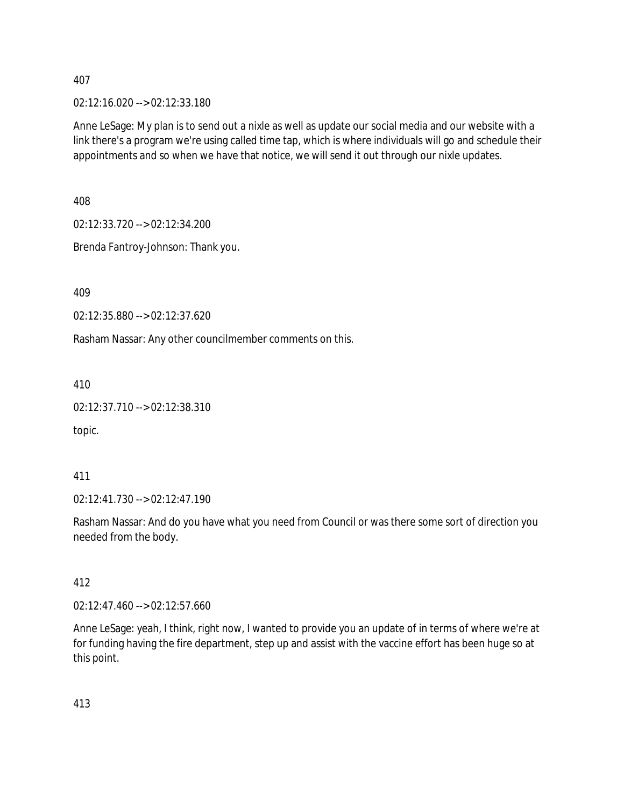02:12:16.020 --> 02:12:33.180

Anne LeSage: My plan is to send out a nixle as well as update our social media and our website with a link there's a program we're using called time tap, which is where individuals will go and schedule their appointments and so when we have that notice, we will send it out through our nixle updates.

408

02:12:33.720 --> 02:12:34.200

Brenda Fantroy-Johnson: Thank you.

409

02:12:35.880 --> 02:12:37.620

Rasham Nassar: Any other councilmember comments on this.

410

```
02:12:37.710 --> 02:12:38.310
```
topic.

411

02:12:41.730 --> 02:12:47.190

Rasham Nassar: And do you have what you need from Council or was there some sort of direction you needed from the body.

412

02:12:47.460 --> 02:12:57.660

Anne LeSage: yeah, I think, right now, I wanted to provide you an update of in terms of where we're at for funding having the fire department, step up and assist with the vaccine effort has been huge so at this point.

413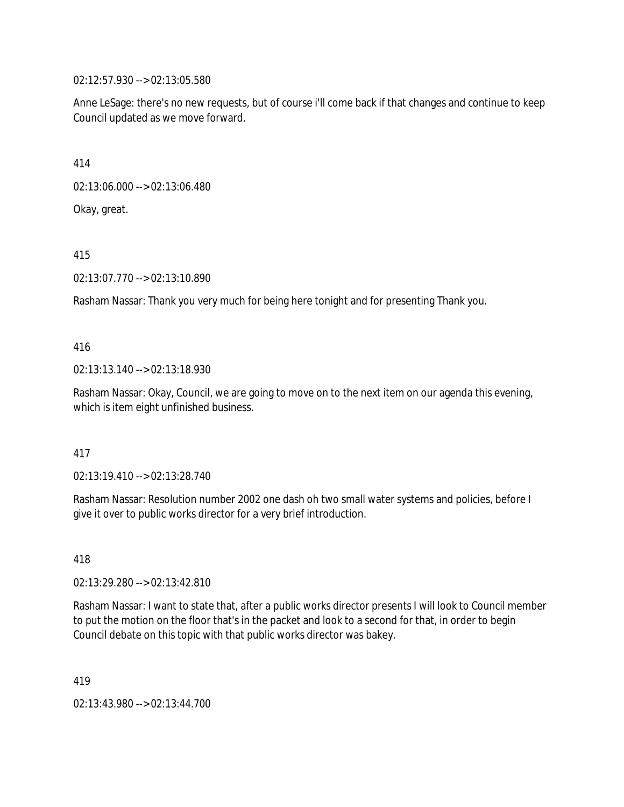02:12:57.930 --> 02:13:05.580

Anne LeSage: there's no new requests, but of course i'll come back if that changes and continue to keep Council updated as we move forward.

414

02:13:06.000 --> 02:13:06.480

Okay, great.

415

02:13:07.770 --> 02:13:10.890

Rasham Nassar: Thank you very much for being here tonight and for presenting Thank you.

416

02:13:13.140 --> 02:13:18.930

Rasham Nassar: Okay, Council, we are going to move on to the next item on our agenda this evening, which is item eight unfinished business.

417

02:13:19.410 --> 02:13:28.740

Rasham Nassar: Resolution number 2002 one dash oh two small water systems and policies, before I give it over to public works director for a very brief introduction.

418

02:13:29.280 --> 02:13:42.810

Rasham Nassar: I want to state that, after a public works director presents I will look to Council member to put the motion on the floor that's in the packet and look to a second for that, in order to begin Council debate on this topic with that public works director was bakey.

419

02:13:43.980 --> 02:13:44.700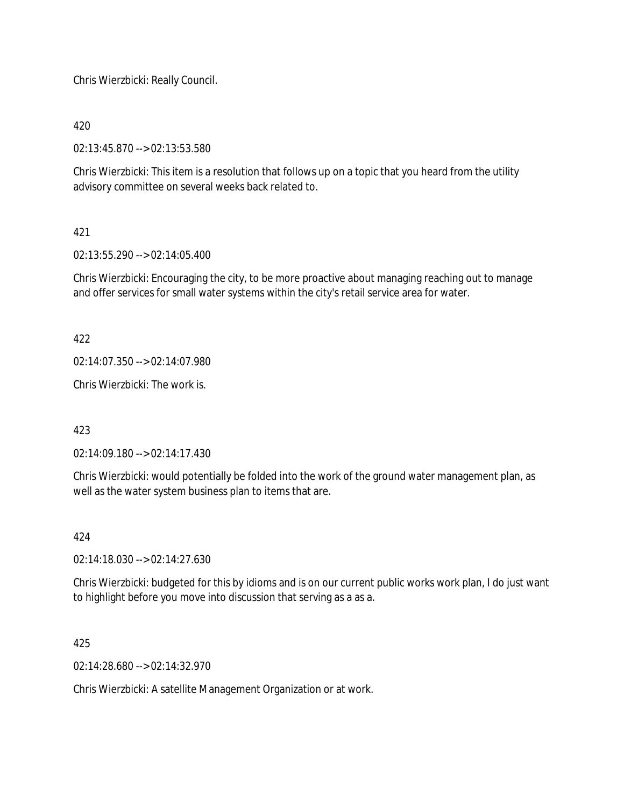Chris Wierzbicki: Really Council.

420

02:13:45.870 --> 02:13:53.580

Chris Wierzbicki: This item is a resolution that follows up on a topic that you heard from the utility advisory committee on several weeks back related to.

# 421

02:13:55.290 --> 02:14:05.400

Chris Wierzbicki: Encouraging the city, to be more proactive about managing reaching out to manage and offer services for small water systems within the city's retail service area for water.

422

02:14:07.350 --> 02:14:07.980

Chris Wierzbicki: The work is.

423

02:14:09.180 --> 02:14:17.430

Chris Wierzbicki: would potentially be folded into the work of the ground water management plan, as well as the water system business plan to items that are.

### 424

02:14:18.030 --> 02:14:27.630

Chris Wierzbicki: budgeted for this by idioms and is on our current public works work plan, I do just want to highlight before you move into discussion that serving as a as a.

425

02:14:28.680 --> 02:14:32.970

Chris Wierzbicki: A satellite Management Organization or at work.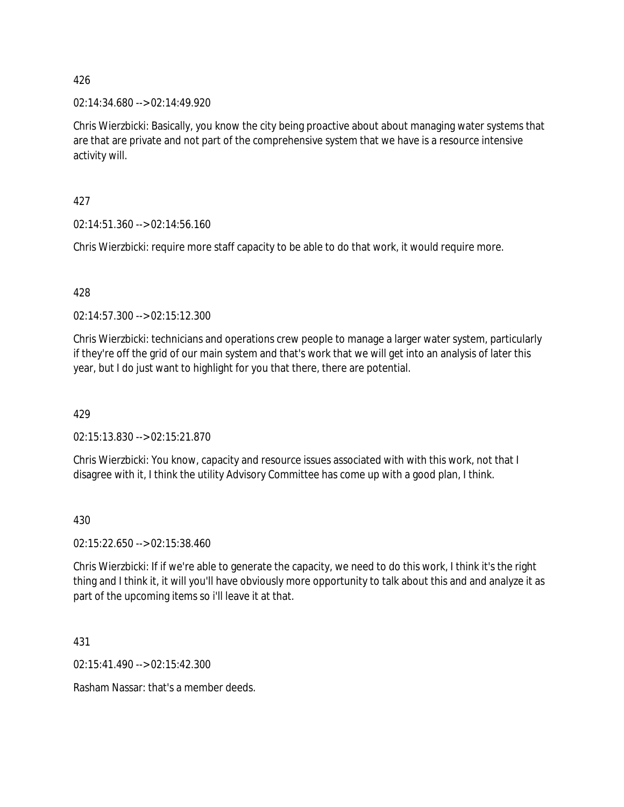02:14:34.680 --> 02:14:49.920

Chris Wierzbicki: Basically, you know the city being proactive about about managing water systems that are that are private and not part of the comprehensive system that we have is a resource intensive activity will.

427

02:14:51.360 --> 02:14:56.160

Chris Wierzbicki: require more staff capacity to be able to do that work, it would require more.

### 428

02:14:57.300 --> 02:15:12.300

Chris Wierzbicki: technicians and operations crew people to manage a larger water system, particularly if they're off the grid of our main system and that's work that we will get into an analysis of later this year, but I do just want to highlight for you that there, there are potential.

429

02:15:13.830 --> 02:15:21.870

Chris Wierzbicki: You know, capacity and resource issues associated with with this work, not that I disagree with it, I think the utility Advisory Committee has come up with a good plan, I think.

430

02:15:22.650 --> 02:15:38.460

Chris Wierzbicki: If if we're able to generate the capacity, we need to do this work, I think it's the right thing and I think it, it will you'll have obviously more opportunity to talk about this and and analyze it as part of the upcoming items so i'll leave it at that.

431

02:15:41.490 --> 02:15:42.300

Rasham Nassar: that's a member deeds.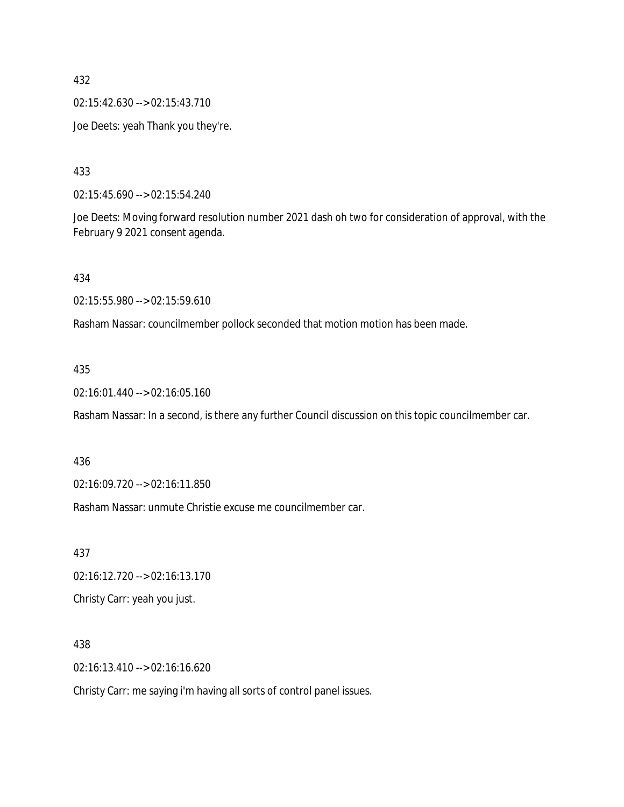02:15:42.630 --> 02:15:43.710

Joe Deets: yeah Thank you they're.

433

02:15:45.690 --> 02:15:54.240

Joe Deets: Moving forward resolution number 2021 dash oh two for consideration of approval, with the February 9 2021 consent agenda.

434

02:15:55.980 --> 02:15:59.610

Rasham Nassar: councilmember pollock seconded that motion motion has been made.

### 435

02:16:01.440 --> 02:16:05.160

Rasham Nassar: In a second, is there any further Council discussion on this topic councilmember car.

#### 436

02:16:09.720 --> 02:16:11.850

Rasham Nassar: unmute Christie excuse me councilmember car.

437

02:16:12.720 --> 02:16:13.170

Christy Carr: yeah you just.

### 438

02:16:13.410 --> 02:16:16.620

Christy Carr: me saying i'm having all sorts of control panel issues.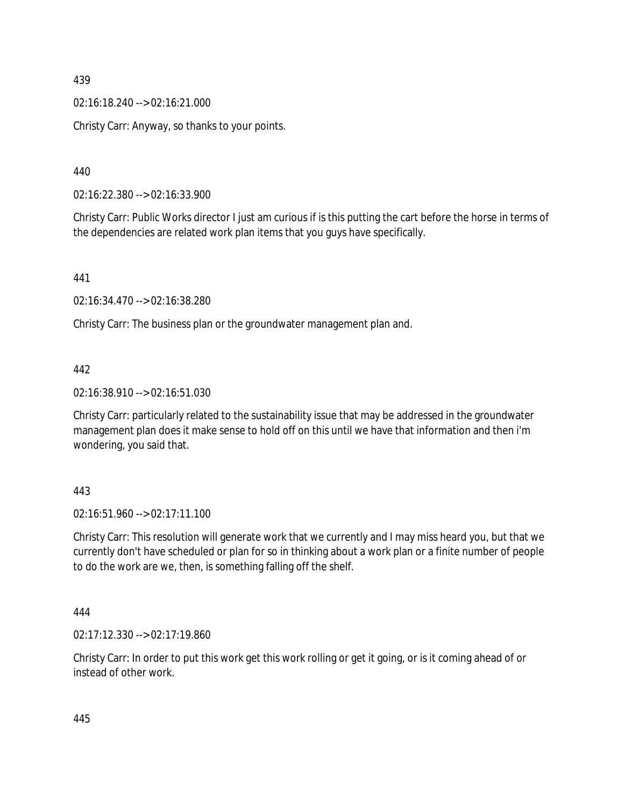02:16:18.240 --> 02:16:21.000

Christy Carr: Anyway, so thanks to your points.

440

02:16:22.380 --> 02:16:33.900

Christy Carr: Public Works director I just am curious if is this putting the cart before the horse in terms of the dependencies are related work plan items that you guys have specifically.

441

02:16:34.470 --> 02:16:38.280

Christy Carr: The business plan or the groundwater management plan and.

### 442

02:16:38.910 --> 02:16:51.030

Christy Carr: particularly related to the sustainability issue that may be addressed in the groundwater management plan does it make sense to hold off on this until we have that information and then i'm wondering, you said that.

443

02:16:51.960 --> 02:17:11.100

Christy Carr: This resolution will generate work that we currently and I may miss heard you, but that we currently don't have scheduled or plan for so in thinking about a work plan or a finite number of people to do the work are we, then, is something falling off the shelf.

444

02:17:12.330 --> 02:17:19.860

Christy Carr: In order to put this work get this work rolling or get it going, or is it coming ahead of or instead of other work.

445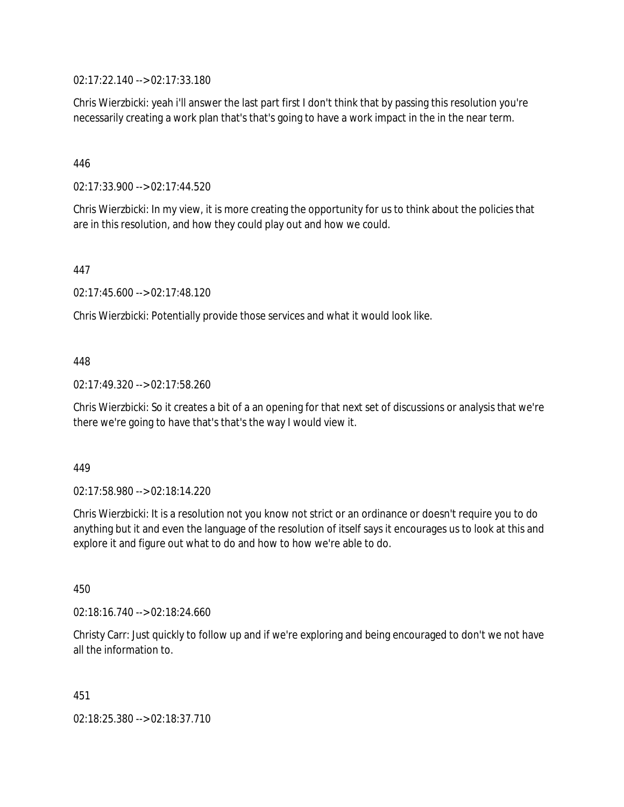02:17:22.140 --> 02:17:33.180

Chris Wierzbicki: yeah i'll answer the last part first I don't think that by passing this resolution you're necessarily creating a work plan that's that's going to have a work impact in the in the near term.

### 446

02:17:33.900 --> 02:17:44.520

Chris Wierzbicki: In my view, it is more creating the opportunity for us to think about the policies that are in this resolution, and how they could play out and how we could.

447

02:17:45.600 --> 02:17:48.120

Chris Wierzbicki: Potentially provide those services and what it would look like.

### 448

02:17:49.320 --> 02:17:58.260

Chris Wierzbicki: So it creates a bit of a an opening for that next set of discussions or analysis that we're there we're going to have that's that's the way I would view it.

#### 449

02:17:58.980 --> 02:18:14.220

Chris Wierzbicki: It is a resolution not you know not strict or an ordinance or doesn't require you to do anything but it and even the language of the resolution of itself says it encourages us to look at this and explore it and figure out what to do and how to how we're able to do.

450

02:18:16.740 --> 02:18:24.660

Christy Carr: Just quickly to follow up and if we're exploring and being encouraged to don't we not have all the information to.

451

02:18:25.380 --> 02:18:37.710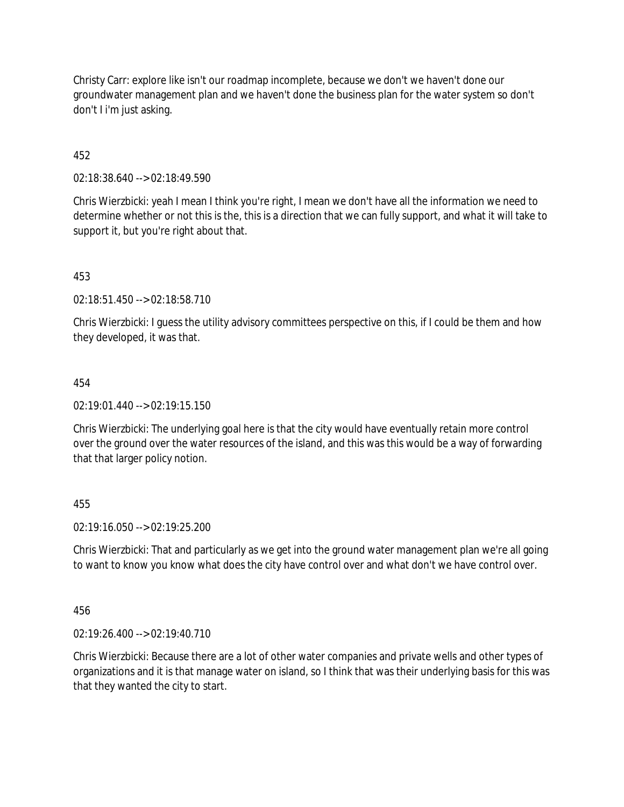Christy Carr: explore like isn't our roadmap incomplete, because we don't we haven't done our groundwater management plan and we haven't done the business plan for the water system so don't don't I i'm just asking.

# 452

02:18:38.640 --> 02:18:49.590

Chris Wierzbicki: yeah I mean I think you're right, I mean we don't have all the information we need to determine whether or not this is the, this is a direction that we can fully support, and what it will take to support it, but you're right about that.

453

02:18:51.450 --> 02:18:58.710

Chris Wierzbicki: I guess the utility advisory committees perspective on this, if I could be them and how they developed, it was that.

### 454

 $02.19.01.440 -> 02.19.15.150$ 

Chris Wierzbicki: The underlying goal here is that the city would have eventually retain more control over the ground over the water resources of the island, and this was this would be a way of forwarding that that larger policy notion.

### 455

02:19:16.050 --> 02:19:25.200

Chris Wierzbicki: That and particularly as we get into the ground water management plan we're all going to want to know you know what does the city have control over and what don't we have control over.

456

02:19:26.400 --> 02:19:40.710

Chris Wierzbicki: Because there are a lot of other water companies and private wells and other types of organizations and it is that manage water on island, so I think that was their underlying basis for this was that they wanted the city to start.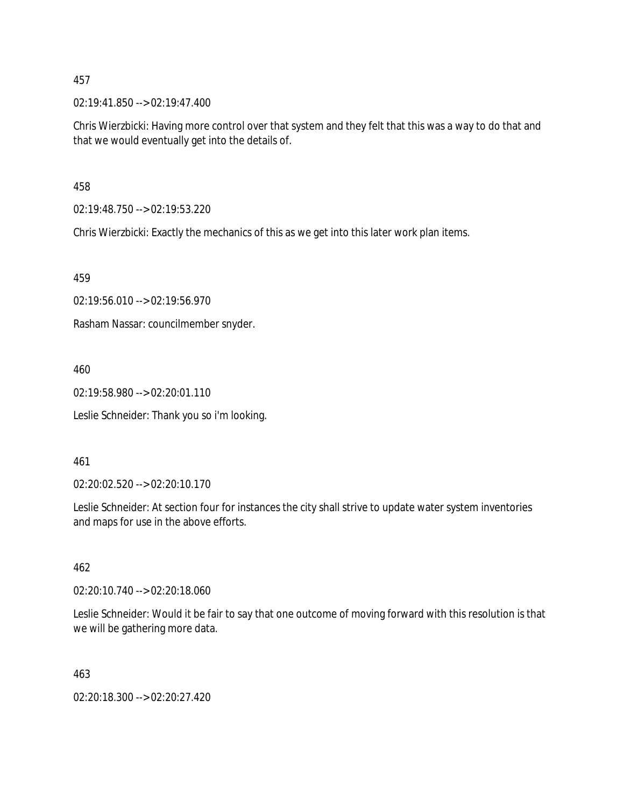02:19:41.850 --> 02:19:47.400

Chris Wierzbicki: Having more control over that system and they felt that this was a way to do that and that we would eventually get into the details of.

458

02:19:48.750 --> 02:19:53.220

Chris Wierzbicki: Exactly the mechanics of this as we get into this later work plan items.

459

02:19:56.010 --> 02:19:56.970

Rasham Nassar: councilmember snyder.

460

02:19:58.980 --> 02:20:01.110

Leslie Schneider: Thank you so i'm looking.

### 461

02:20:02.520 --> 02:20:10.170

Leslie Schneider: At section four for instances the city shall strive to update water system inventories and maps for use in the above efforts.

#### 462

02:20:10.740 --> 02:20:18.060

Leslie Schneider: Would it be fair to say that one outcome of moving forward with this resolution is that we will be gathering more data.

463

02:20:18.300 --> 02:20:27.420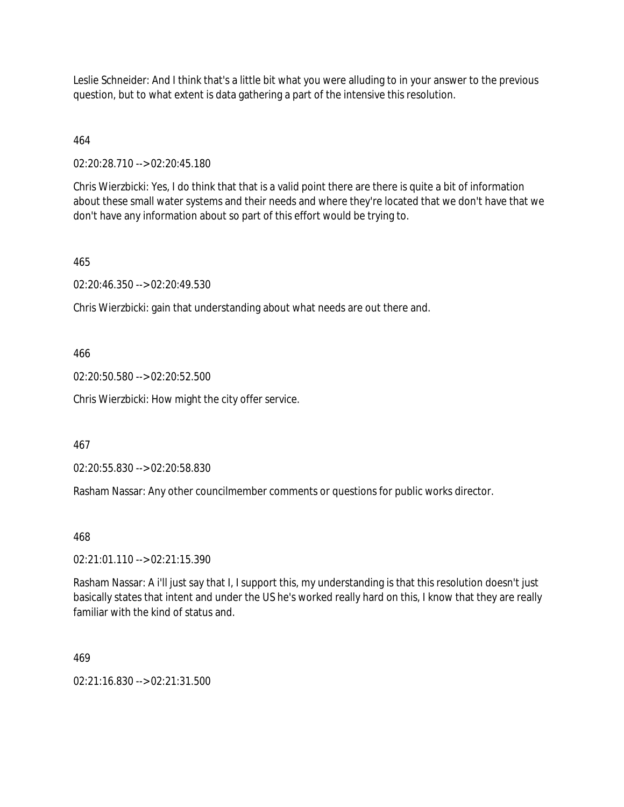Leslie Schneider: And I think that's a little bit what you were alluding to in your answer to the previous question, but to what extent is data gathering a part of the intensive this resolution.

464

02:20:28.710 --> 02:20:45.180

Chris Wierzbicki: Yes, I do think that that is a valid point there are there is quite a bit of information about these small water systems and their needs and where they're located that we don't have that we don't have any information about so part of this effort would be trying to.

465

02:20:46.350 --> 02:20:49.530

Chris Wierzbicki: gain that understanding about what needs are out there and.

466

02:20:50.580 --> 02:20:52.500

Chris Wierzbicki: How might the city offer service.

467

02:20:55.830 --> 02:20:58.830

Rasham Nassar: Any other councilmember comments or questions for public works director.

468

02:21:01.110 --> 02:21:15.390

Rasham Nassar: A i'll just say that I, I support this, my understanding is that this resolution doesn't just basically states that intent and under the US he's worked really hard on this, I know that they are really familiar with the kind of status and.

469

02:21:16.830 --> 02:21:31.500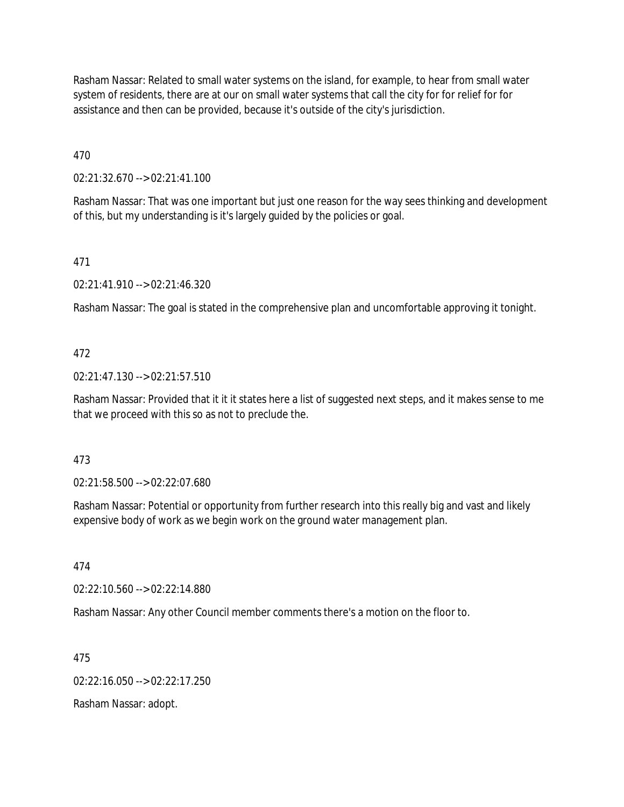Rasham Nassar: Related to small water systems on the island, for example, to hear from small water system of residents, there are at our on small water systems that call the city for for relief for for assistance and then can be provided, because it's outside of the city's jurisdiction.

470

02:21:32.670 --> 02:21:41.100

Rasham Nassar: That was one important but just one reason for the way sees thinking and development of this, but my understanding is it's largely guided by the policies or goal.

471

02:21:41.910 --> 02:21:46.320

Rasham Nassar: The goal is stated in the comprehensive plan and uncomfortable approving it tonight.

#### 472

02:21:47.130 --> 02:21:57.510

Rasham Nassar: Provided that it it it states here a list of suggested next steps, and it makes sense to me that we proceed with this so as not to preclude the.

#### 473

02:21:58.500 --> 02:22:07.680

Rasham Nassar: Potential or opportunity from further research into this really big and vast and likely expensive body of work as we begin work on the ground water management plan.

474

02:22:10.560 --> 02:22:14.880

Rasham Nassar: Any other Council member comments there's a motion on the floor to.

475

02:22:16.050 --> 02:22:17.250

Rasham Nassar: adopt.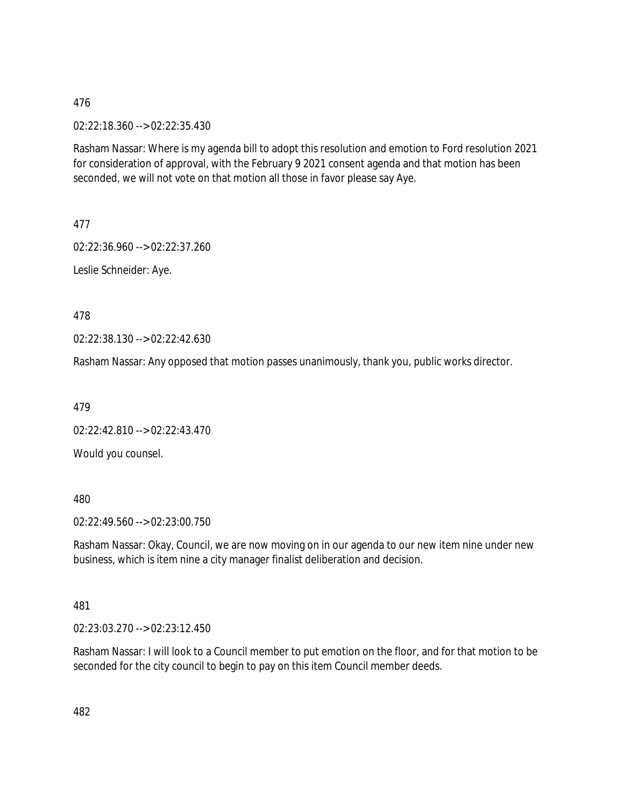02:22:18.360 --> 02:22:35.430

Rasham Nassar: Where is my agenda bill to adopt this resolution and emotion to Ford resolution 2021 for consideration of approval, with the February 9 2021 consent agenda and that motion has been seconded, we will not vote on that motion all those in favor please say Aye.

477

02:22:36.960 --> 02:22:37.260

Leslie Schneider: Aye.

478

02:22:38.130 --> 02:22:42.630

Rasham Nassar: Any opposed that motion passes unanimously, thank you, public works director.

479

02:22:42.810 --> 02:22:43.470

Would you counsel.

480

02:22:49.560 --> 02:23:00.750

Rasham Nassar: Okay, Council, we are now moving on in our agenda to our new item nine under new business, which is item nine a city manager finalist deliberation and decision.

481

02:23:03.270 --> 02:23:12.450

Rasham Nassar: I will look to a Council member to put emotion on the floor, and for that motion to be seconded for the city council to begin to pay on this item Council member deeds.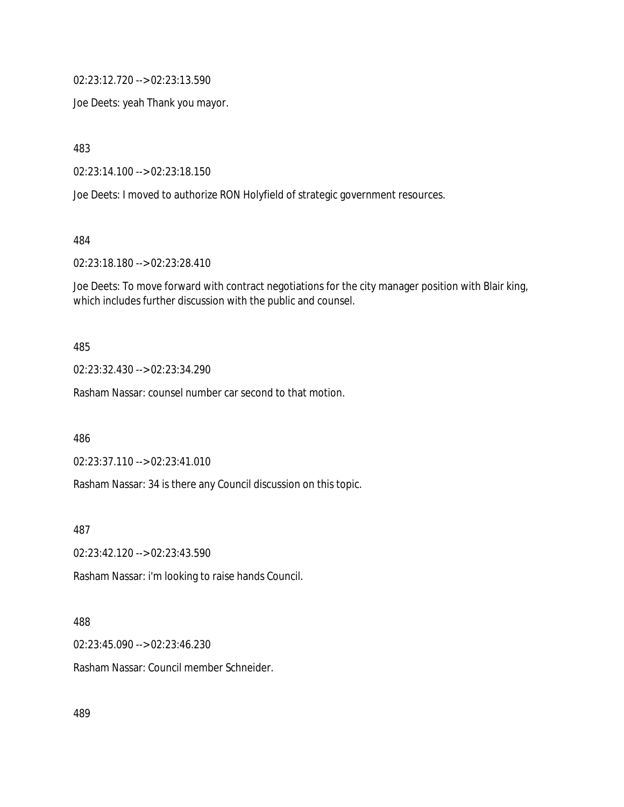02:23:12.720 --> 02:23:13.590

Joe Deets: yeah Thank you mayor.

483

02:23:14.100 --> 02:23:18.150

Joe Deets: I moved to authorize RON Holyfield of strategic government resources.

484

02:23:18.180 --> 02:23:28.410

Joe Deets: To move forward with contract negotiations for the city manager position with Blair king, which includes further discussion with the public and counsel.

#### 485

02:23:32.430 --> 02:23:34.290

Rasham Nassar: counsel number car second to that motion.

486

02:23:37.110 --> 02:23:41.010

Rasham Nassar: 34 is there any Council discussion on this topic.

487

02:23:42.120 --> 02:23:43.590

Rasham Nassar: i'm looking to raise hands Council.

#### 488

02:23:45.090 --> 02:23:46.230

Rasham Nassar: Council member Schneider.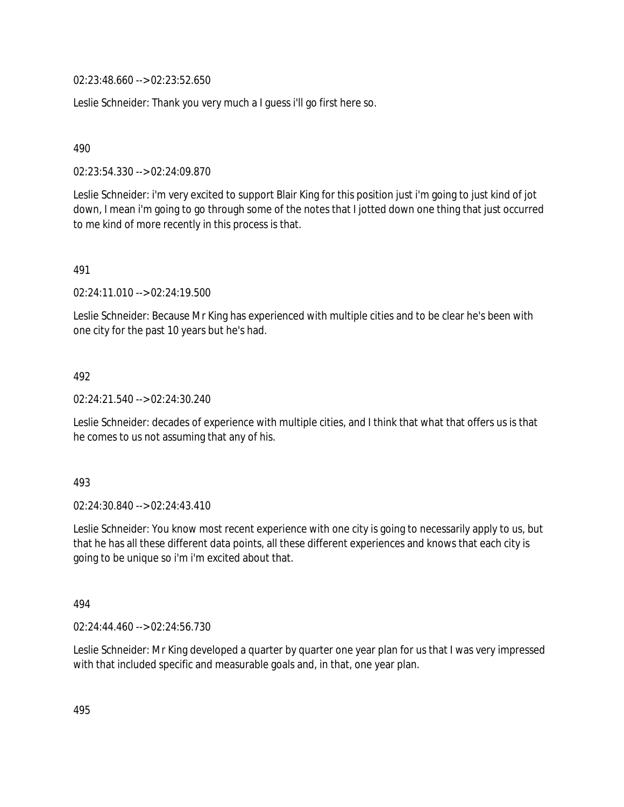02:23:48.660 --> 02:23:52.650

Leslie Schneider: Thank you very much a I guess i'll go first here so.

490

02:23:54.330 --> 02:24:09.870

Leslie Schneider: i'm very excited to support Blair King for this position just i'm going to just kind of jot down, I mean i'm going to go through some of the notes that I jotted down one thing that just occurred to me kind of more recently in this process is that.

491

02:24:11.010 --> 02:24:19.500

Leslie Schneider: Because Mr King has experienced with multiple cities and to be clear he's been with one city for the past 10 years but he's had.

492

02:24:21.540 --> 02:24:30.240

Leslie Schneider: decades of experience with multiple cities, and I think that what that offers us is that he comes to us not assuming that any of his.

493

02:24:30.840 --> 02:24:43.410

Leslie Schneider: You know most recent experience with one city is going to necessarily apply to us, but that he has all these different data points, all these different experiences and knows that each city is going to be unique so i'm i'm excited about that.

494

02:24:44.460 --> 02:24:56.730

Leslie Schneider: Mr King developed a quarter by quarter one year plan for us that I was very impressed with that included specific and measurable goals and, in that, one year plan.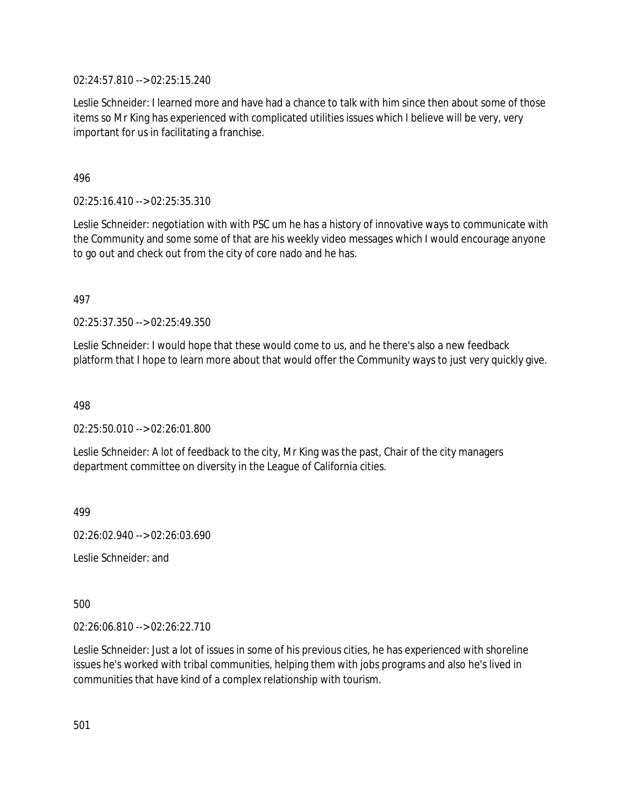02:24:57.810 --> 02:25:15.240

Leslie Schneider: I learned more and have had a chance to talk with him since then about some of those items so Mr King has experienced with complicated utilities issues which I believe will be very, very important for us in facilitating a franchise.

496

02:25:16.410 --> 02:25:35.310

Leslie Schneider: negotiation with with PSC um he has a history of innovative ways to communicate with the Community and some some of that are his weekly video messages which I would encourage anyone to go out and check out from the city of core nado and he has.

497

02:25:37.350 --> 02:25:49.350

Leslie Schneider: I would hope that these would come to us, and he there's also a new feedback platform that I hope to learn more about that would offer the Community ways to just very quickly give.

498

02:25:50.010 --> 02:26:01.800

Leslie Schneider: A lot of feedback to the city, Mr King was the past, Chair of the city managers department committee on diversity in the League of California cities.

499

02:26:02.940 --> 02:26:03.690

Leslie Schneider: and

500

02:26:06.810 --> 02:26:22.710

Leslie Schneider: Just a lot of issues in some of his previous cities, he has experienced with shoreline issues he's worked with tribal communities, helping them with jobs programs and also he's lived in communities that have kind of a complex relationship with tourism.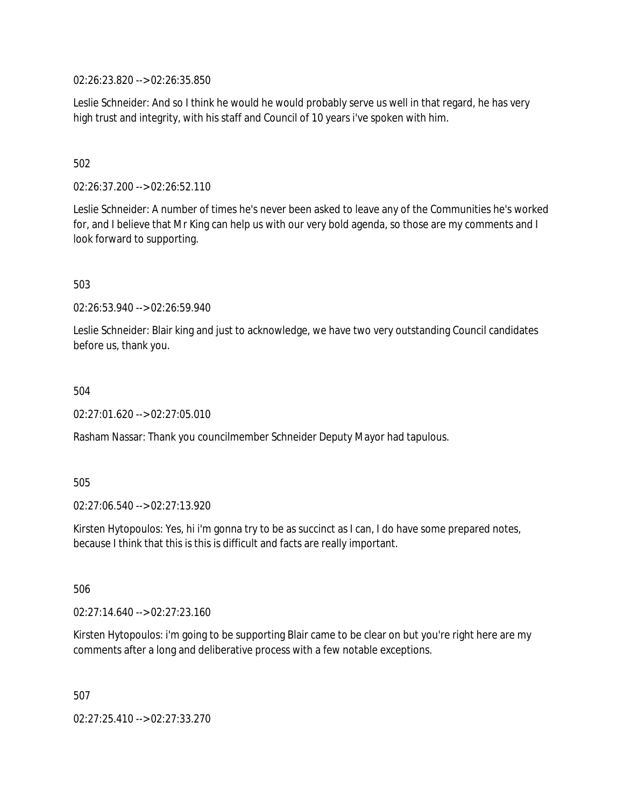02:26:23.820 --> 02:26:35.850

Leslie Schneider: And so I think he would he would probably serve us well in that regard, he has very high trust and integrity, with his staff and Council of 10 years i've spoken with him.

## 502

02:26:37.200 --> 02:26:52.110

Leslie Schneider: A number of times he's never been asked to leave any of the Communities he's worked for, and I believe that Mr King can help us with our very bold agenda, so those are my comments and I look forward to supporting.

#### 503

02:26:53.940 --> 02:26:59.940

Leslie Schneider: Blair king and just to acknowledge, we have two very outstanding Council candidates before us, thank you.

#### 504

02:27:01.620 --> 02:27:05.010

Rasham Nassar: Thank you councilmember Schneider Deputy Mayor had tapulous.

#### 505

02:27:06.540 --> 02:27:13.920

Kirsten Hytopoulos: Yes, hi i'm gonna try to be as succinct as I can, I do have some prepared notes, because I think that this is this is difficult and facts are really important.

506

02:27:14.640 --> 02:27:23.160

Kirsten Hytopoulos: i'm going to be supporting Blair came to be clear on but you're right here are my comments after a long and deliberative process with a few notable exceptions.

507

02:27:25.410 --> 02:27:33.270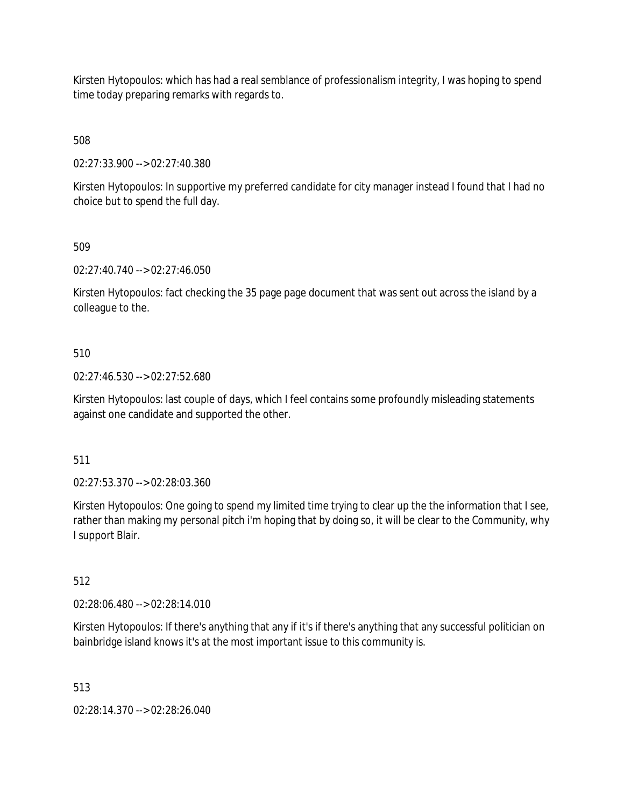Kirsten Hytopoulos: which has had a real semblance of professionalism integrity, I was hoping to spend time today preparing remarks with regards to.

508

02:27:33.900 --> 02:27:40.380

Kirsten Hytopoulos: In supportive my preferred candidate for city manager instead I found that I had no choice but to spend the full day.

509

02:27:40.740 --> 02:27:46.050

Kirsten Hytopoulos: fact checking the 35 page page document that was sent out across the island by a colleague to the.

## 510

02:27:46.530 --> 02:27:52.680

Kirsten Hytopoulos: last couple of days, which I feel contains some profoundly misleading statements against one candidate and supported the other.

511

02:27:53.370 --> 02:28:03.360

Kirsten Hytopoulos: One going to spend my limited time trying to clear up the the information that I see, rather than making my personal pitch i'm hoping that by doing so, it will be clear to the Community, why I support Blair.

512

02:28:06.480 --> 02:28:14.010

Kirsten Hytopoulos: If there's anything that any if it's if there's anything that any successful politician on bainbridge island knows it's at the most important issue to this community is.

513

02:28:14.370 --> 02:28:26.040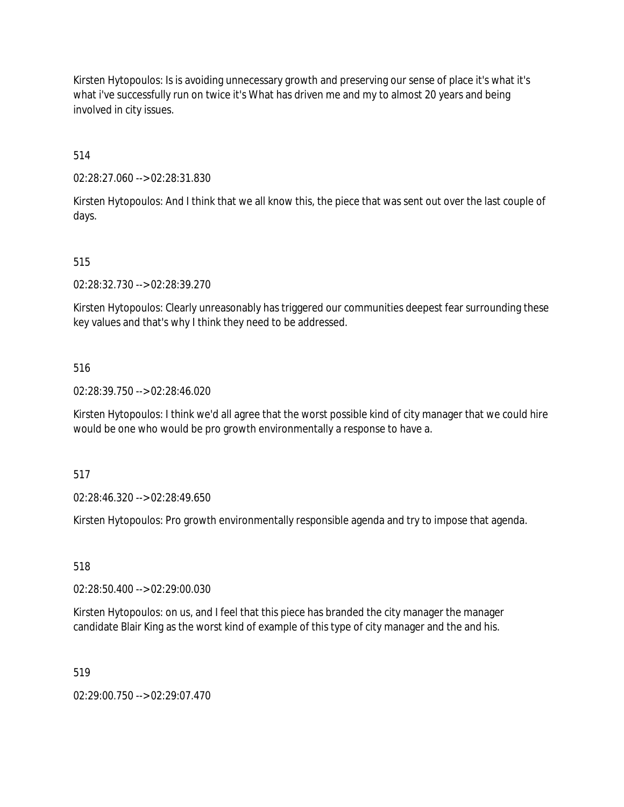Kirsten Hytopoulos: Is is avoiding unnecessary growth and preserving our sense of place it's what it's what i've successfully run on twice it's What has driven me and my to almost 20 years and being involved in city issues.

514

02:28:27.060 --> 02:28:31.830

Kirsten Hytopoulos: And I think that we all know this, the piece that was sent out over the last couple of days.

515

02:28:32.730 --> 02:28:39.270

Kirsten Hytopoulos: Clearly unreasonably has triggered our communities deepest fear surrounding these key values and that's why I think they need to be addressed.

516

02:28:39.750 --> 02:28:46.020

Kirsten Hytopoulos: I think we'd all agree that the worst possible kind of city manager that we could hire would be one who would be pro growth environmentally a response to have a.

517

02:28:46.320 --> 02:28:49.650

Kirsten Hytopoulos: Pro growth environmentally responsible agenda and try to impose that agenda.

518

02:28:50.400 --> 02:29:00.030

Kirsten Hytopoulos: on us, and I feel that this piece has branded the city manager the manager candidate Blair King as the worst kind of example of this type of city manager and the and his.

519

02:29:00.750 --> 02:29:07.470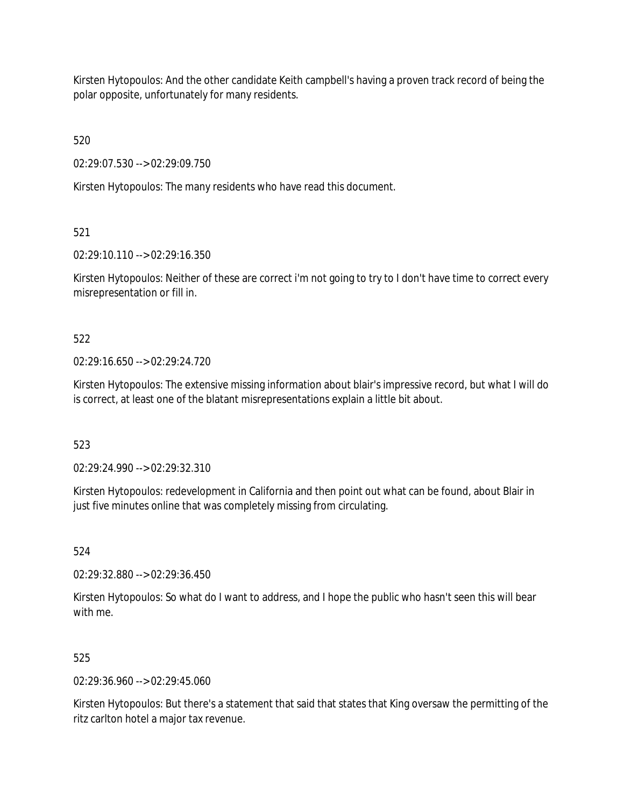Kirsten Hytopoulos: And the other candidate Keith campbell's having a proven track record of being the polar opposite, unfortunately for many residents.

520

02:29:07.530 --> 02:29:09.750

Kirsten Hytopoulos: The many residents who have read this document.

521

02:29:10.110 --> 02:29:16.350

Kirsten Hytopoulos: Neither of these are correct i'm not going to try to I don't have time to correct every misrepresentation or fill in.

522

02:29:16.650 --> 02:29:24.720

Kirsten Hytopoulos: The extensive missing information about blair's impressive record, but what I will do is correct, at least one of the blatant misrepresentations explain a little bit about.

523

02:29:24.990 --> 02:29:32.310

Kirsten Hytopoulos: redevelopment in California and then point out what can be found, about Blair in just five minutes online that was completely missing from circulating.

524

02:29:32.880 --> 02:29:36.450

Kirsten Hytopoulos: So what do I want to address, and I hope the public who hasn't seen this will bear with me.

525

02:29:36.960 --> 02:29:45.060

Kirsten Hytopoulos: But there's a statement that said that states that King oversaw the permitting of the ritz carlton hotel a major tax revenue.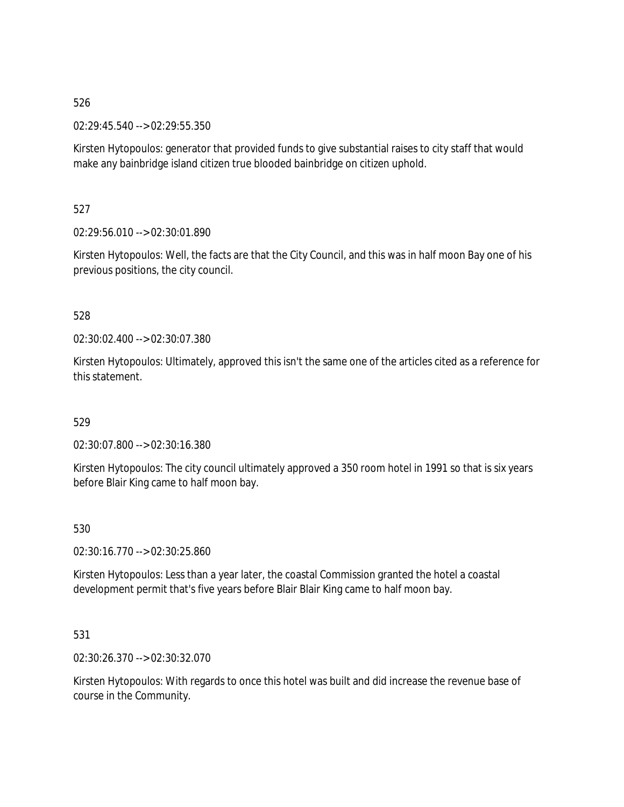02:29:45.540 --> 02:29:55.350

Kirsten Hytopoulos: generator that provided funds to give substantial raises to city staff that would make any bainbridge island citizen true blooded bainbridge on citizen uphold.

527

02:29:56.010 --> 02:30:01.890

Kirsten Hytopoulos: Well, the facts are that the City Council, and this was in half moon Bay one of his previous positions, the city council.

## 528

02:30:02.400 --> 02:30:07.380

Kirsten Hytopoulos: Ultimately, approved this isn't the same one of the articles cited as a reference for this statement.

529

02:30:07.800 --> 02:30:16.380

Kirsten Hytopoulos: The city council ultimately approved a 350 room hotel in 1991 so that is six years before Blair King came to half moon bay.

530

02:30:16.770 --> 02:30:25.860

Kirsten Hytopoulos: Less than a year later, the coastal Commission granted the hotel a coastal development permit that's five years before Blair Blair King came to half moon bay.

531

02:30:26.370 --> 02:30:32.070

Kirsten Hytopoulos: With regards to once this hotel was built and did increase the revenue base of course in the Community.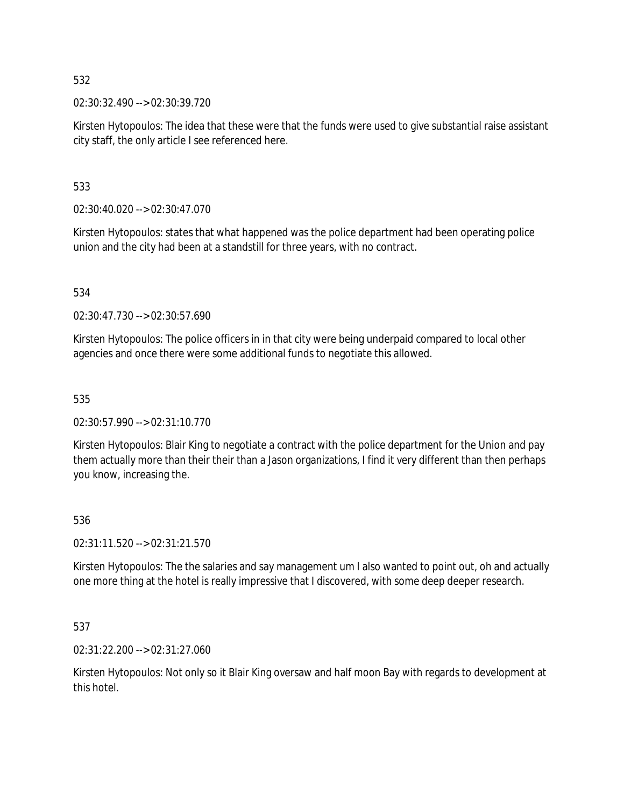02:30:32.490 --> 02:30:39.720

Kirsten Hytopoulos: The idea that these were that the funds were used to give substantial raise assistant city staff, the only article I see referenced here.

533

02:30:40.020 --> 02:30:47.070

Kirsten Hytopoulos: states that what happened was the police department had been operating police union and the city had been at a standstill for three years, with no contract.

534

02:30:47.730 --> 02:30:57.690

Kirsten Hytopoulos: The police officers in in that city were being underpaid compared to local other agencies and once there were some additional funds to negotiate this allowed.

535

02:30:57.990 --> 02:31:10.770

Kirsten Hytopoulos: Blair King to negotiate a contract with the police department for the Union and pay them actually more than their their than a Jason organizations, I find it very different than then perhaps you know, increasing the.

## 536

02:31:11.520 --> 02:31:21.570

Kirsten Hytopoulos: The the salaries and say management um I also wanted to point out, oh and actually one more thing at the hotel is really impressive that I discovered, with some deep deeper research.

537

02:31:22.200 --> 02:31:27.060

Kirsten Hytopoulos: Not only so it Blair King oversaw and half moon Bay with regards to development at this hotel.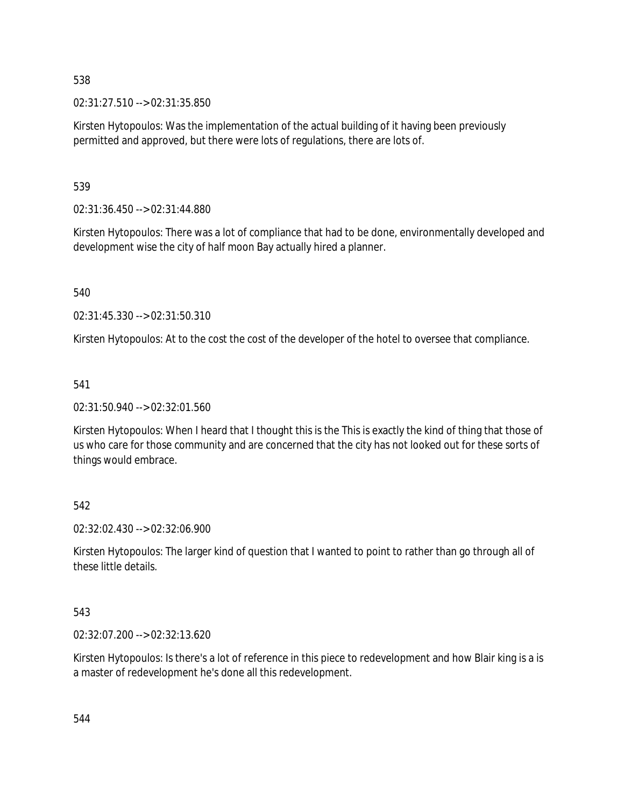02:31:27.510 --> 02:31:35.850

Kirsten Hytopoulos: Was the implementation of the actual building of it having been previously permitted and approved, but there were lots of regulations, there are lots of.

539

02:31:36.450 --> 02:31:44.880

Kirsten Hytopoulos: There was a lot of compliance that had to be done, environmentally developed and development wise the city of half moon Bay actually hired a planner.

540

02:31:45.330 --> 02:31:50.310

Kirsten Hytopoulos: At to the cost the cost of the developer of the hotel to oversee that compliance.

541

02:31:50.940 --> 02:32:01.560

Kirsten Hytopoulos: When I heard that I thought this is the This is exactly the kind of thing that those of us who care for those community and are concerned that the city has not looked out for these sorts of things would embrace.

542

02:32:02.430 --> 02:32:06.900

Kirsten Hytopoulos: The larger kind of question that I wanted to point to rather than go through all of these little details.

543

02:32:07.200 --> 02:32:13.620

Kirsten Hytopoulos: Is there's a lot of reference in this piece to redevelopment and how Blair king is a is a master of redevelopment he's done all this redevelopment.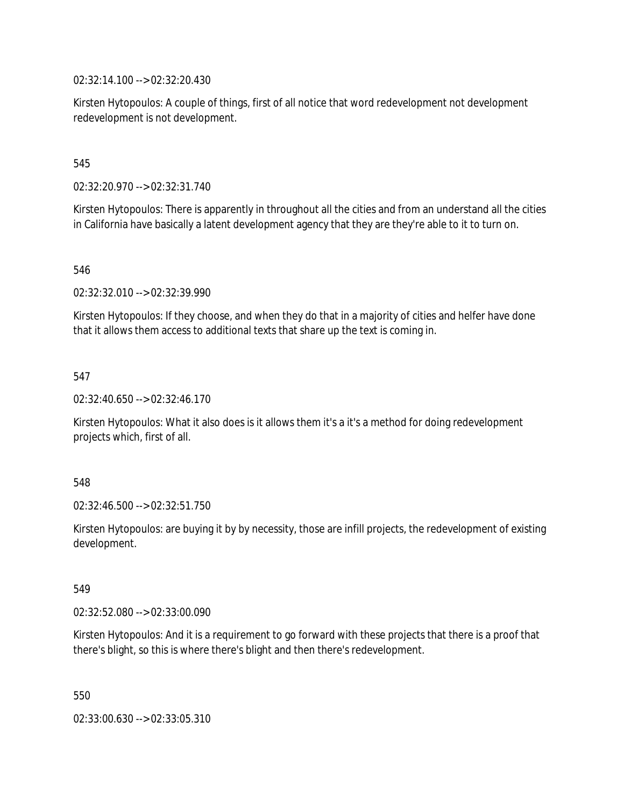02:32:14.100 --> 02:32:20.430

Kirsten Hytopoulos: A couple of things, first of all notice that word redevelopment not development redevelopment is not development.

545

02:32:20.970 --> 02:32:31.740

Kirsten Hytopoulos: There is apparently in throughout all the cities and from an understand all the cities in California have basically a latent development agency that they are they're able to it to turn on.

546

02:32:32.010 --> 02:32:39.990

Kirsten Hytopoulos: If they choose, and when they do that in a majority of cities and helfer have done that it allows them access to additional texts that share up the text is coming in.

547

02:32:40.650 --> 02:32:46.170

Kirsten Hytopoulos: What it also does is it allows them it's a it's a method for doing redevelopment projects which, first of all.

548

02:32:46.500 --> 02:32:51.750

Kirsten Hytopoulos: are buying it by by necessity, those are infill projects, the redevelopment of existing development.

549

02:32:52.080 --> 02:33:00.090

Kirsten Hytopoulos: And it is a requirement to go forward with these projects that there is a proof that there's blight, so this is where there's blight and then there's redevelopment.

550

02:33:00.630 --> 02:33:05.310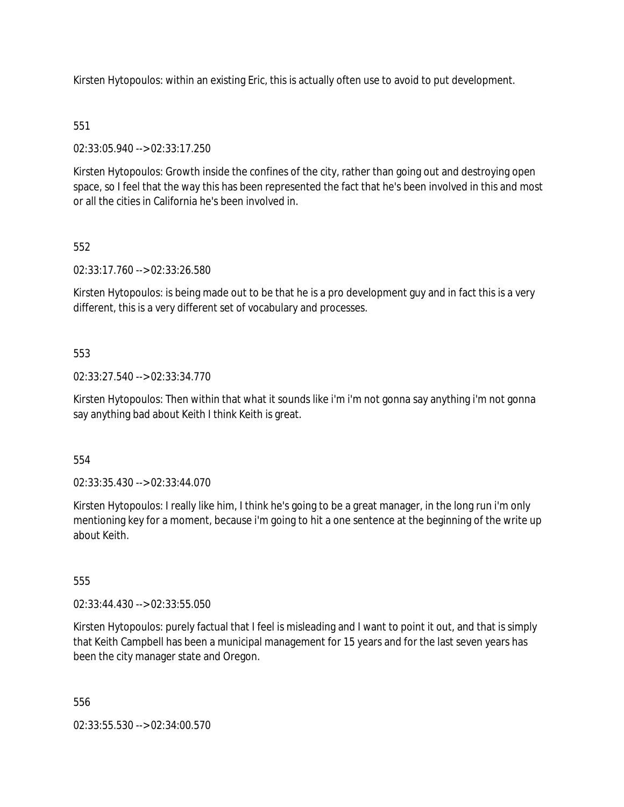Kirsten Hytopoulos: within an existing Eric, this is actually often use to avoid to put development.

# 551

02:33:05.940 --> 02:33:17.250

Kirsten Hytopoulos: Growth inside the confines of the city, rather than going out and destroying open space, so I feel that the way this has been represented the fact that he's been involved in this and most or all the cities in California he's been involved in.

# 552

02:33:17.760 --> 02:33:26.580

Kirsten Hytopoulos: is being made out to be that he is a pro development guy and in fact this is a very different, this is a very different set of vocabulary and processes.

# 553

02:33:27.540 --> 02:33:34.770

Kirsten Hytopoulos: Then within that what it sounds like i'm i'm not gonna say anything i'm not gonna say anything bad about Keith I think Keith is great.

554

02:33:35.430 --> 02:33:44.070

Kirsten Hytopoulos: I really like him, I think he's going to be a great manager, in the long run i'm only mentioning key for a moment, because i'm going to hit a one sentence at the beginning of the write up about Keith.

555

02:33:44.430 --> 02:33:55.050

Kirsten Hytopoulos: purely factual that I feel is misleading and I want to point it out, and that is simply that Keith Campbell has been a municipal management for 15 years and for the last seven years has been the city manager state and Oregon.

556

02:33:55.530 --> 02:34:00.570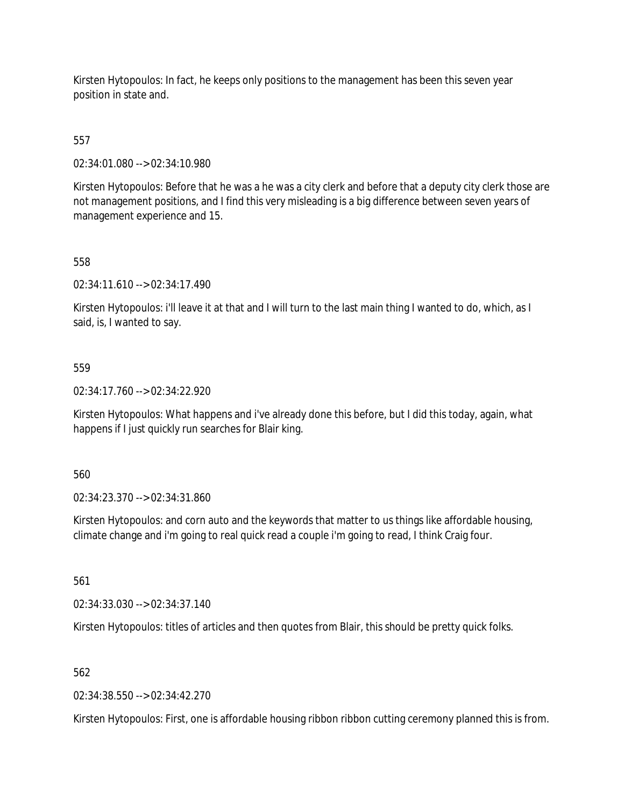Kirsten Hytopoulos: In fact, he keeps only positions to the management has been this seven year position in state and.

# 557

02:34:01.080 --> 02:34:10.980

Kirsten Hytopoulos: Before that he was a he was a city clerk and before that a deputy city clerk those are not management positions, and I find this very misleading is a big difference between seven years of management experience and 15.

# 558

02:34:11.610 --> 02:34:17.490

Kirsten Hytopoulos: i'll leave it at that and I will turn to the last main thing I wanted to do, which, as I said, is, I wanted to say.

# 559

02:34:17.760 --> 02:34:22.920

Kirsten Hytopoulos: What happens and i've already done this before, but I did this today, again, what happens if I just quickly run searches for Blair king.

## 560

02:34:23.370 --> 02:34:31.860

Kirsten Hytopoulos: and corn auto and the keywords that matter to us things like affordable housing, climate change and i'm going to real quick read a couple i'm going to read, I think Craig four.

561

02:34:33.030 --> 02:34:37.140

Kirsten Hytopoulos: titles of articles and then quotes from Blair, this should be pretty quick folks.

## 562

02:34:38.550 --> 02:34:42.270

Kirsten Hytopoulos: First, one is affordable housing ribbon ribbon cutting ceremony planned this is from.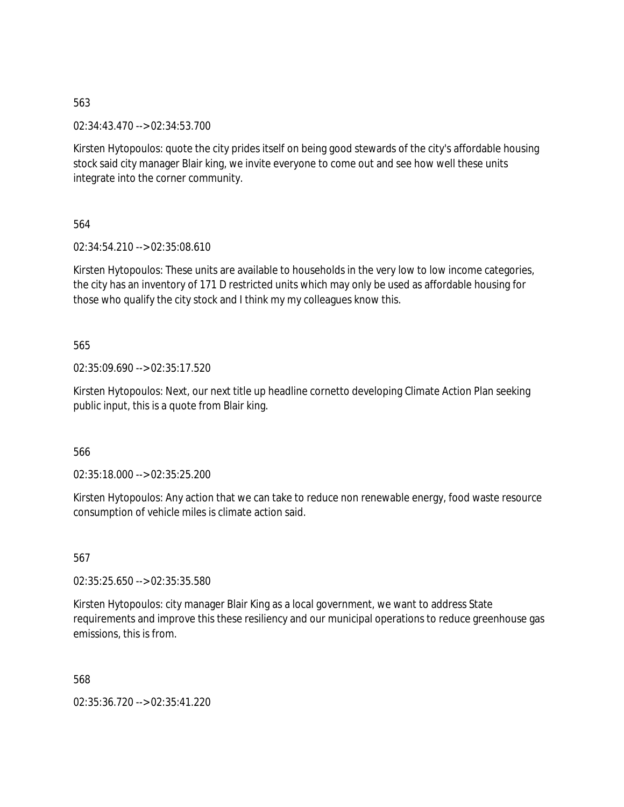02:34:43.470 --> 02:34:53.700

Kirsten Hytopoulos: quote the city prides itself on being good stewards of the city's affordable housing stock said city manager Blair king, we invite everyone to come out and see how well these units integrate into the corner community.

564

02:34:54.210 --> 02:35:08.610

Kirsten Hytopoulos: These units are available to households in the very low to low income categories, the city has an inventory of 171 D restricted units which may only be used as affordable housing for those who qualify the city stock and I think my my colleagues know this.

565

02:35:09.690 --> 02:35:17.520

Kirsten Hytopoulos: Next, our next title up headline cornetto developing Climate Action Plan seeking public input, this is a quote from Blair king.

566

02:35:18.000 --> 02:35:25.200

Kirsten Hytopoulos: Any action that we can take to reduce non renewable energy, food waste resource consumption of vehicle miles is climate action said.

567

02:35:25.650 --> 02:35:35.580

Kirsten Hytopoulos: city manager Blair King as a local government, we want to address State requirements and improve this these resiliency and our municipal operations to reduce greenhouse gas emissions, this is from.

568

02:35:36.720 --> 02:35:41.220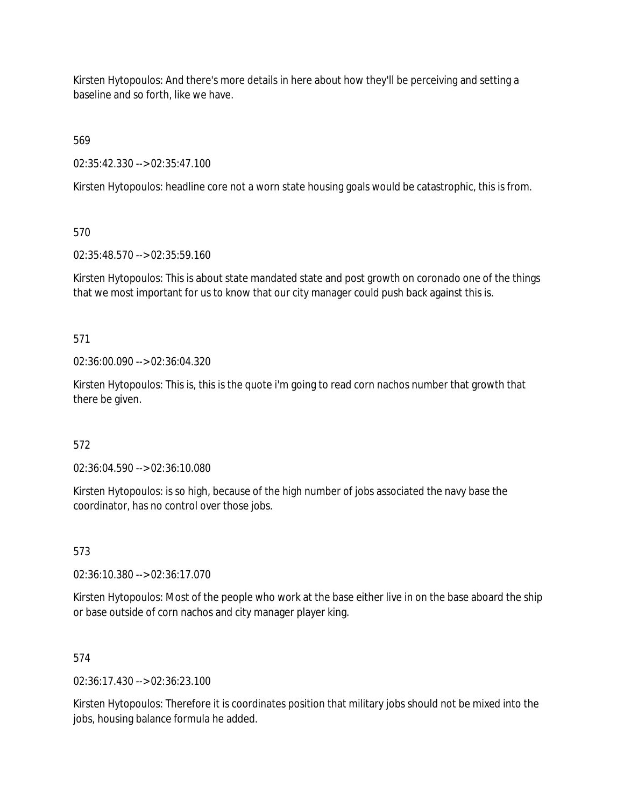Kirsten Hytopoulos: And there's more details in here about how they'll be perceiving and setting a baseline and so forth, like we have.

569

02:35:42.330 --> 02:35:47.100

Kirsten Hytopoulos: headline core not a worn state housing goals would be catastrophic, this is from.

570

02:35:48.570 --> 02:35:59.160

Kirsten Hytopoulos: This is about state mandated state and post growth on coronado one of the things that we most important for us to know that our city manager could push back against this is.

571

02:36:00.090 --> 02:36:04.320

Kirsten Hytopoulos: This is, this is the quote i'm going to read corn nachos number that growth that there be given.

572

02:36:04.590 --> 02:36:10.080

Kirsten Hytopoulos: is so high, because of the high number of jobs associated the navy base the coordinator, has no control over those jobs.

573

02:36:10.380 --> 02:36:17.070

Kirsten Hytopoulos: Most of the people who work at the base either live in on the base aboard the ship or base outside of corn nachos and city manager player king.

574

02:36:17.430 --> 02:36:23.100

Kirsten Hytopoulos: Therefore it is coordinates position that military jobs should not be mixed into the jobs, housing balance formula he added.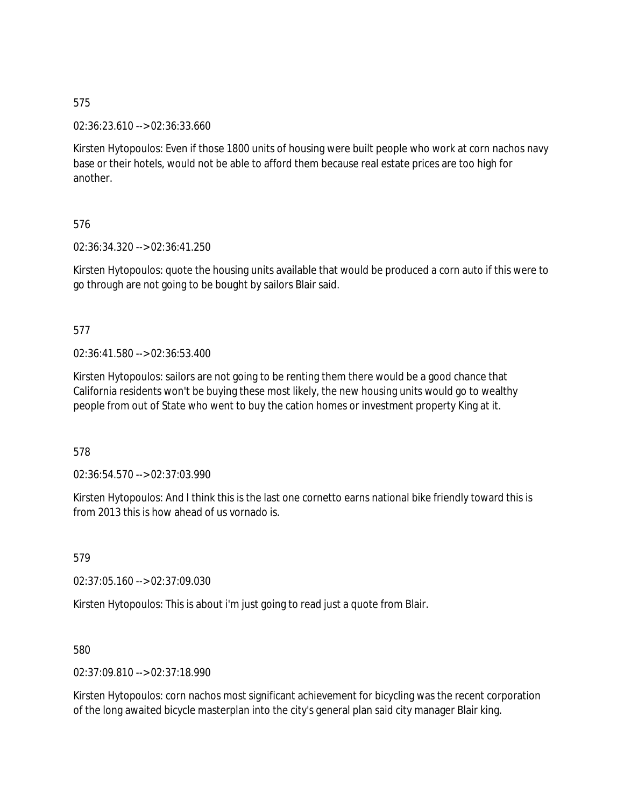02:36:23.610 --> 02:36:33.660

Kirsten Hytopoulos: Even if those 1800 units of housing were built people who work at corn nachos navy base or their hotels, would not be able to afford them because real estate prices are too high for another.

576

02:36:34.320 --> 02:36:41.250

Kirsten Hytopoulos: quote the housing units available that would be produced a corn auto if this were to go through are not going to be bought by sailors Blair said.

577

02:36:41.580 --> 02:36:53.400

Kirsten Hytopoulos: sailors are not going to be renting them there would be a good chance that California residents won't be buying these most likely, the new housing units would go to wealthy people from out of State who went to buy the cation homes or investment property King at it.

578

02:36:54.570 --> 02:37:03.990

Kirsten Hytopoulos: And I think this is the last one cornetto earns national bike friendly toward this is from 2013 this is how ahead of us vornado is.

579

02:37:05.160 --> 02:37:09.030

Kirsten Hytopoulos: This is about i'm just going to read just a quote from Blair.

580

02:37:09.810 --> 02:37:18.990

Kirsten Hytopoulos: corn nachos most significant achievement for bicycling was the recent corporation of the long awaited bicycle masterplan into the city's general plan said city manager Blair king.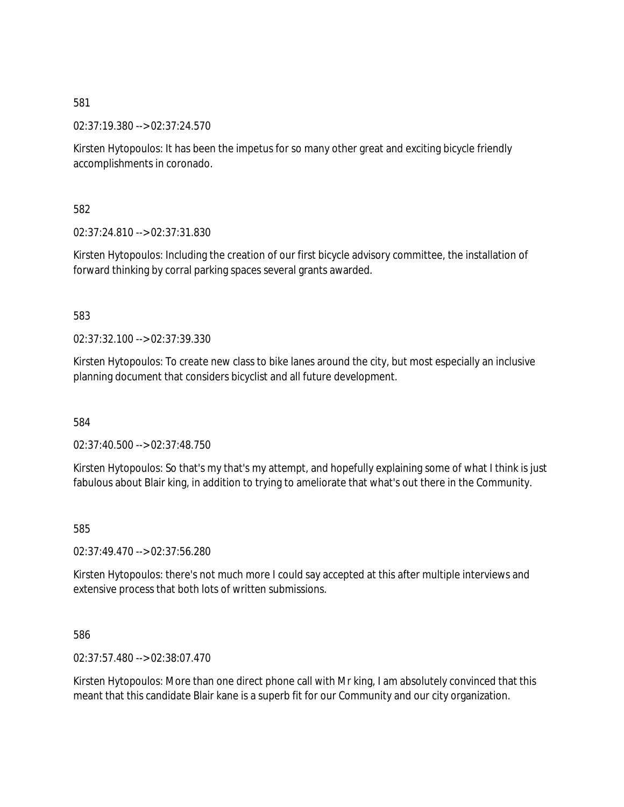02:37:19.380 --> 02:37:24.570

Kirsten Hytopoulos: It has been the impetus for so many other great and exciting bicycle friendly accomplishments in coronado.

582

02:37:24.810 --> 02:37:31.830

Kirsten Hytopoulos: Including the creation of our first bicycle advisory committee, the installation of forward thinking by corral parking spaces several grants awarded.

583

02:37:32.100 --> 02:37:39.330

Kirsten Hytopoulos: To create new class to bike lanes around the city, but most especially an inclusive planning document that considers bicyclist and all future development.

584

02:37:40.500 --> 02:37:48.750

Kirsten Hytopoulos: So that's my that's my attempt, and hopefully explaining some of what I think is just fabulous about Blair king, in addition to trying to ameliorate that what's out there in the Community.

585

02:37:49.470 --> 02:37:56.280

Kirsten Hytopoulos: there's not much more I could say accepted at this after multiple interviews and extensive process that both lots of written submissions.

586

02:37:57.480 --> 02:38:07.470

Kirsten Hytopoulos: More than one direct phone call with Mr king, I am absolutely convinced that this meant that this candidate Blair kane is a superb fit for our Community and our city organization.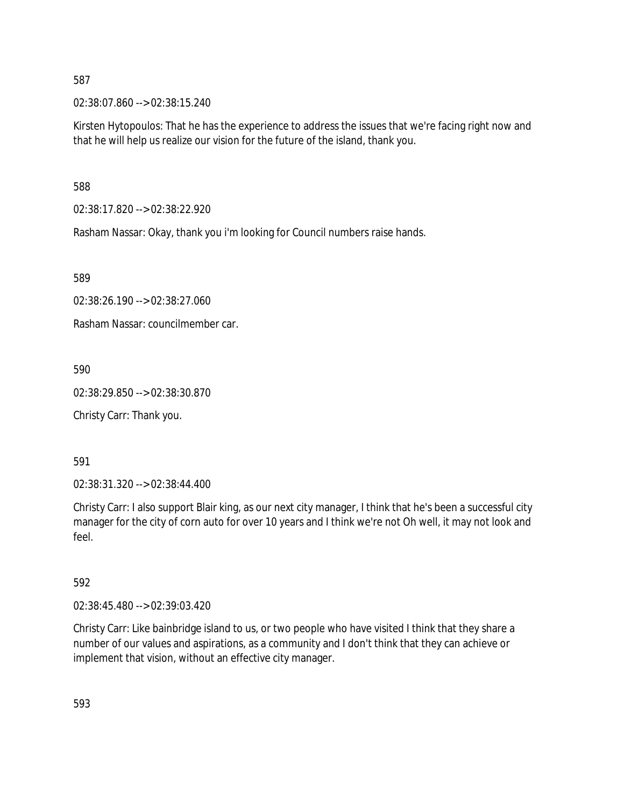02:38:07.860 --> 02:38:15.240

Kirsten Hytopoulos: That he has the experience to address the issues that we're facing right now and that he will help us realize our vision for the future of the island, thank you.

588

02:38:17.820 --> 02:38:22.920

Rasham Nassar: Okay, thank you i'm looking for Council numbers raise hands.

589

02:38:26.190 --> 02:38:27.060

Rasham Nassar: councilmember car.

590

02:38:29.850 --> 02:38:30.870

Christy Carr: Thank you.

591

02:38:31.320 --> 02:38:44.400

Christy Carr: I also support Blair king, as our next city manager, I think that he's been a successful city manager for the city of corn auto for over 10 years and I think we're not Oh well, it may not look and feel.

592

02:38:45.480 --> 02:39:03.420

Christy Carr: Like bainbridge island to us, or two people who have visited I think that they share a number of our values and aspirations, as a community and I don't think that they can achieve or implement that vision, without an effective city manager.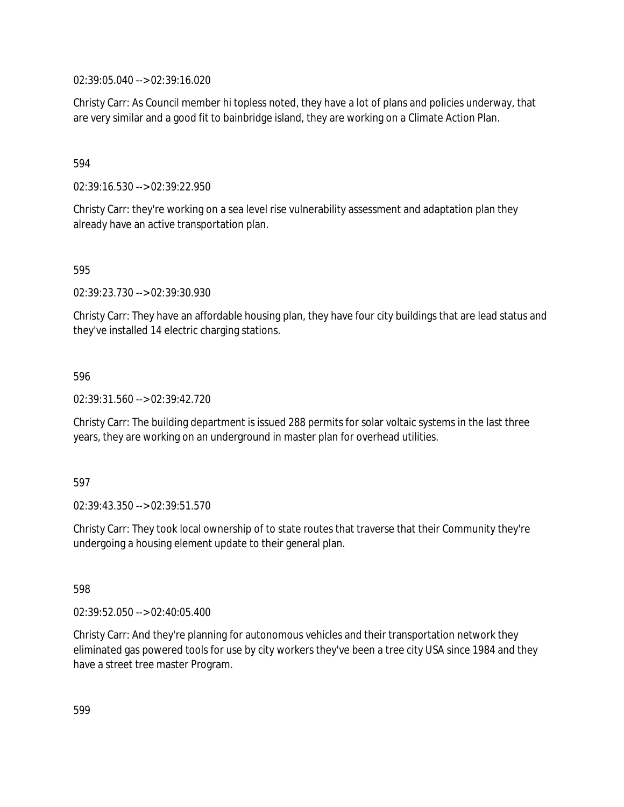02:39:05.040 --> 02:39:16.020

Christy Carr: As Council member hi topless noted, they have a lot of plans and policies underway, that are very similar and a good fit to bainbridge island, they are working on a Climate Action Plan.

594

02:39:16.530 --> 02:39:22.950

Christy Carr: they're working on a sea level rise vulnerability assessment and adaptation plan they already have an active transportation plan.

595

02:39:23.730 --> 02:39:30.930

Christy Carr: They have an affordable housing plan, they have four city buildings that are lead status and they've installed 14 electric charging stations.

596

02:39:31.560 --> 02:39:42.720

Christy Carr: The building department is issued 288 permits for solar voltaic systems in the last three years, they are working on an underground in master plan for overhead utilities.

597

02:39:43.350 --> 02:39:51.570

Christy Carr: They took local ownership of to state routes that traverse that their Community they're undergoing a housing element update to their general plan.

598

02:39:52.050 --> 02:40:05.400

Christy Carr: And they're planning for autonomous vehicles and their transportation network they eliminated gas powered tools for use by city workers they've been a tree city USA since 1984 and they have a street tree master Program.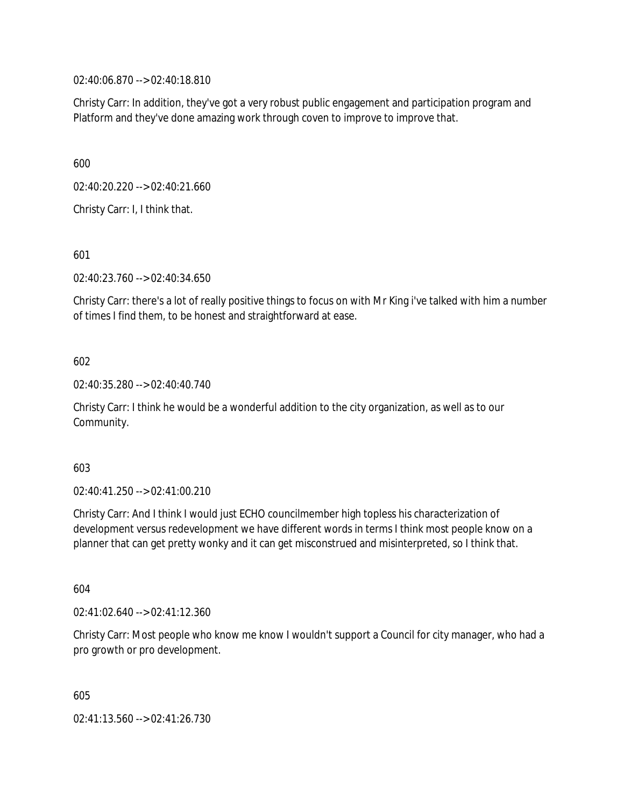02:40:06.870 --> 02:40:18.810

Christy Carr: In addition, they've got a very robust public engagement and participation program and Platform and they've done amazing work through coven to improve to improve that.

600

02:40:20.220 --> 02:40:21.660

Christy Carr: I, I think that.

601

02:40:23.760 --> 02:40:34.650

Christy Carr: there's a lot of really positive things to focus on with Mr King i've talked with him a number of times I find them, to be honest and straightforward at ease.

## 602

02:40:35.280 --> 02:40:40.740

Christy Carr: I think he would be a wonderful addition to the city organization, as well as to our Community.

#### 603

02:40:41.250 --> 02:41:00.210

Christy Carr: And I think I would just ECHO councilmember high topless his characterization of development versus redevelopment we have different words in terms I think most people know on a planner that can get pretty wonky and it can get misconstrued and misinterpreted, so I think that.

604

02:41:02.640 --> 02:41:12.360

Christy Carr: Most people who know me know I wouldn't support a Council for city manager, who had a pro growth or pro development.

605

02:41:13.560 --> 02:41:26.730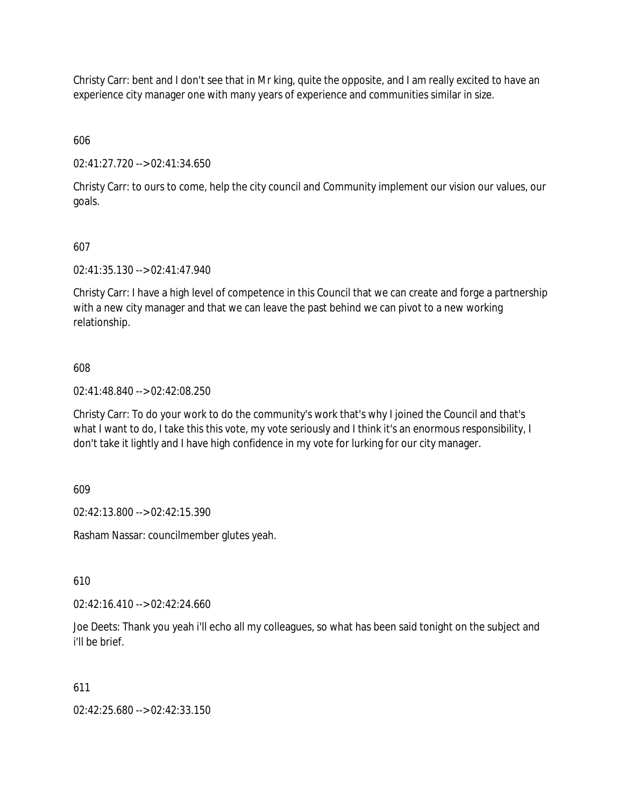Christy Carr: bent and I don't see that in Mr king, quite the opposite, and I am really excited to have an experience city manager one with many years of experience and communities similar in size.

606

02:41:27.720 --> 02:41:34.650

Christy Carr: to ours to come, help the city council and Community implement our vision our values, our goals.

# 607

02:41:35.130 --> 02:41:47.940

Christy Carr: I have a high level of competence in this Council that we can create and forge a partnership with a new city manager and that we can leave the past behind we can pivot to a new working relationship.

# 608

02:41:48.840 --> 02:42:08.250

Christy Carr: To do your work to do the community's work that's why I joined the Council and that's what I want to do, I take this this vote, my vote seriously and I think it's an enormous responsibility, I don't take it lightly and I have high confidence in my vote for lurking for our city manager.

609

02:42:13.800 --> 02:42:15.390

Rasham Nassar: councilmember glutes yeah.

610

02:42:16.410 --> 02:42:24.660

Joe Deets: Thank you yeah i'll echo all my colleagues, so what has been said tonight on the subject and i'll be brief.

## 611

02:42:25.680 --> 02:42:33.150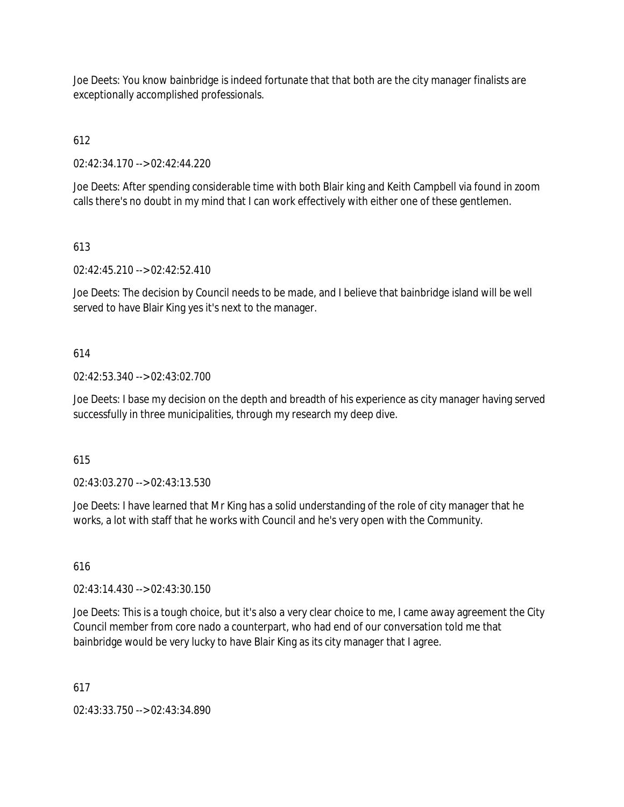Joe Deets: You know bainbridge is indeed fortunate that that both are the city manager finalists are exceptionally accomplished professionals.

# 612

02:42:34.170 --> 02:42:44.220

Joe Deets: After spending considerable time with both Blair king and Keith Campbell via found in zoom calls there's no doubt in my mind that I can work effectively with either one of these gentlemen.

# 613

02:42:45.210 --> 02:42:52.410

Joe Deets: The decision by Council needs to be made, and I believe that bainbridge island will be well served to have Blair King yes it's next to the manager.

# 614

02:42:53.340 --> 02:43:02.700

Joe Deets: I base my decision on the depth and breadth of his experience as city manager having served successfully in three municipalities, through my research my deep dive.

## 615

02:43:03.270 --> 02:43:13.530

Joe Deets: I have learned that Mr King has a solid understanding of the role of city manager that he works, a lot with staff that he works with Council and he's very open with the Community.

## 616

02:43:14.430 --> 02:43:30.150

Joe Deets: This is a tough choice, but it's also a very clear choice to me, I came away agreement the City Council member from core nado a counterpart, who had end of our conversation told me that bainbridge would be very lucky to have Blair King as its city manager that I agree.

## 617

02:43:33.750 --> 02:43:34.890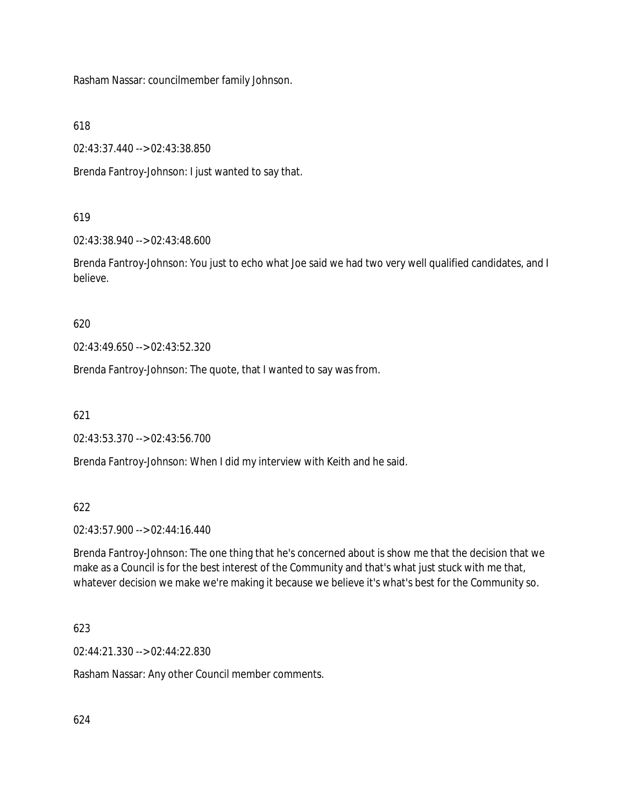Rasham Nassar: councilmember family Johnson.

618

02:43:37.440 --> 02:43:38.850

Brenda Fantroy-Johnson: I just wanted to say that.

# 619

02:43:38.940 --> 02:43:48.600

Brenda Fantroy-Johnson: You just to echo what Joe said we had two very well qualified candidates, and I believe.

620

02:43:49.650 --> 02:43:52.320

Brenda Fantroy-Johnson: The quote, that I wanted to say was from.

621

02:43:53.370 --> 02:43:56.700

Brenda Fantroy-Johnson: When I did my interview with Keith and he said.

## 622

02:43:57.900 --> 02:44:16.440

Brenda Fantroy-Johnson: The one thing that he's concerned about is show me that the decision that we make as a Council is for the best interest of the Community and that's what just stuck with me that, whatever decision we make we're making it because we believe it's what's best for the Community so.

## 623

02:44:21.330 --> 02:44:22.830

Rasham Nassar: Any other Council member comments.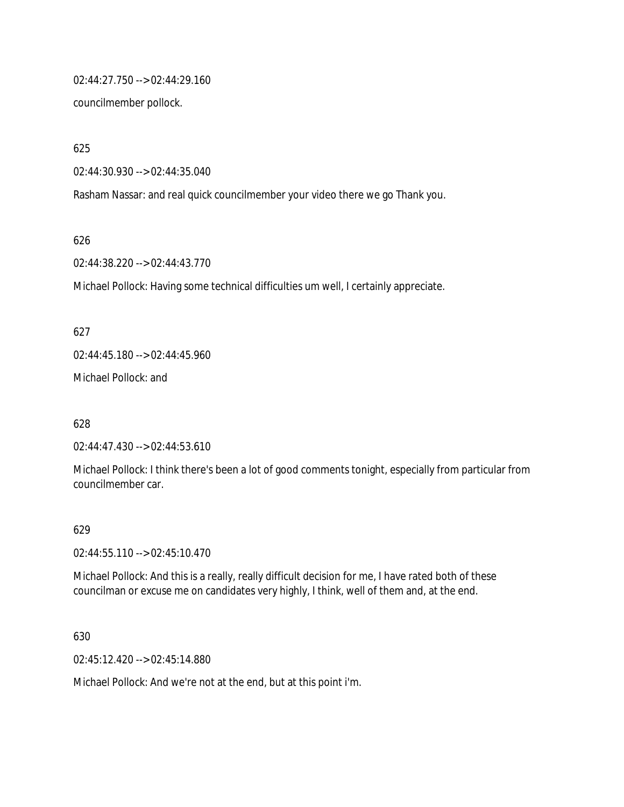02:44:27.750 --> 02:44:29.160

councilmember pollock.

625

02:44:30.930 --> 02:44:35.040

Rasham Nassar: and real quick councilmember your video there we go Thank you.

626

02:44:38.220 --> 02:44:43.770

Michael Pollock: Having some technical difficulties um well, I certainly appreciate.

627

02:44:45.180 --> 02:44:45.960

Michael Pollock: and

628

02:44:47.430 --> 02:44:53.610

Michael Pollock: I think there's been a lot of good comments tonight, especially from particular from councilmember car.

#### 629

02:44:55.110 --> 02:45:10.470

Michael Pollock: And this is a really, really difficult decision for me, I have rated both of these councilman or excuse me on candidates very highly, I think, well of them and, at the end.

630

02:45:12.420 --> 02:45:14.880

Michael Pollock: And we're not at the end, but at this point i'm.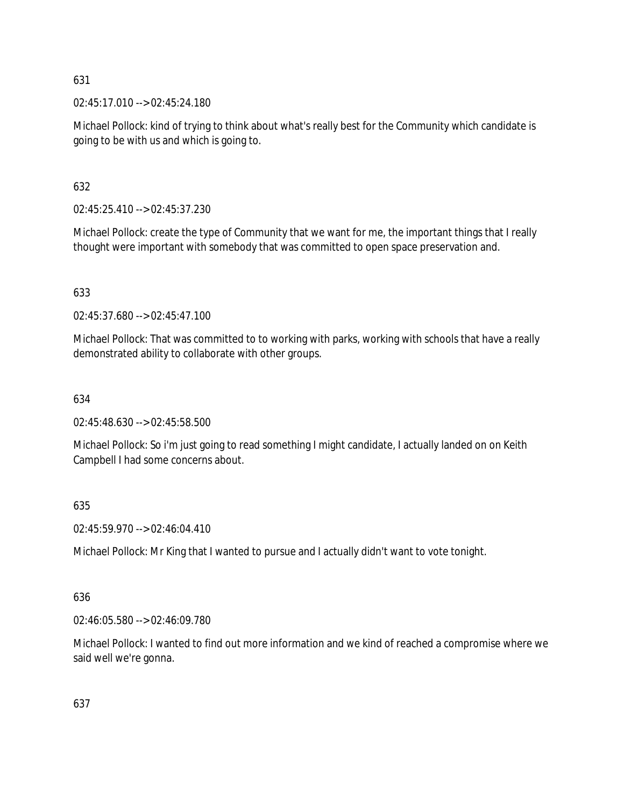02:45:17.010 --> 02:45:24.180

Michael Pollock: kind of trying to think about what's really best for the Community which candidate is going to be with us and which is going to.

# 632

02:45:25.410 --> 02:45:37.230

Michael Pollock: create the type of Community that we want for me, the important things that I really thought were important with somebody that was committed to open space preservation and.

# 633

02:45:37.680 --> 02:45:47.100

Michael Pollock: That was committed to to working with parks, working with schools that have a really demonstrated ability to collaborate with other groups.

# 634

02:45:48.630 --> 02:45:58.500

Michael Pollock: So i'm just going to read something I might candidate, I actually landed on on Keith Campbell I had some concerns about.

# 635

02:45:59.970 --> 02:46:04.410

Michael Pollock: Mr King that I wanted to pursue and I actually didn't want to vote tonight.

# 636

02:46:05.580 --> 02:46:09.780

Michael Pollock: I wanted to find out more information and we kind of reached a compromise where we said well we're gonna.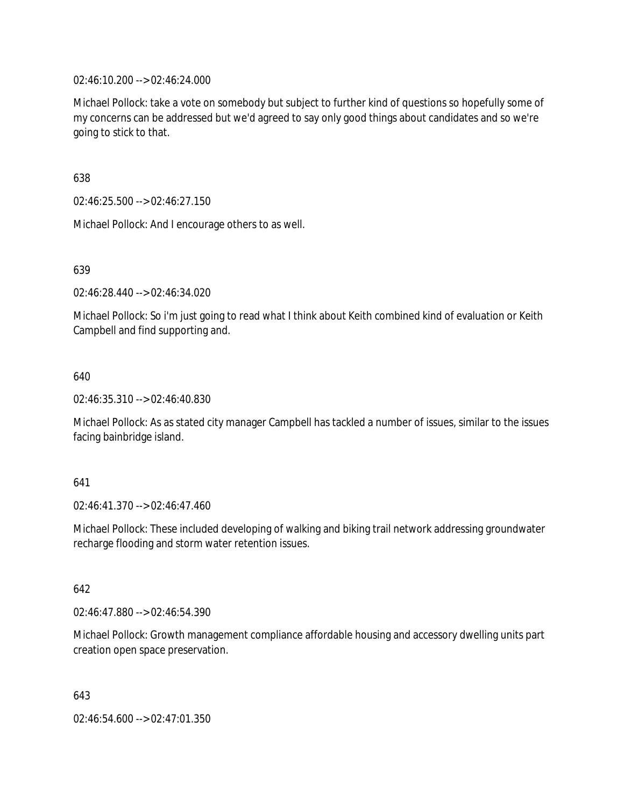02:46:10.200 --> 02:46:24.000

Michael Pollock: take a vote on somebody but subject to further kind of questions so hopefully some of my concerns can be addressed but we'd agreed to say only good things about candidates and so we're going to stick to that.

638

02:46:25.500 --> 02:46:27.150

Michael Pollock: And I encourage others to as well.

639

02:46:28.440 --> 02:46:34.020

Michael Pollock: So i'm just going to read what I think about Keith combined kind of evaluation or Keith Campbell and find supporting and.

640

02:46:35.310 --> 02:46:40.830

Michael Pollock: As as stated city manager Campbell has tackled a number of issues, similar to the issues facing bainbridge island.

## 641

02:46:41.370 --> 02:46:47.460

Michael Pollock: These included developing of walking and biking trail network addressing groundwater recharge flooding and storm water retention issues.

642

02:46:47.880 --> 02:46:54.390

Michael Pollock: Growth management compliance affordable housing and accessory dwelling units part creation open space preservation.

643

02:46:54.600 --> 02:47:01.350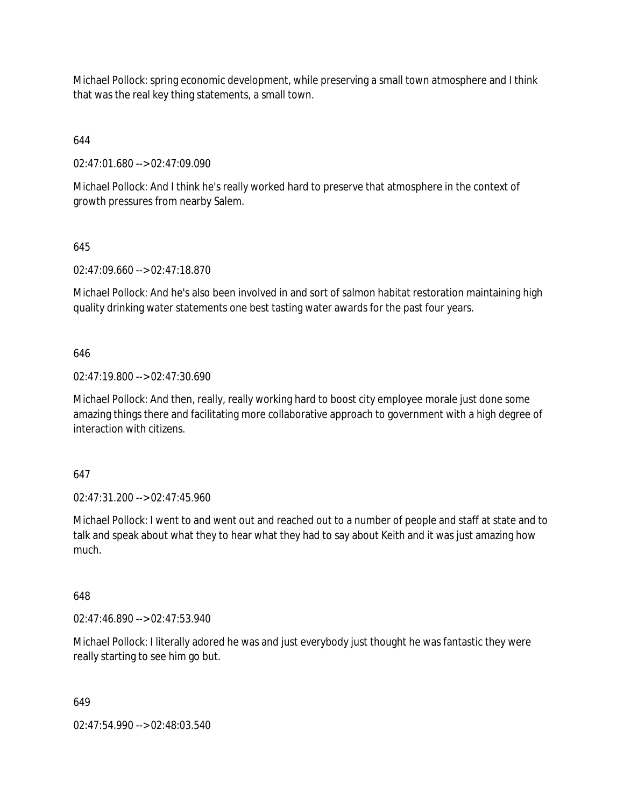Michael Pollock: spring economic development, while preserving a small town atmosphere and I think that was the real key thing statements, a small town.

644

02:47:01.680 --> 02:47:09.090

Michael Pollock: And I think he's really worked hard to preserve that atmosphere in the context of growth pressures from nearby Salem.

# 645

02:47:09.660 --> 02:47:18.870

Michael Pollock: And he's also been involved in and sort of salmon habitat restoration maintaining high quality drinking water statements one best tasting water awards for the past four years.

# 646

02:47:19.800 --> 02:47:30.690

Michael Pollock: And then, really, really working hard to boost city employee morale just done some amazing things there and facilitating more collaborative approach to government with a high degree of interaction with citizens.

## 647

02:47:31.200 --> 02:47:45.960

Michael Pollock: I went to and went out and reached out to a number of people and staff at state and to talk and speak about what they to hear what they had to say about Keith and it was just amazing how much.

# 648

02:47:46.890 --> 02:47:53.940

Michael Pollock: I literally adored he was and just everybody just thought he was fantastic they were really starting to see him go but.

## 649

02:47:54.990 --> 02:48:03.540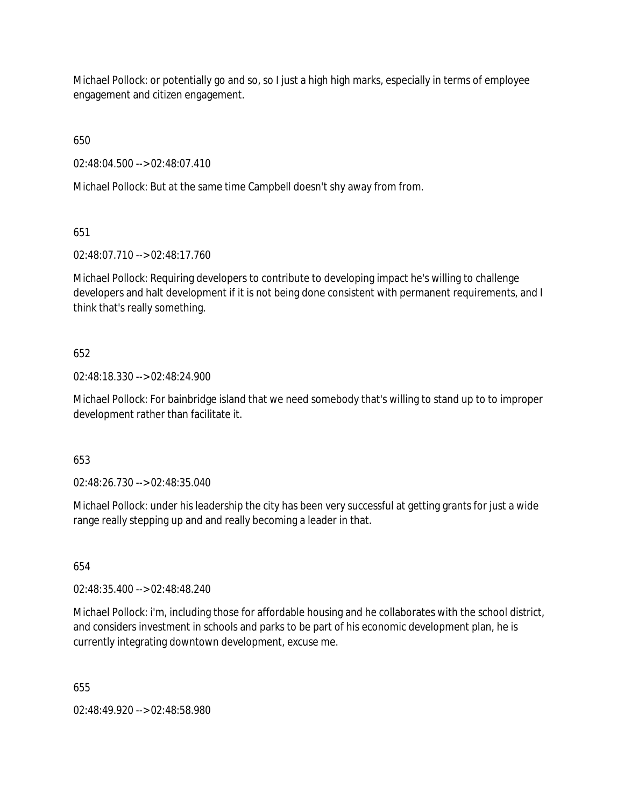Michael Pollock: or potentially go and so, so I just a high high marks, especially in terms of employee engagement and citizen engagement.

650

02:48:04.500 --> 02:48:07.410

Michael Pollock: But at the same time Campbell doesn't shy away from from.

651

02:48:07.710 --> 02:48:17.760

Michael Pollock: Requiring developers to contribute to developing impact he's willing to challenge developers and halt development if it is not being done consistent with permanent requirements, and I think that's really something.

# 652

02:48:18.330 --> 02:48:24.900

Michael Pollock: For bainbridge island that we need somebody that's willing to stand up to to improper development rather than facilitate it.

653

02:48:26.730 --> 02:48:35.040

Michael Pollock: under his leadership the city has been very successful at getting grants for just a wide range really stepping up and and really becoming a leader in that.

654

02:48:35.400 --> 02:48:48.240

Michael Pollock: i'm, including those for affordable housing and he collaborates with the school district, and considers investment in schools and parks to be part of his economic development plan, he is currently integrating downtown development, excuse me.

655

02:48:49.920 --> 02:48:58.980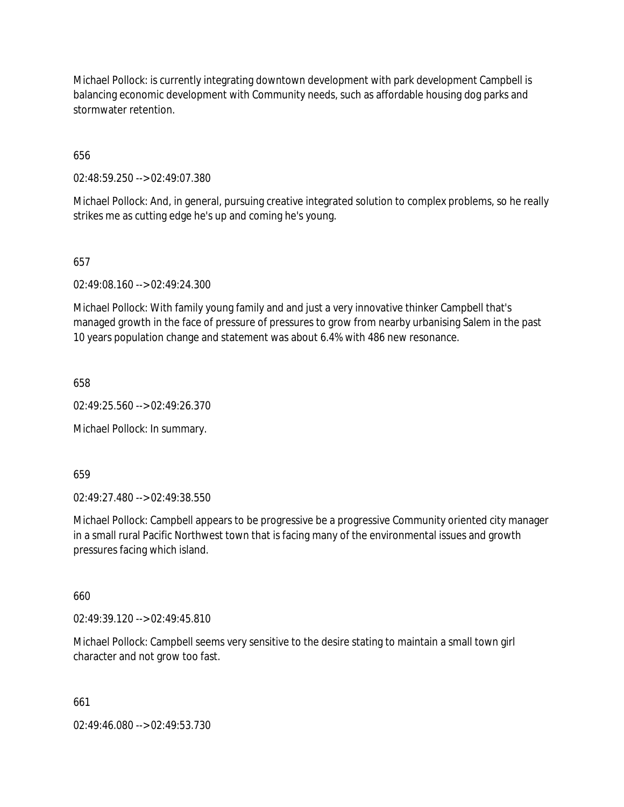Michael Pollock: is currently integrating downtown development with park development Campbell is balancing economic development with Community needs, such as affordable housing dog parks and stormwater retention.

656

02:48:59.250 --> 02:49:07.380

Michael Pollock: And, in general, pursuing creative integrated solution to complex problems, so he really strikes me as cutting edge he's up and coming he's young.

657

02:49:08.160 --> 02:49:24.300

Michael Pollock: With family young family and and just a very innovative thinker Campbell that's managed growth in the face of pressure of pressures to grow from nearby urbanising Salem in the past 10 years population change and statement was about 6.4% with 486 new resonance.

658

02:49:25.560 --> 02:49:26.370

Michael Pollock: In summary.

659

02:49:27.480 --> 02:49:38.550

Michael Pollock: Campbell appears to be progressive be a progressive Community oriented city manager in a small rural Pacific Northwest town that is facing many of the environmental issues and growth pressures facing which island.

660

02:49:39.120 --> 02:49:45.810

Michael Pollock: Campbell seems very sensitive to the desire stating to maintain a small town girl character and not grow too fast.

661

02:49:46.080 --> 02:49:53.730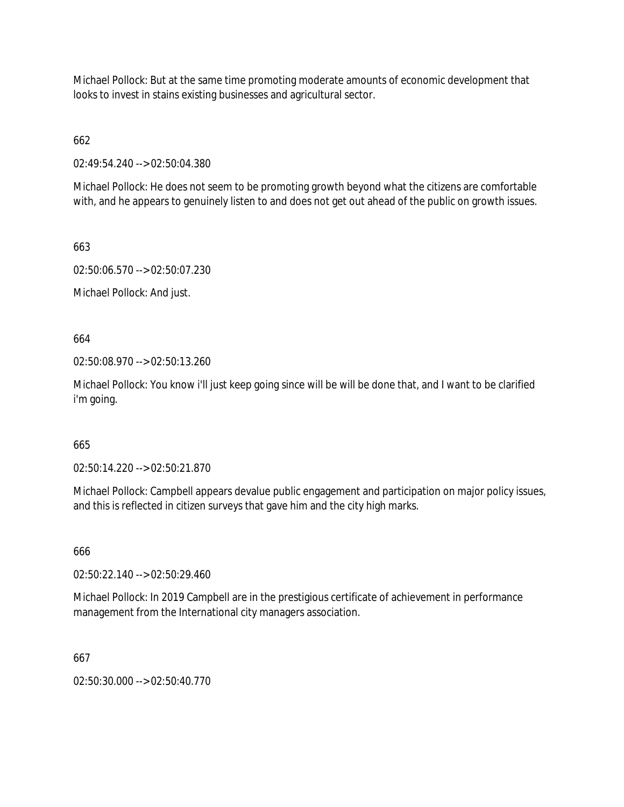Michael Pollock: But at the same time promoting moderate amounts of economic development that looks to invest in stains existing businesses and agricultural sector.

662

02:49:54.240 --> 02:50:04.380

Michael Pollock: He does not seem to be promoting growth beyond what the citizens are comfortable with, and he appears to genuinely listen to and does not get out ahead of the public on growth issues.

663

02:50:06.570 --> 02:50:07.230

Michael Pollock: And just.

664

02:50:08.970 --> 02:50:13.260

Michael Pollock: You know i'll just keep going since will be will be done that, and I want to be clarified i'm going.

# 665

02:50:14.220 --> 02:50:21.870

Michael Pollock: Campbell appears devalue public engagement and participation on major policy issues, and this is reflected in citizen surveys that gave him and the city high marks.

666

02:50:22.140 --> 02:50:29.460

Michael Pollock: In 2019 Campbell are in the prestigious certificate of achievement in performance management from the International city managers association.

667

02:50:30.000 --> 02:50:40.770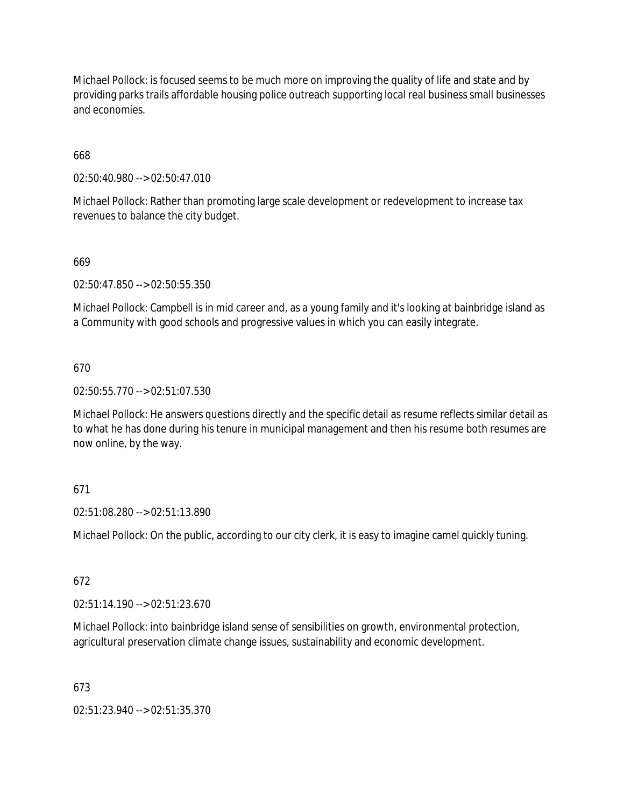Michael Pollock: is focused seems to be much more on improving the quality of life and state and by providing parks trails affordable housing police outreach supporting local real business small businesses and economies.

# 668

02:50:40.980 --> 02:50:47.010

Michael Pollock: Rather than promoting large scale development or redevelopment to increase tax revenues to balance the city budget.

# 669

02:50:47.850 --> 02:50:55.350

Michael Pollock: Campbell is in mid career and, as a young family and it's looking at bainbridge island as a Community with good schools and progressive values in which you can easily integrate.

## 670

02:50:55.770 --> 02:51:07.530

Michael Pollock: He answers questions directly and the specific detail as resume reflects similar detail as to what he has done during his tenure in municipal management and then his resume both resumes are now online, by the way.

## 671

02:51:08.280 --> 02:51:13.890

Michael Pollock: On the public, according to our city clerk, it is easy to imagine camel quickly tuning.

## 672

02:51:14.190 --> 02:51:23.670

Michael Pollock: into bainbridge island sense of sensibilities on growth, environmental protection, agricultural preservation climate change issues, sustainability and economic development.

## 673

02:51:23.940 --> 02:51:35.370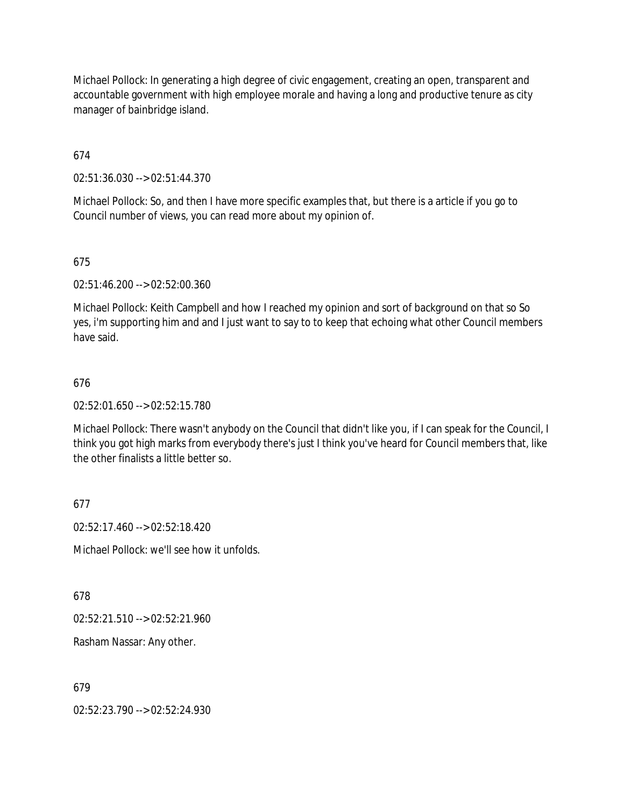Michael Pollock: In generating a high degree of civic engagement, creating an open, transparent and accountable government with high employee morale and having a long and productive tenure as city manager of bainbridge island.

674

02:51:36.030 --> 02:51:44.370

Michael Pollock: So, and then I have more specific examples that, but there is a article if you go to Council number of views, you can read more about my opinion of.

675

02:51:46.200 --> 02:52:00.360

Michael Pollock: Keith Campbell and how I reached my opinion and sort of background on that so So yes, i'm supporting him and and I just want to say to to keep that echoing what other Council members have said.

# 676

02:52:01.650 --> 02:52:15.780

Michael Pollock: There wasn't anybody on the Council that didn't like you, if I can speak for the Council, I think you got high marks from everybody there's just I think you've heard for Council members that, like the other finalists a little better so.

# 677

02:52:17.460 --> 02:52:18.420

Michael Pollock: we'll see how it unfolds.

678

02:52:21.510 --> 02:52:21.960

Rasham Nassar: Any other.

679

02:52:23.790 --> 02:52:24.930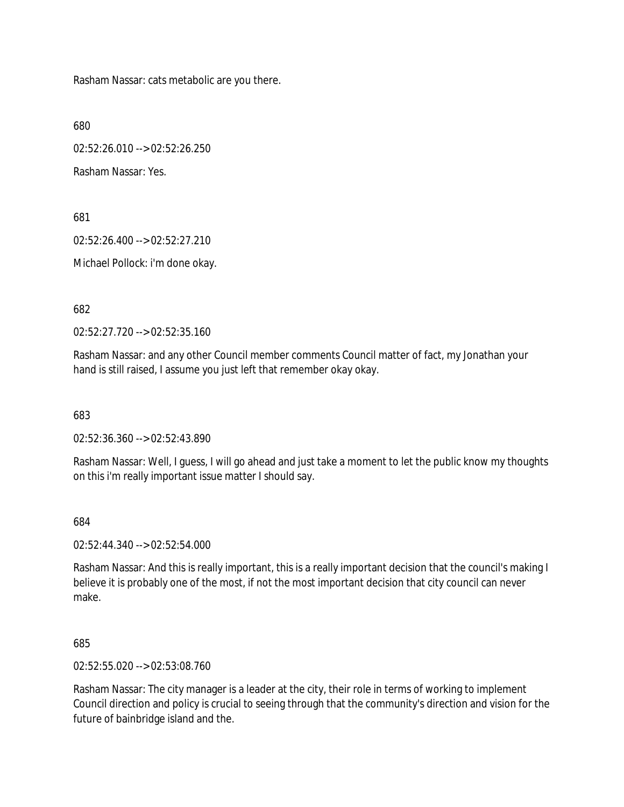Rasham Nassar: cats metabolic are you there.

680

02:52:26.010 --> 02:52:26.250

Rasham Nassar: Yes.

681

02:52:26.400 --> 02:52:27.210

Michael Pollock: i'm done okay.

682

02:52:27.720 --> 02:52:35.160

Rasham Nassar: and any other Council member comments Council matter of fact, my Jonathan your hand is still raised, I assume you just left that remember okay okay.

683

02:52:36.360 --> 02:52:43.890

Rasham Nassar: Well, I guess, I will go ahead and just take a moment to let the public know my thoughts on this i'm really important issue matter I should say.

684

02:52:44.340 --> 02:52:54.000

Rasham Nassar: And this is really important, this is a really important decision that the council's making I believe it is probably one of the most, if not the most important decision that city council can never make.

685

02:52:55.020 --> 02:53:08.760

Rasham Nassar: The city manager is a leader at the city, their role in terms of working to implement Council direction and policy is crucial to seeing through that the community's direction and vision for the future of bainbridge island and the.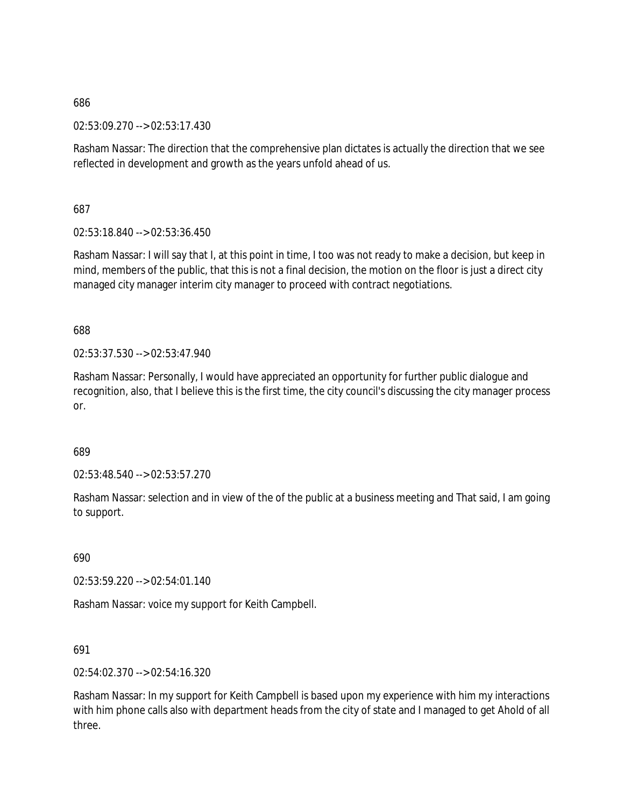02:53:09.270 --> 02:53:17.430

Rasham Nassar: The direction that the comprehensive plan dictates is actually the direction that we see reflected in development and growth as the years unfold ahead of us.

687

02:53:18.840 --> 02:53:36.450

Rasham Nassar: I will say that I, at this point in time, I too was not ready to make a decision, but keep in mind, members of the public, that this is not a final decision, the motion on the floor is just a direct city managed city manager interim city manager to proceed with contract negotiations.

688

02:53:37.530 --> 02:53:47.940

Rasham Nassar: Personally, I would have appreciated an opportunity for further public dialogue and recognition, also, that I believe this is the first time, the city council's discussing the city manager process or.

689

02:53:48.540 --> 02:53:57.270

Rasham Nassar: selection and in view of the of the public at a business meeting and That said, I am going to support.

690

02:53:59.220 --> 02:54:01.140

Rasham Nassar: voice my support for Keith Campbell.

691

02:54:02.370 --> 02:54:16.320

Rasham Nassar: In my support for Keith Campbell is based upon my experience with him my interactions with him phone calls also with department heads from the city of state and I managed to get Ahold of all three.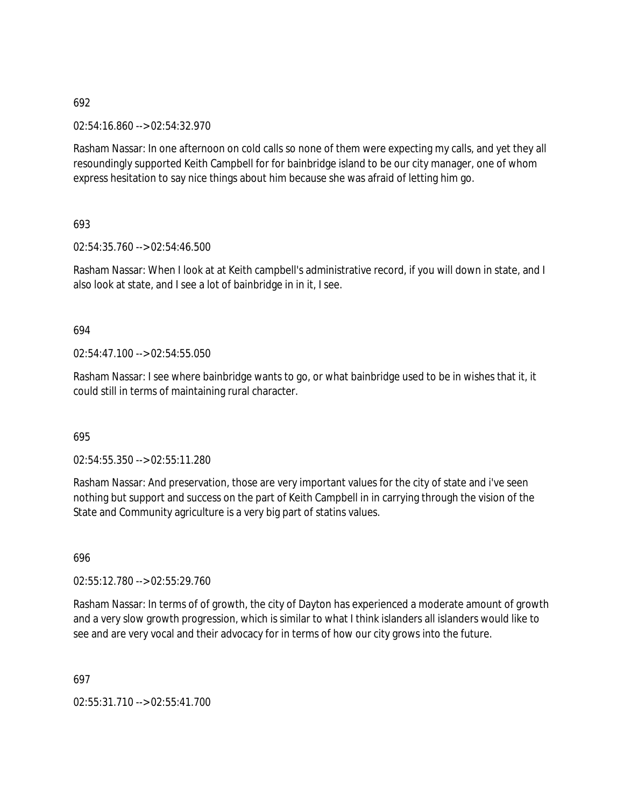02:54:16.860 --> 02:54:32.970

Rasham Nassar: In one afternoon on cold calls so none of them were expecting my calls, and yet they all resoundingly supported Keith Campbell for for bainbridge island to be our city manager, one of whom express hesitation to say nice things about him because she was afraid of letting him go.

693

02:54:35.760 --> 02:54:46.500

Rasham Nassar: When I look at at Keith campbell's administrative record, if you will down in state, and I also look at state, and I see a lot of bainbridge in in it, I see.

## 694

02:54:47.100 --> 02:54:55.050

Rasham Nassar: I see where bainbridge wants to go, or what bainbridge used to be in wishes that it, it could still in terms of maintaining rural character.

## 695

02:54:55.350 --> 02:55:11.280

Rasham Nassar: And preservation, those are very important values for the city of state and i've seen nothing but support and success on the part of Keith Campbell in in carrying through the vision of the State and Community agriculture is a very big part of statins values.

696

02:55:12.780 --> 02:55:29.760

Rasham Nassar: In terms of of growth, the city of Dayton has experienced a moderate amount of growth and a very slow growth progression, which is similar to what I think islanders all islanders would like to see and are very vocal and their advocacy for in terms of how our city grows into the future.

697

02:55:31.710 --> 02:55:41.700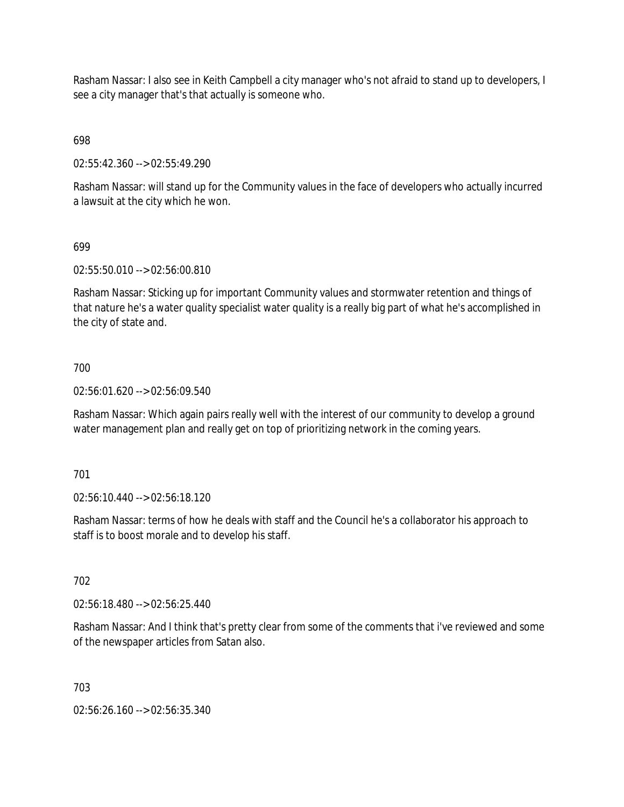Rasham Nassar: I also see in Keith Campbell a city manager who's not afraid to stand up to developers, I see a city manager that's that actually is someone who.

698

02:55:42.360 --> 02:55:49.290

Rasham Nassar: will stand up for the Community values in the face of developers who actually incurred a lawsuit at the city which he won.

## 699

02:55:50.010 --> 02:56:00.810

Rasham Nassar: Sticking up for important Community values and stormwater retention and things of that nature he's a water quality specialist water quality is a really big part of what he's accomplished in the city of state and.

## 700

02:56:01.620 --> 02:56:09.540

Rasham Nassar: Which again pairs really well with the interest of our community to develop a ground water management plan and really get on top of prioritizing network in the coming years.

## 701

02:56:10.440 --> 02:56:18.120

Rasham Nassar: terms of how he deals with staff and the Council he's a collaborator his approach to staff is to boost morale and to develop his staff.

## 702

02:56:18.480 --> 02:56:25.440

Rasham Nassar: And I think that's pretty clear from some of the comments that i've reviewed and some of the newspaper articles from Satan also.

## 703

02:56:26.160 --> 02:56:35.340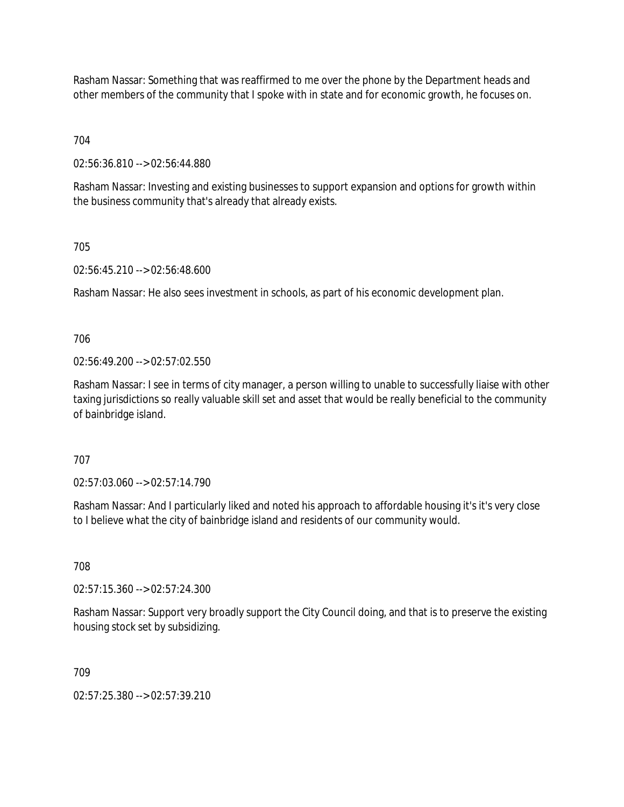Rasham Nassar: Something that was reaffirmed to me over the phone by the Department heads and other members of the community that I spoke with in state and for economic growth, he focuses on.

704

02:56:36.810 --> 02:56:44.880

Rasham Nassar: Investing and existing businesses to support expansion and options for growth within the business community that's already that already exists.

## 705

02:56:45.210 --> 02:56:48.600

Rasham Nassar: He also sees investment in schools, as part of his economic development plan.

706

02:56:49.200 --> 02:57:02.550

Rasham Nassar: I see in terms of city manager, a person willing to unable to successfully liaise with other taxing jurisdictions so really valuable skill set and asset that would be really beneficial to the community of bainbridge island.

707

02:57:03.060 --> 02:57:14.790

Rasham Nassar: And I particularly liked and noted his approach to affordable housing it's it's very close to I believe what the city of bainbridge island and residents of our community would.

708

02:57:15.360 --> 02:57:24.300

Rasham Nassar: Support very broadly support the City Council doing, and that is to preserve the existing housing stock set by subsidizing.

709

02:57:25.380 --> 02:57:39.210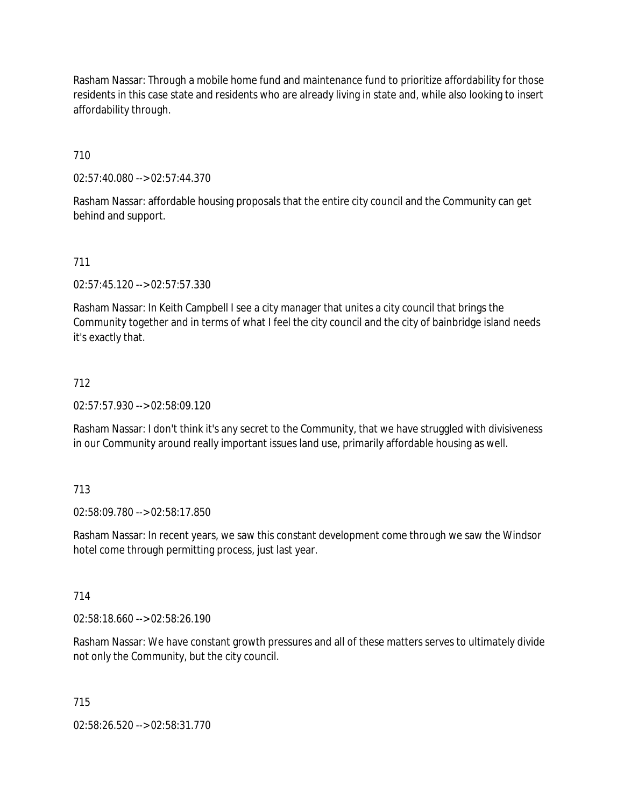Rasham Nassar: Through a mobile home fund and maintenance fund to prioritize affordability for those residents in this case state and residents who are already living in state and, while also looking to insert affordability through.

710

02:57:40.080 --> 02:57:44.370

Rasham Nassar: affordable housing proposals that the entire city council and the Community can get behind and support.

## 711

02:57:45.120 --> 02:57:57.330

Rasham Nassar: In Keith Campbell I see a city manager that unites a city council that brings the Community together and in terms of what I feel the city council and the city of bainbridge island needs it's exactly that.

## 712

02:57:57.930 --> 02:58:09.120

Rasham Nassar: I don't think it's any secret to the Community, that we have struggled with divisiveness in our Community around really important issues land use, primarily affordable housing as well.

## 713

02:58:09.780 --> 02:58:17.850

Rasham Nassar: In recent years, we saw this constant development come through we saw the Windsor hotel come through permitting process, just last year.

## 714

02:58:18.660 --> 02:58:26.190

Rasham Nassar: We have constant growth pressures and all of these matters serves to ultimately divide not only the Community, but the city council.

## 715

02:58:26.520 --> 02:58:31.770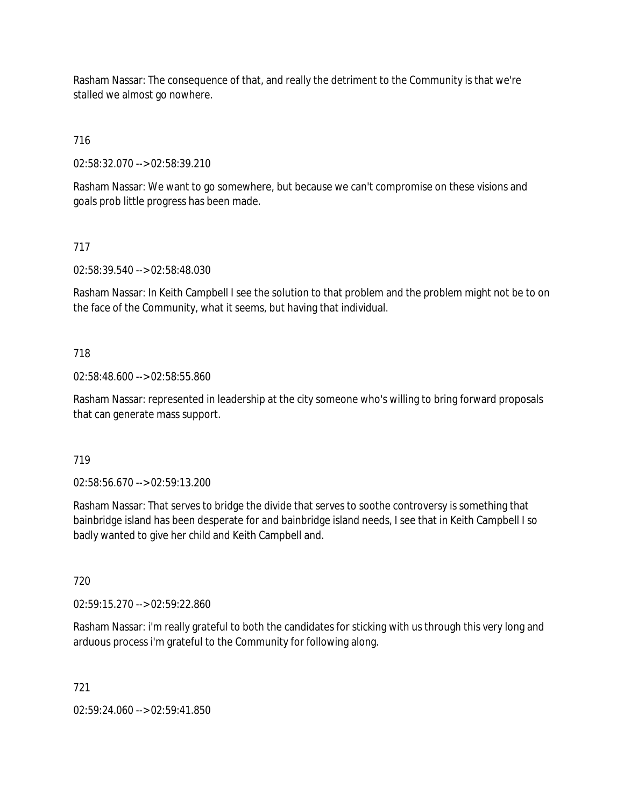Rasham Nassar: The consequence of that, and really the detriment to the Community is that we're stalled we almost go nowhere.

716

02:58:32.070 --> 02:58:39.210

Rasham Nassar: We want to go somewhere, but because we can't compromise on these visions and goals prob little progress has been made.

## 717

02:58:39.540 --> 02:58:48.030

Rasham Nassar: In Keith Campbell I see the solution to that problem and the problem might not be to on the face of the Community, what it seems, but having that individual.

### 718

02:58:48.600 --> 02:58:55.860

Rasham Nassar: represented in leadership at the city someone who's willing to bring forward proposals that can generate mass support.

#### 719

02:58:56.670 --> 02:59:13.200

Rasham Nassar: That serves to bridge the divide that serves to soothe controversy is something that bainbridge island has been desperate for and bainbridge island needs, I see that in Keith Campbell I so badly wanted to give her child and Keith Campbell and.

720

02:59:15.270 --> 02:59:22.860

Rasham Nassar: i'm really grateful to both the candidates for sticking with us through this very long and arduous process i'm grateful to the Community for following along.

721

02:59:24.060 --> 02:59:41.850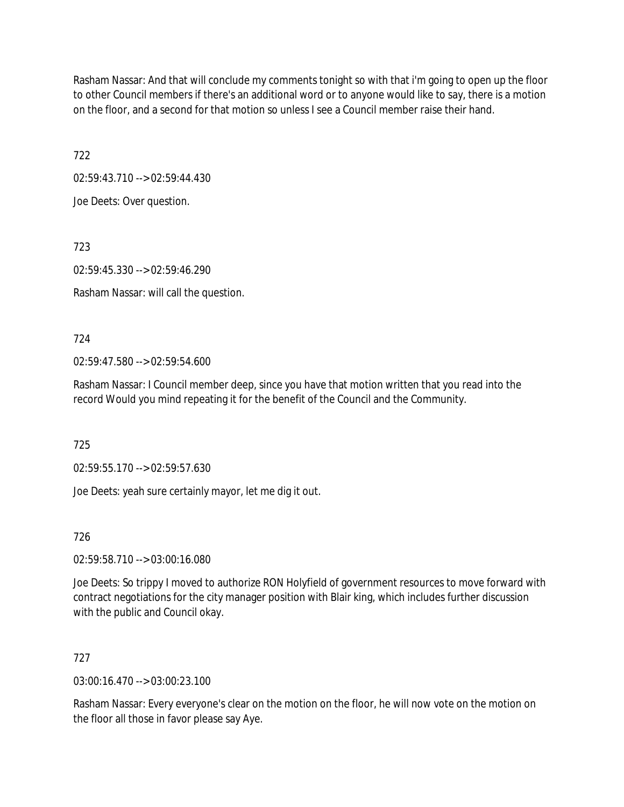Rasham Nassar: And that will conclude my comments tonight so with that i'm going to open up the floor to other Council members if there's an additional word or to anyone would like to say, there is a motion on the floor, and a second for that motion so unless I see a Council member raise their hand.

722

02:59:43.710 --> 02:59:44.430

Joe Deets: Over question.

723

02:59:45.330 --> 02:59:46.290

Rasham Nassar: will call the question.

724

02:59:47.580 --> 02:59:54.600

Rasham Nassar: I Council member deep, since you have that motion written that you read into the record Would you mind repeating it for the benefit of the Council and the Community.

725

02:59:55.170 --> 02:59:57.630

Joe Deets: yeah sure certainly mayor, let me dig it out.

726

02:59:58.710 --> 03:00:16.080

Joe Deets: So trippy I moved to authorize RON Holyfield of government resources to move forward with contract negotiations for the city manager position with Blair king, which includes further discussion with the public and Council okay.

727

03:00:16.470 --> 03:00:23.100

Rasham Nassar: Every everyone's clear on the motion on the floor, he will now vote on the motion on the floor all those in favor please say Aye.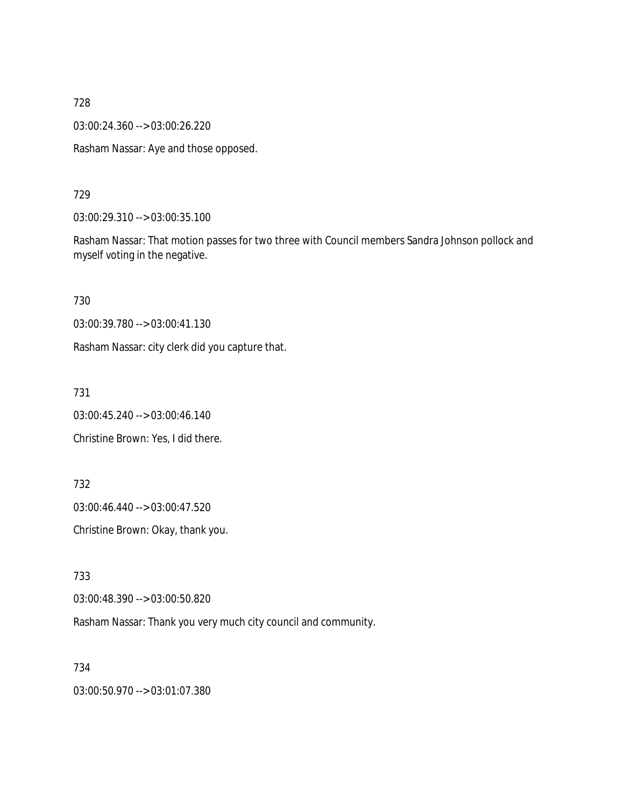03:00:24.360 --> 03:00:26.220

Rasham Nassar: Aye and those opposed.

729

03:00:29.310 --> 03:00:35.100

Rasham Nassar: That motion passes for two three with Council members Sandra Johnson pollock and myself voting in the negative.

730

03:00:39.780 --> 03:00:41.130

Rasham Nassar: city clerk did you capture that.

731

03:00:45.240 --> 03:00:46.140

Christine Brown: Yes, I did there.

732

03:00:46.440 --> 03:00:47.520

Christine Brown: Okay, thank you.

733

03:00:48.390 --> 03:00:50.820

Rasham Nassar: Thank you very much city council and community.

734

03:00:50.970 --> 03:01:07.380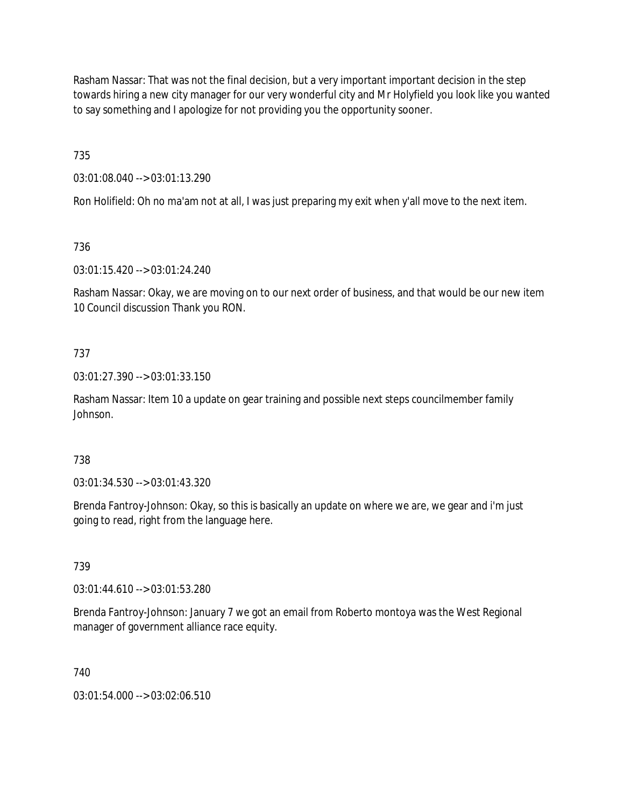Rasham Nassar: That was not the final decision, but a very important important decision in the step towards hiring a new city manager for our very wonderful city and Mr Holyfield you look like you wanted to say something and I apologize for not providing you the opportunity sooner.

735

03:01:08.040 --> 03:01:13.290

Ron Holifield: Oh no ma'am not at all, I was just preparing my exit when y'all move to the next item.

736

03:01:15.420 --> 03:01:24.240

Rasham Nassar: Okay, we are moving on to our next order of business, and that would be our new item 10 Council discussion Thank you RON.

# 737

03:01:27.390 --> 03:01:33.150

Rasham Nassar: Item 10 a update on gear training and possible next steps councilmember family Johnson.

# 738

03:01:34.530 --> 03:01:43.320

Brenda Fantroy-Johnson: Okay, so this is basically an update on where we are, we gear and i'm just going to read, right from the language here.

## 739

03:01:44.610 --> 03:01:53.280

Brenda Fantroy-Johnson: January 7 we got an email from Roberto montoya was the West Regional manager of government alliance race equity.

# 740

03:01:54.000 --> 03:02:06.510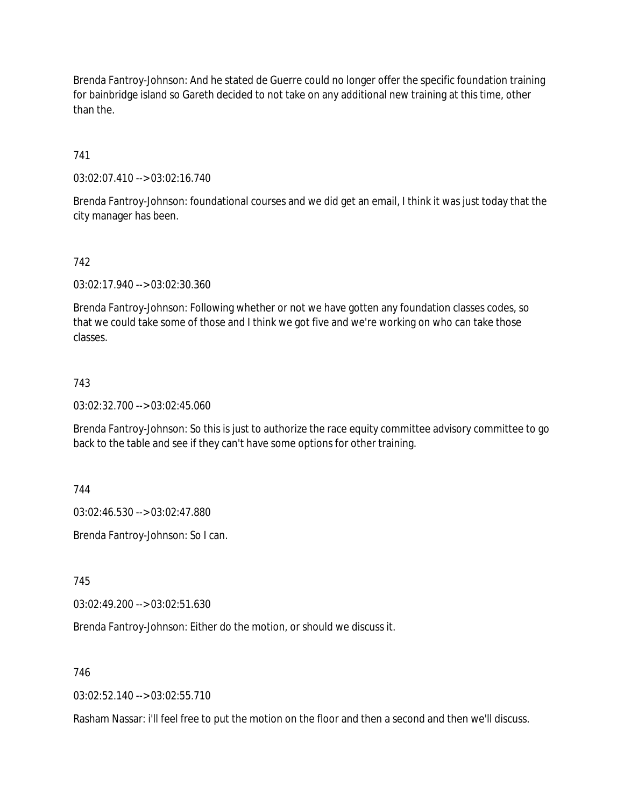Brenda Fantroy-Johnson: And he stated de Guerre could no longer offer the specific foundation training for bainbridge island so Gareth decided to not take on any additional new training at this time, other than the.

741

03:02:07.410 --> 03:02:16.740

Brenda Fantroy-Johnson: foundational courses and we did get an email, I think it was just today that the city manager has been.

### 742

03:02:17.940 --> 03:02:30.360

Brenda Fantroy-Johnson: Following whether or not we have gotten any foundation classes codes, so that we could take some of those and I think we got five and we're working on who can take those classes.

#### 743

03:02:32.700 --> 03:02:45.060

Brenda Fantroy-Johnson: So this is just to authorize the race equity committee advisory committee to go back to the table and see if they can't have some options for other training.

744

03:02:46.530 --> 03:02:47.880

Brenda Fantroy-Johnson: So I can.

745

03:02:49.200 --> 03:02:51.630

Brenda Fantroy-Johnson: Either do the motion, or should we discuss it.

746

03:02:52.140 --> 03:02:55.710

Rasham Nassar: i'll feel free to put the motion on the floor and then a second and then we'll discuss.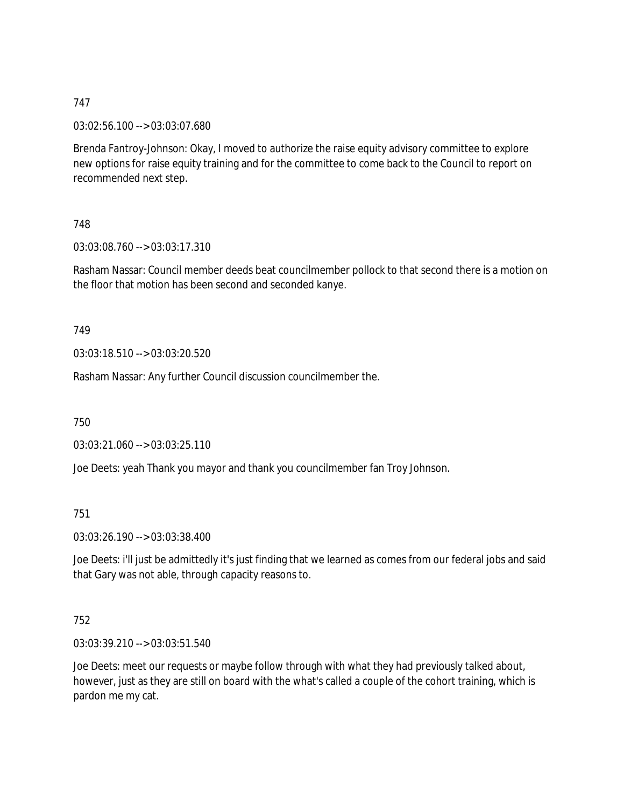03:02:56.100 --> 03:03:07.680

Brenda Fantroy-Johnson: Okay, I moved to authorize the raise equity advisory committee to explore new options for raise equity training and for the committee to come back to the Council to report on recommended next step.

# 748

03:03:08.760 --> 03:03:17.310

Rasham Nassar: Council member deeds beat councilmember pollock to that second there is a motion on the floor that motion has been second and seconded kanye.

## 749

03:03:18.510 --> 03:03:20.520

Rasham Nassar: Any further Council discussion councilmember the.

750

03:03:21.060 --> 03:03:25.110

Joe Deets: yeah Thank you mayor and thank you councilmember fan Troy Johnson.

# 751

03:03:26.190 --> 03:03:38.400

Joe Deets: i'll just be admittedly it's just finding that we learned as comes from our federal jobs and said that Gary was not able, through capacity reasons to.

## 752

03:03:39.210 --> 03:03:51.540

Joe Deets: meet our requests or maybe follow through with what they had previously talked about, however, just as they are still on board with the what's called a couple of the cohort training, which is pardon me my cat.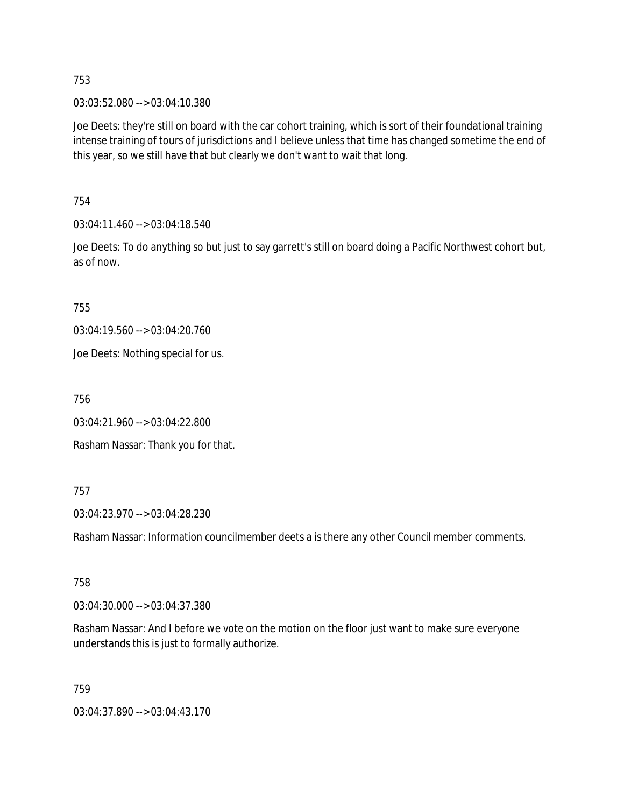03:03:52.080 --> 03:04:10.380

Joe Deets: they're still on board with the car cohort training, which is sort of their foundational training intense training of tours of jurisdictions and I believe unless that time has changed sometime the end of this year, so we still have that but clearly we don't want to wait that long.

754

03:04:11.460 --> 03:04:18.540

Joe Deets: To do anything so but just to say garrett's still on board doing a Pacific Northwest cohort but, as of now.

755

03:04:19.560 --> 03:04:20.760

Joe Deets: Nothing special for us.

756

03:04:21.960 --> 03:04:22.800

Rasham Nassar: Thank you for that.

757

03:04:23.970 --> 03:04:28.230

Rasham Nassar: Information councilmember deets a is there any other Council member comments.

## 758

03:04:30.000 --> 03:04:37.380

Rasham Nassar: And I before we vote on the motion on the floor just want to make sure everyone understands this is just to formally authorize.

759

03:04:37.890 --> 03:04:43.170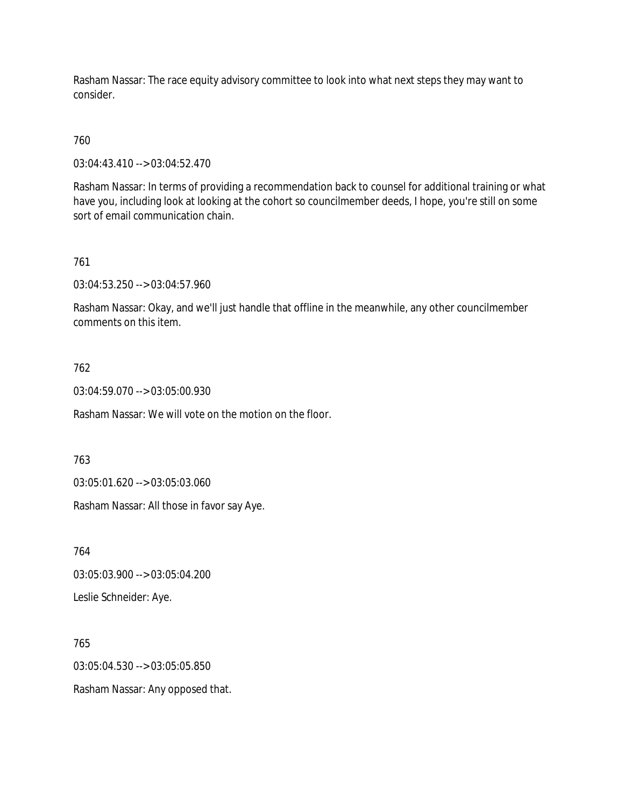Rasham Nassar: The race equity advisory committee to look into what next steps they may want to consider.

# 760

03:04:43.410 --> 03:04:52.470

Rasham Nassar: In terms of providing a recommendation back to counsel for additional training or what have you, including look at looking at the cohort so councilmember deeds, I hope, you're still on some sort of email communication chain.

## 761

03:04:53.250 --> 03:04:57.960

Rasham Nassar: Okay, and we'll just handle that offline in the meanwhile, any other councilmember comments on this item.

## 762

03:04:59.070 --> 03:05:00.930

Rasham Nassar: We will vote on the motion on the floor.

## 763

03:05:01.620 --> 03:05:03.060

Rasham Nassar: All those in favor say Aye.

764

03:05:03.900 --> 03:05:04.200

Leslie Schneider: Aye.

765

03:05:04.530 --> 03:05:05.850

Rasham Nassar: Any opposed that.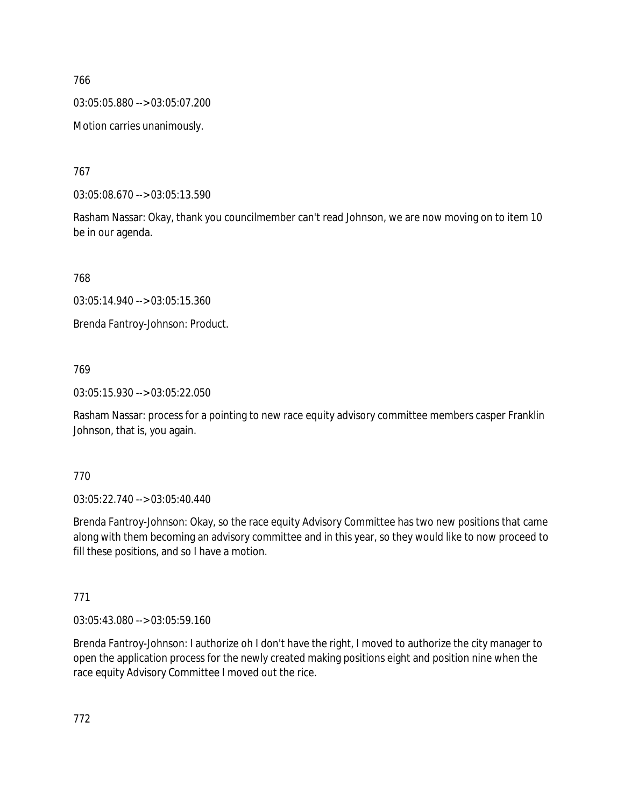03:05:05.880 --> 03:05:07.200

Motion carries unanimously.

767

03:05:08.670 --> 03:05:13.590

Rasham Nassar: Okay, thank you councilmember can't read Johnson, we are now moving on to item 10 be in our agenda.

768

03:05:14.940 --> 03:05:15.360

Brenda Fantroy-Johnson: Product.

# 769

03:05:15.930 --> 03:05:22.050

Rasham Nassar: process for a pointing to new race equity advisory committee members casper Franklin Johnson, that is, you again.

# 770

03:05:22.740 --> 03:05:40.440

Brenda Fantroy-Johnson: Okay, so the race equity Advisory Committee has two new positions that came along with them becoming an advisory committee and in this year, so they would like to now proceed to fill these positions, and so I have a motion.

# 771

03:05:43.080 --> 03:05:59.160

Brenda Fantroy-Johnson: I authorize oh I don't have the right, I moved to authorize the city manager to open the application process for the newly created making positions eight and position nine when the race equity Advisory Committee I moved out the rice.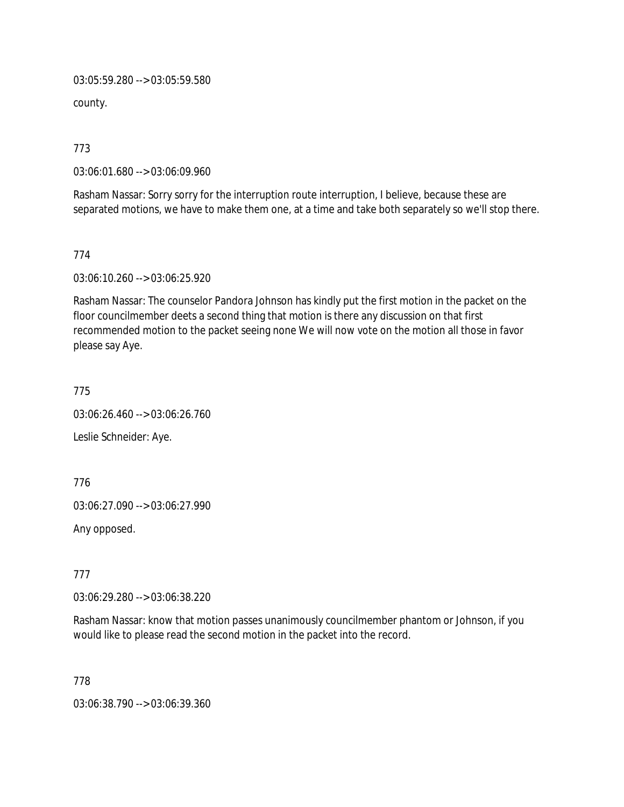03:05:59.280 --> 03:05:59.580

county.

773

03:06:01.680 --> 03:06:09.960

Rasham Nassar: Sorry sorry for the interruption route interruption, I believe, because these are separated motions, we have to make them one, at a time and take both separately so we'll stop there.

774

03:06:10.260 --> 03:06:25.920

Rasham Nassar: The counselor Pandora Johnson has kindly put the first motion in the packet on the floor councilmember deets a second thing that motion is there any discussion on that first recommended motion to the packet seeing none We will now vote on the motion all those in favor please say Aye.

775

03:06:26.460 --> 03:06:26.760

Leslie Schneider: Aye.

776

03:06:27.090 --> 03:06:27.990

Any opposed.

777

03:06:29.280 --> 03:06:38.220

Rasham Nassar: know that motion passes unanimously councilmember phantom or Johnson, if you would like to please read the second motion in the packet into the record.

778

03:06:38.790 --> 03:06:39.360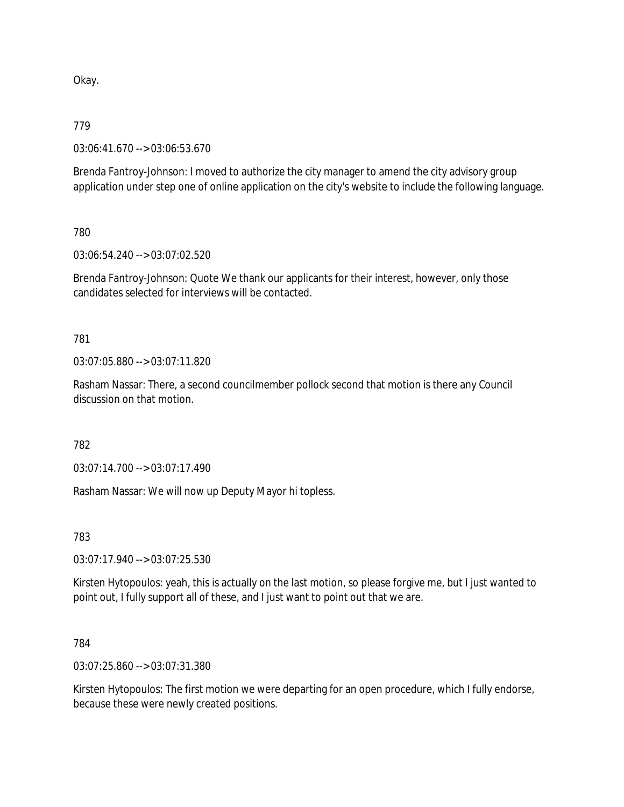Okay.

## 779

03:06:41.670 --> 03:06:53.670

Brenda Fantroy-Johnson: I moved to authorize the city manager to amend the city advisory group application under step one of online application on the city's website to include the following language.

780

03:06:54.240 --> 03:07:02.520

Brenda Fantroy-Johnson: Quote We thank our applicants for their interest, however, only those candidates selected for interviews will be contacted.

781

03:07:05.880 --> 03:07:11.820

Rasham Nassar: There, a second councilmember pollock second that motion is there any Council discussion on that motion.

782

03:07:14.700 --> 03:07:17.490

Rasham Nassar: We will now up Deputy Mayor hi topless.

783

03:07:17.940 --> 03:07:25.530

Kirsten Hytopoulos: yeah, this is actually on the last motion, so please forgive me, but I just wanted to point out, I fully support all of these, and I just want to point out that we are.

784

03:07:25.860 --> 03:07:31.380

Kirsten Hytopoulos: The first motion we were departing for an open procedure, which I fully endorse, because these were newly created positions.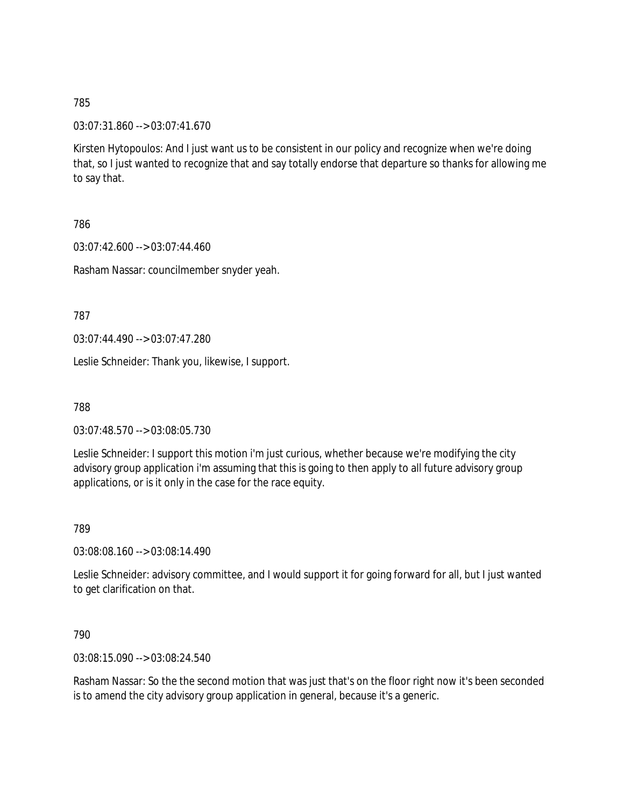03:07:31.860 --> 03:07:41.670

Kirsten Hytopoulos: And I just want us to be consistent in our policy and recognize when we're doing that, so I just wanted to recognize that and say totally endorse that departure so thanks for allowing me to say that.

786

03:07:42.600 --> 03:07:44.460

Rasham Nassar: councilmember snyder yeah.

787

03:07:44.490 --> 03:07:47.280

Leslie Schneider: Thank you, likewise, I support.

788

03:07:48.570 --> 03:08:05.730

Leslie Schneider: I support this motion i'm just curious, whether because we're modifying the city advisory group application i'm assuming that this is going to then apply to all future advisory group applications, or is it only in the case for the race equity.

789

03:08:08.160 --> 03:08:14.490

Leslie Schneider: advisory committee, and I would support it for going forward for all, but I just wanted to get clarification on that.

790

03:08:15.090 --> 03:08:24.540

Rasham Nassar: So the the second motion that was just that's on the floor right now it's been seconded is to amend the city advisory group application in general, because it's a generic.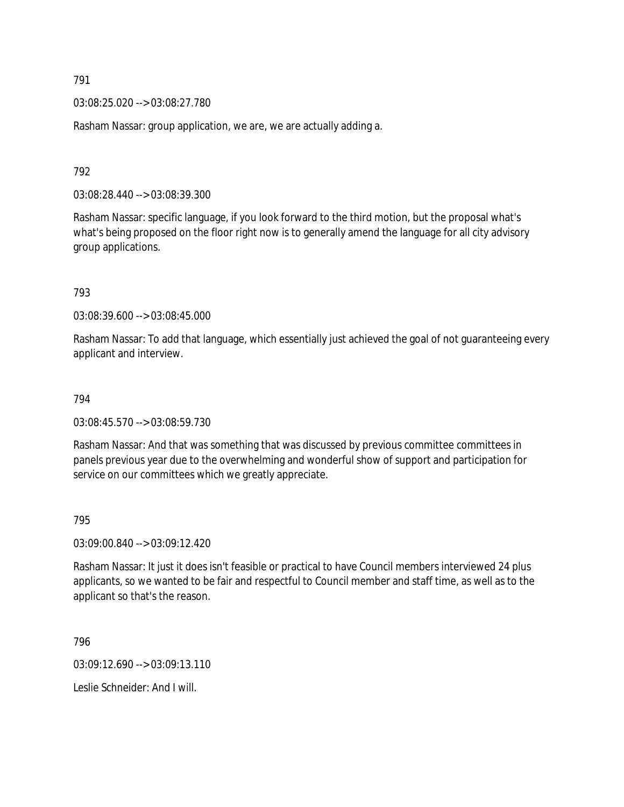03:08:25.020 --> 03:08:27.780

Rasham Nassar: group application, we are, we are actually adding a.

792

03:08:28.440 --> 03:08:39.300

Rasham Nassar: specific language, if you look forward to the third motion, but the proposal what's what's being proposed on the floor right now is to generally amend the language for all city advisory group applications.

793

03:08:39.600 --> 03:08:45.000

Rasham Nassar: To add that language, which essentially just achieved the goal of not guaranteeing every applicant and interview.

#### 794

03:08:45.570 --> 03:08:59.730

Rasham Nassar: And that was something that was discussed by previous committee committees in panels previous year due to the overwhelming and wonderful show of support and participation for service on our committees which we greatly appreciate.

795

03:09:00.840 --> 03:09:12.420

Rasham Nassar: It just it does isn't feasible or practical to have Council members interviewed 24 plus applicants, so we wanted to be fair and respectful to Council member and staff time, as well as to the applicant so that's the reason.

796

03:09:12.690 --> 03:09:13.110

Leslie Schneider: And I will.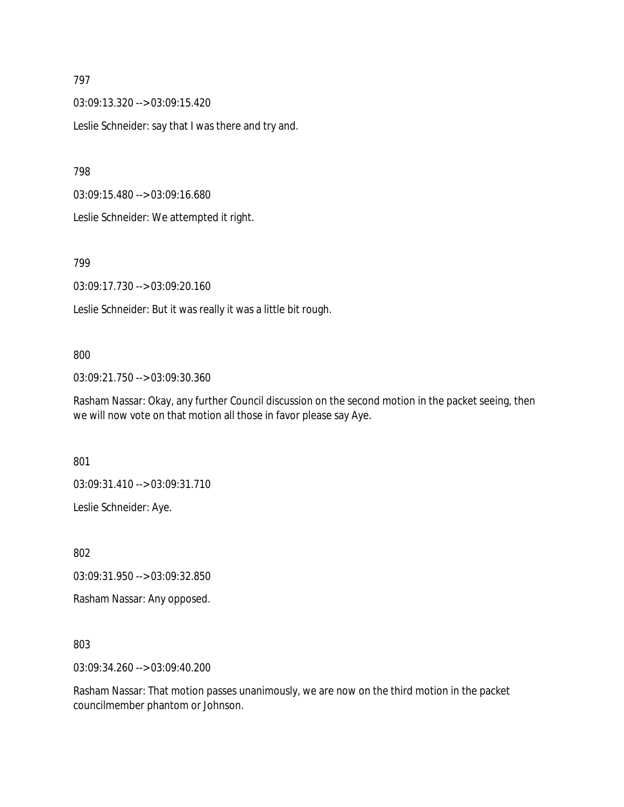03:09:13.320 --> 03:09:15.420

Leslie Schneider: say that I was there and try and.

798

03:09:15.480 --> 03:09:16.680

Leslie Schneider: We attempted it right.

799

03:09:17.730 --> 03:09:20.160

Leslie Schneider: But it was really it was a little bit rough.

#### 800

03:09:21.750 --> 03:09:30.360

Rasham Nassar: Okay, any further Council discussion on the second motion in the packet seeing, then we will now vote on that motion all those in favor please say Aye.

801

03:09:31.410 --> 03:09:31.710

Leslie Schneider: Aye.

802

03:09:31.950 --> 03:09:32.850

Rasham Nassar: Any opposed.

803

03:09:34.260 --> 03:09:40.200

Rasham Nassar: That motion passes unanimously, we are now on the third motion in the packet councilmember phantom or Johnson.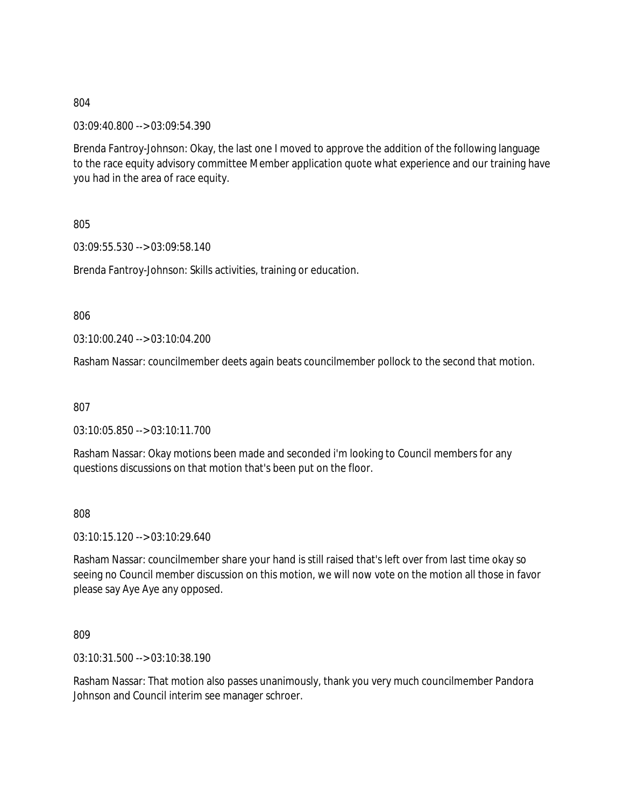03:09:40.800 --> 03:09:54.390

Brenda Fantroy-Johnson: Okay, the last one I moved to approve the addition of the following language to the race equity advisory committee Member application quote what experience and our training have you had in the area of race equity.

805

03:09:55.530 --> 03:09:58.140

Brenda Fantroy-Johnson: Skills activities, training or education.

806

03:10:00.240 --> 03:10:04.200

Rasham Nassar: councilmember deets again beats councilmember pollock to the second that motion.

807

03:10:05.850 --> 03:10:11.700

Rasham Nassar: Okay motions been made and seconded i'm looking to Council members for any questions discussions on that motion that's been put on the floor.

808

03:10:15.120 --> 03:10:29.640

Rasham Nassar: councilmember share your hand is still raised that's left over from last time okay so seeing no Council member discussion on this motion, we will now vote on the motion all those in favor please say Aye Aye any opposed.

809

03:10:31.500 --> 03:10:38.190

Rasham Nassar: That motion also passes unanimously, thank you very much councilmember Pandora Johnson and Council interim see manager schroer.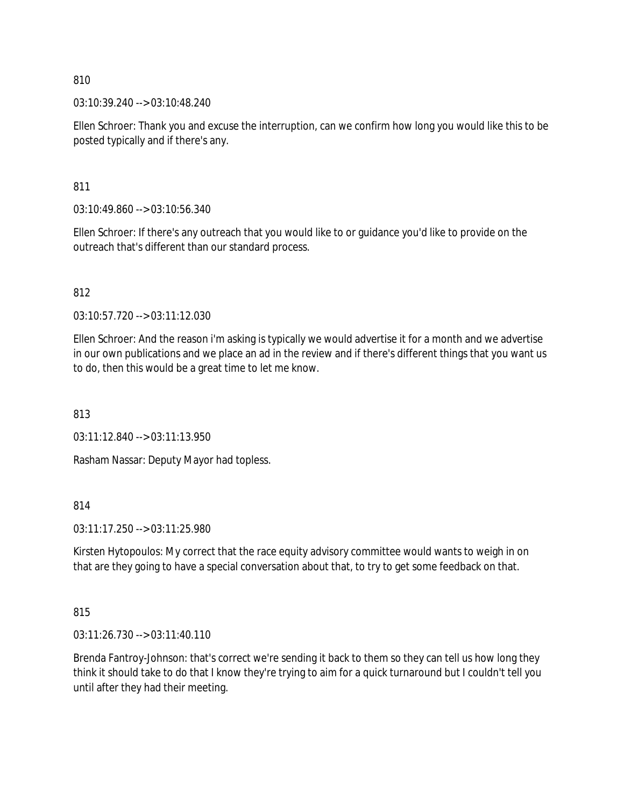03:10:39.240 --> 03:10:48.240

Ellen Schroer: Thank you and excuse the interruption, can we confirm how long you would like this to be posted typically and if there's any.

811

03:10:49.860 --> 03:10:56.340

Ellen Schroer: If there's any outreach that you would like to or guidance you'd like to provide on the outreach that's different than our standard process.

812

03:10:57.720 --> 03:11:12.030

Ellen Schroer: And the reason i'm asking is typically we would advertise it for a month and we advertise in our own publications and we place an ad in the review and if there's different things that you want us to do, then this would be a great time to let me know.

813

03:11:12.840 --> 03:11:13.950

Rasham Nassar: Deputy Mayor had topless.

814

03:11:17.250 --> 03:11:25.980

Kirsten Hytopoulos: My correct that the race equity advisory committee would wants to weigh in on that are they going to have a special conversation about that, to try to get some feedback on that.

815

03:11:26.730 --> 03:11:40.110

Brenda Fantroy-Johnson: that's correct we're sending it back to them so they can tell us how long they think it should take to do that I know they're trying to aim for a quick turnaround but I couldn't tell you until after they had their meeting.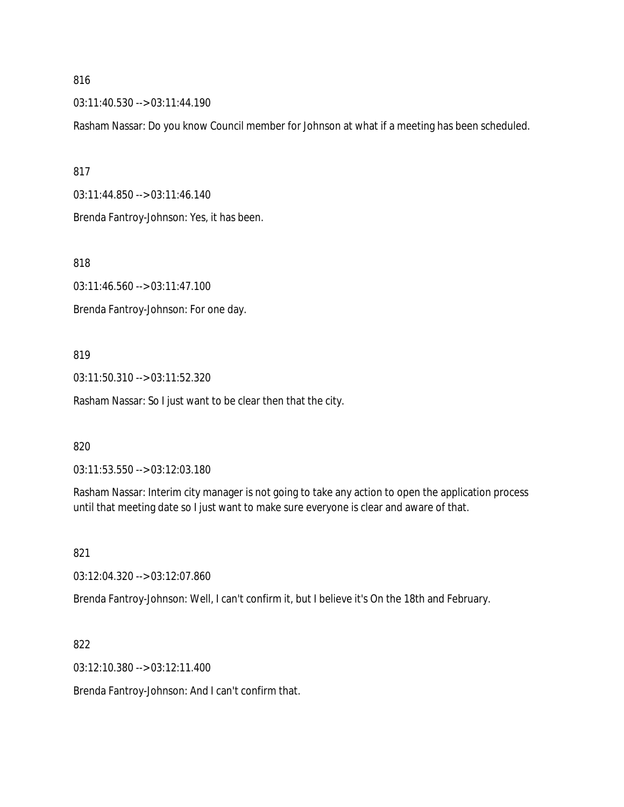03:11:40.530 --> 03:11:44.190

Rasham Nassar: Do you know Council member for Johnson at what if a meeting has been scheduled.

817

03:11:44.850 --> 03:11:46.140

Brenda Fantroy-Johnson: Yes, it has been.

818

03:11:46.560 --> 03:11:47.100

Brenda Fantroy-Johnson: For one day.

819

03:11:50.310 --> 03:11:52.320

Rasham Nassar: So I just want to be clear then that the city.

820

03:11:53.550 --> 03:12:03.180

Rasham Nassar: Interim city manager is not going to take any action to open the application process until that meeting date so I just want to make sure everyone is clear and aware of that.

821

03:12:04.320 --> 03:12:07.860

Brenda Fantroy-Johnson: Well, I can't confirm it, but I believe it's On the 18th and February.

822

03:12:10.380 --> 03:12:11.400

Brenda Fantroy-Johnson: And I can't confirm that.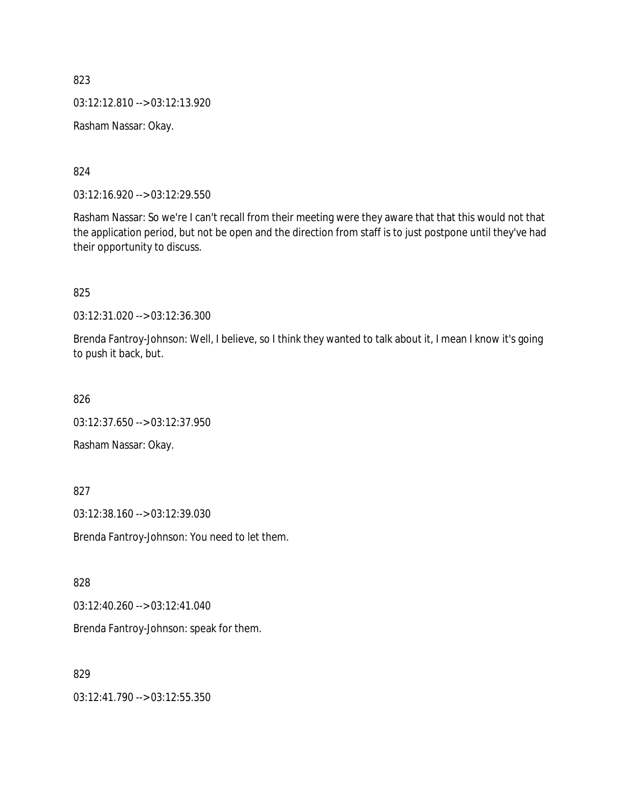823 03:12:12.810 --> 03:12:13.920 Rasham Nassar: Okay.

824

03:12:16.920 --> 03:12:29.550

Rasham Nassar: So we're I can't recall from their meeting were they aware that that this would not that the application period, but not be open and the direction from staff is to just postpone until they've had their opportunity to discuss.

825

03:12:31.020 --> 03:12:36.300

Brenda Fantroy-Johnson: Well, I believe, so I think they wanted to talk about it, I mean I know it's going to push it back, but.

826

03:12:37.650 --> 03:12:37.950

Rasham Nassar: Okay.

827

03:12:38.160 --> 03:12:39.030

Brenda Fantroy-Johnson: You need to let them.

828

03:12:40.260 --> 03:12:41.040

Brenda Fantroy-Johnson: speak for them.

829

03:12:41.790 --> 03:12:55.350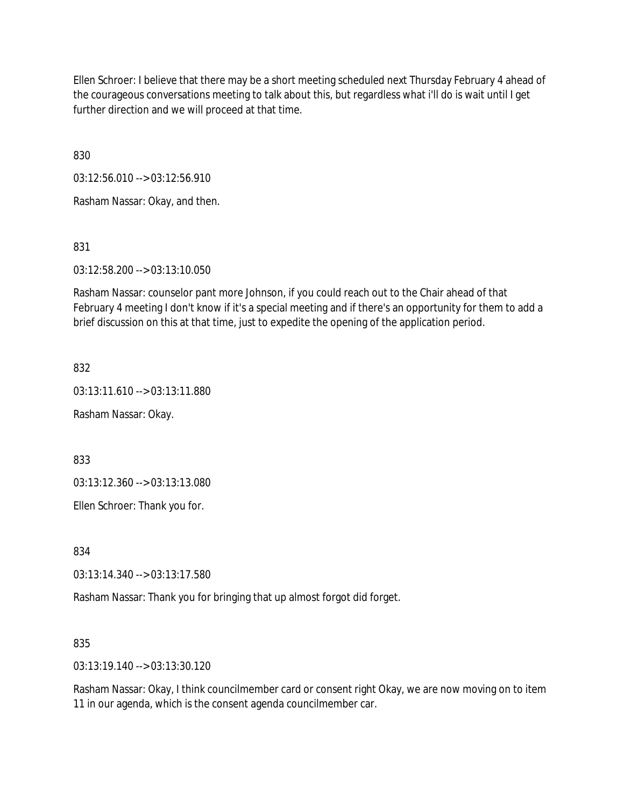Ellen Schroer: I believe that there may be a short meeting scheduled next Thursday February 4 ahead of the courageous conversations meeting to talk about this, but regardless what i'll do is wait until I get further direction and we will proceed at that time.

830

03:12:56.010 --> 03:12:56.910

Rasham Nassar: Okay, and then.

831

03:12:58.200 --> 03:13:10.050

Rasham Nassar: counselor pant more Johnson, if you could reach out to the Chair ahead of that February 4 meeting I don't know if it's a special meeting and if there's an opportunity for them to add a brief discussion on this at that time, just to expedite the opening of the application period.

832

03:13:11.610 --> 03:13:11.880

Rasham Nassar: Okay.

833

03:13:12.360 --> 03:13:13.080

Ellen Schroer: Thank you for.

834

03:13:14.340 --> 03:13:17.580

Rasham Nassar: Thank you for bringing that up almost forgot did forget.

835

03:13:19.140 --> 03:13:30.120

Rasham Nassar: Okay, I think councilmember card or consent right Okay, we are now moving on to item 11 in our agenda, which is the consent agenda councilmember car.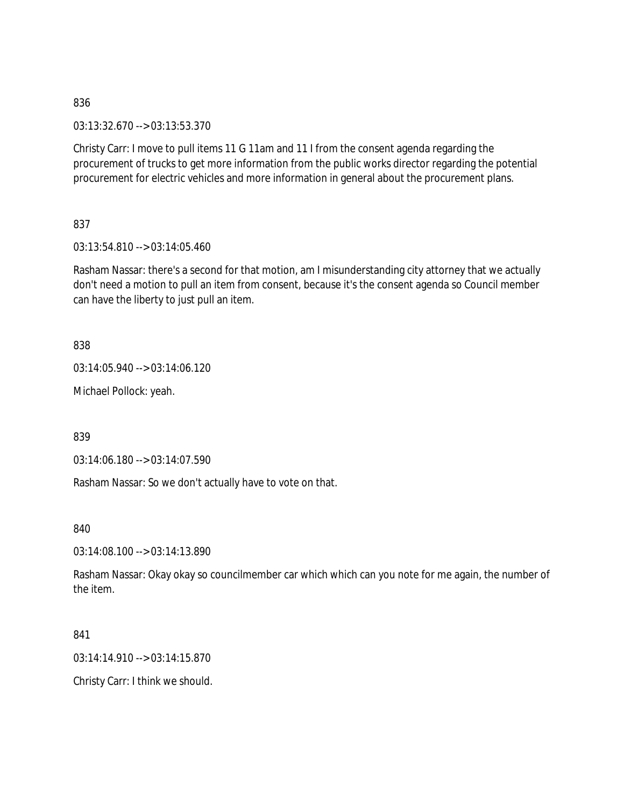03:13:32.670 --> 03:13:53.370

Christy Carr: I move to pull items 11 G 11am and 11 I from the consent agenda regarding the procurement of trucks to get more information from the public works director regarding the potential procurement for electric vehicles and more information in general about the procurement plans.

837

03:13:54.810 --> 03:14:05.460

Rasham Nassar: there's a second for that motion, am I misunderstanding city attorney that we actually don't need a motion to pull an item from consent, because it's the consent agenda so Council member can have the liberty to just pull an item.

838

03:14:05.940 --> 03:14:06.120

Michael Pollock: yeah.

839

03:14:06.180 --> 03:14:07.590

Rasham Nassar: So we don't actually have to vote on that.

840

03:14:08.100 --> 03:14:13.890

Rasham Nassar: Okay okay so councilmember car which which can you note for me again, the number of the item.

841

03:14:14.910 --> 03:14:15.870

Christy Carr: I think we should.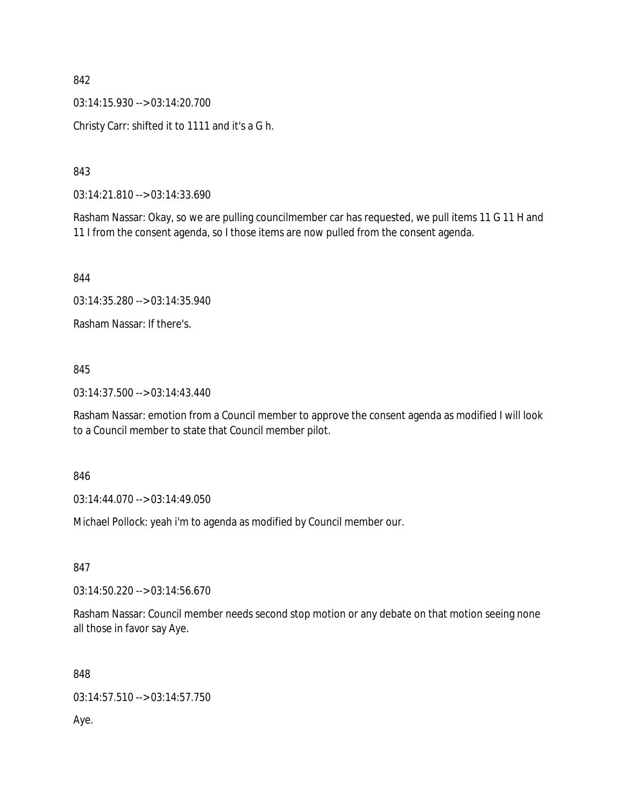03:14:15.930 --> 03:14:20.700 Christy Carr: shifted it to 1111 and it's a G h.

843

03:14:21.810 --> 03:14:33.690

Rasham Nassar: Okay, so we are pulling councilmember car has requested, we pull items 11 G 11 H and 11 I from the consent agenda, so I those items are now pulled from the consent agenda.

844

03:14:35.280 --> 03:14:35.940

Rasham Nassar: If there's.

## 845

03:14:37.500 --> 03:14:43.440

Rasham Nassar: emotion from a Council member to approve the consent agenda as modified I will look to a Council member to state that Council member pilot.

846

03:14:44.070 --> 03:14:49.050

Michael Pollock: yeah i'm to agenda as modified by Council member our.

847

03:14:50.220 --> 03:14:56.670

Rasham Nassar: Council member needs second stop motion or any debate on that motion seeing none all those in favor say Aye.

848

03:14:57.510 --> 03:14:57.750

Aye.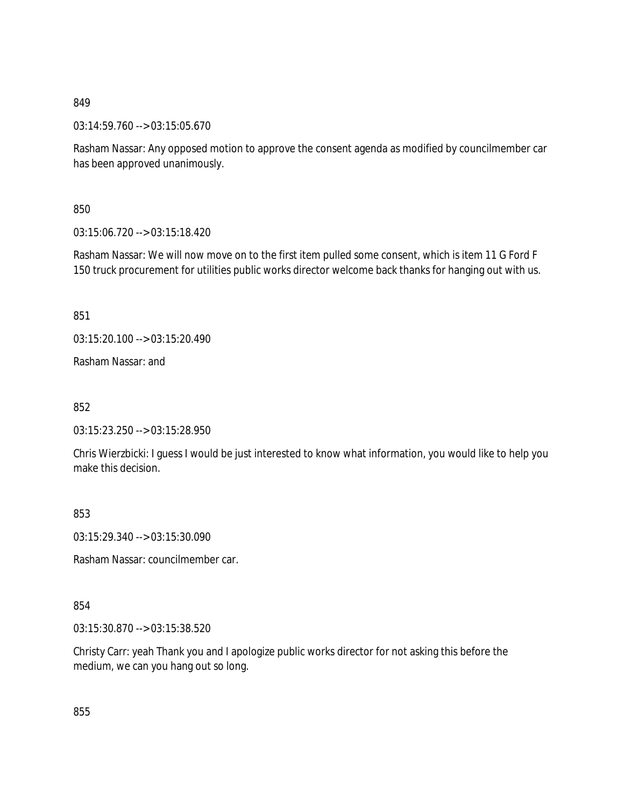03:14:59.760 --> 03:15:05.670

Rasham Nassar: Any opposed motion to approve the consent agenda as modified by councilmember car has been approved unanimously.

850

03:15:06.720 --> 03:15:18.420

Rasham Nassar: We will now move on to the first item pulled some consent, which is item 11 G Ford F 150 truck procurement for utilities public works director welcome back thanks for hanging out with us.

851

03:15:20.100 --> 03:15:20.490

Rasham Nassar: and

852

03:15:23.250 --> 03:15:28.950

Chris Wierzbicki: I guess I would be just interested to know what information, you would like to help you make this decision.

853

03:15:29.340 --> 03:15:30.090

Rasham Nassar: councilmember car.

854

03:15:30.870 --> 03:15:38.520

Christy Carr: yeah Thank you and I apologize public works director for not asking this before the medium, we can you hang out so long.

855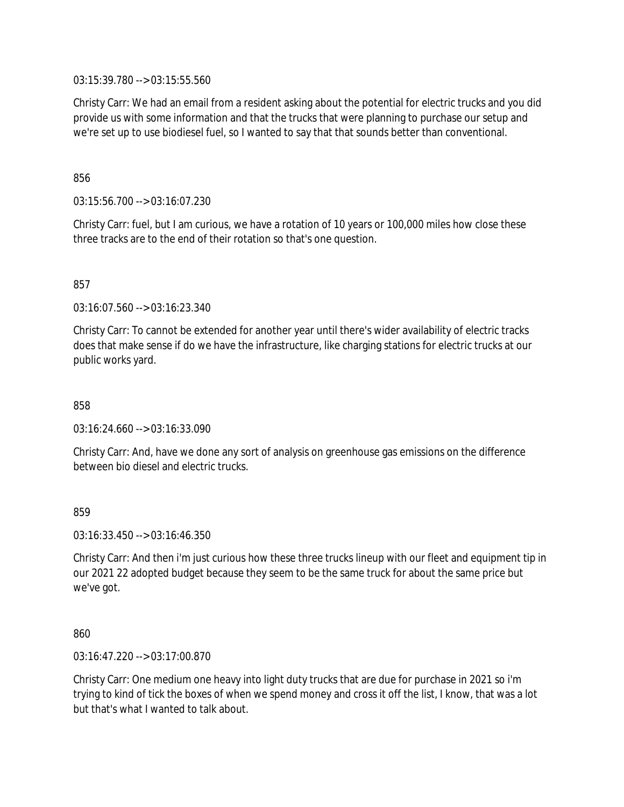03:15:39.780 --> 03:15:55.560

Christy Carr: We had an email from a resident asking about the potential for electric trucks and you did provide us with some information and that the trucks that were planning to purchase our setup and we're set up to use biodiesel fuel, so I wanted to say that that sounds better than conventional.

856

03:15:56.700 --> 03:16:07.230

Christy Carr: fuel, but I am curious, we have a rotation of 10 years or 100,000 miles how close these three tracks are to the end of their rotation so that's one question.

857

03:16:07.560 --> 03:16:23.340

Christy Carr: To cannot be extended for another year until there's wider availability of electric tracks does that make sense if do we have the infrastructure, like charging stations for electric trucks at our public works yard.

858

03:16:24.660 --> 03:16:33.090

Christy Carr: And, have we done any sort of analysis on greenhouse gas emissions on the difference between bio diesel and electric trucks.

859

03:16:33.450 --> 03:16:46.350

Christy Carr: And then i'm just curious how these three trucks lineup with our fleet and equipment tip in our 2021 22 adopted budget because they seem to be the same truck for about the same price but we've got.

860

03:16:47.220 --> 03:17:00.870

Christy Carr: One medium one heavy into light duty trucks that are due for purchase in 2021 so i'm trying to kind of tick the boxes of when we spend money and cross it off the list, I know, that was a lot but that's what I wanted to talk about.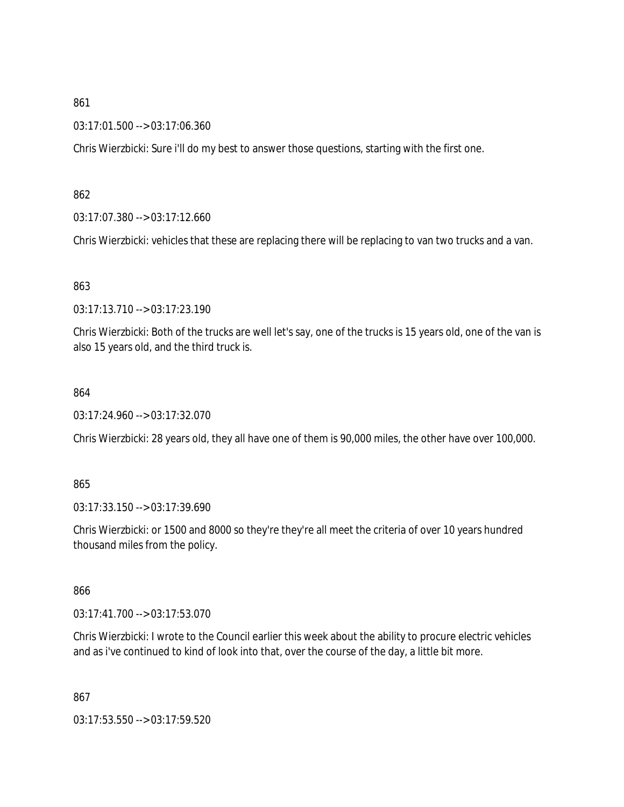03:17:01.500 --> 03:17:06.360

Chris Wierzbicki: Sure i'll do my best to answer those questions, starting with the first one.

862

03:17:07.380 --> 03:17:12.660

Chris Wierzbicki: vehicles that these are replacing there will be replacing to van two trucks and a van.

### 863

03:17:13.710 --> 03:17:23.190

Chris Wierzbicki: Both of the trucks are well let's say, one of the trucks is 15 years old, one of the van is also 15 years old, and the third truck is.

### 864

03:17:24.960 --> 03:17:32.070

Chris Wierzbicki: 28 years old, they all have one of them is 90,000 miles, the other have over 100,000.

#### 865

03:17:33.150 --> 03:17:39.690

Chris Wierzbicki: or 1500 and 8000 so they're they're all meet the criteria of over 10 years hundred thousand miles from the policy.

866

03:17:41.700 --> 03:17:53.070

Chris Wierzbicki: I wrote to the Council earlier this week about the ability to procure electric vehicles and as i've continued to kind of look into that, over the course of the day, a little bit more.

867

03:17:53.550 --> 03:17:59.520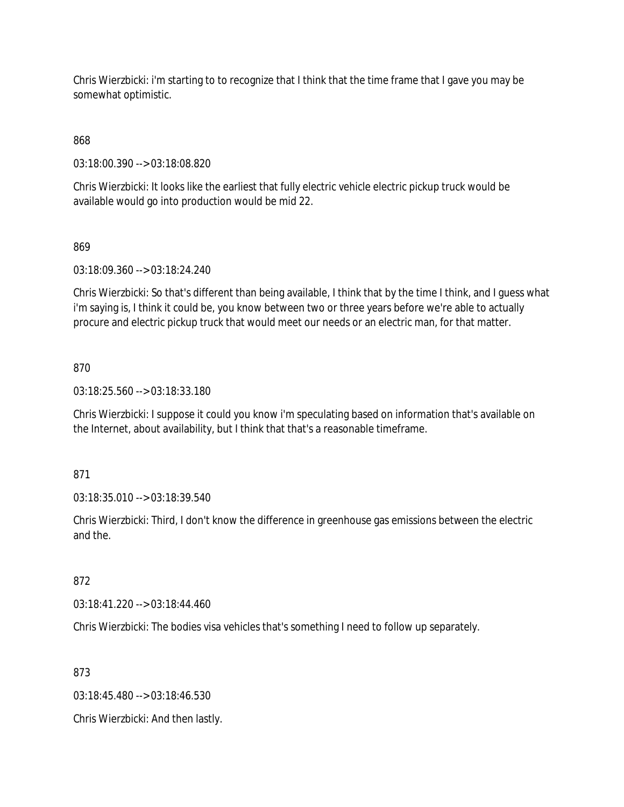Chris Wierzbicki: i'm starting to to recognize that I think that the time frame that I gave you may be somewhat optimistic.

868

03:18:00.390 --> 03:18:08.820

Chris Wierzbicki: It looks like the earliest that fully electric vehicle electric pickup truck would be available would go into production would be mid 22.

869

03:18:09.360 --> 03:18:24.240

Chris Wierzbicki: So that's different than being available, I think that by the time I think, and I guess what i'm saying is, I think it could be, you know between two or three years before we're able to actually procure and electric pickup truck that would meet our needs or an electric man, for that matter.

870

03:18:25.560 --> 03:18:33.180

Chris Wierzbicki: I suppose it could you know i'm speculating based on information that's available on the Internet, about availability, but I think that that's a reasonable timeframe.

871

03:18:35.010 --> 03:18:39.540

Chris Wierzbicki: Third, I don't know the difference in greenhouse gas emissions between the electric and the.

872

03:18:41.220 --> 03:18:44.460

Chris Wierzbicki: The bodies visa vehicles that's something I need to follow up separately.

873

03:18:45.480 --> 03:18:46.530

Chris Wierzbicki: And then lastly.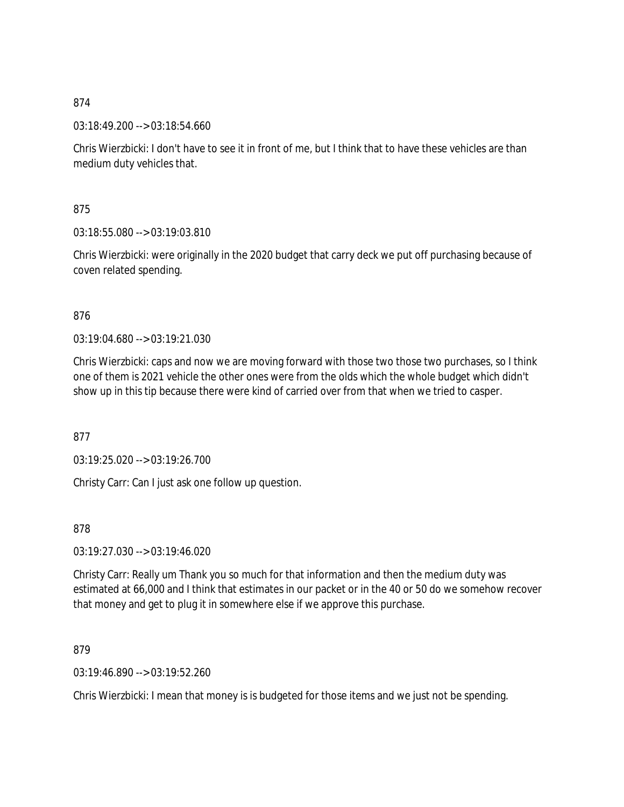03:18:49.200 --> 03:18:54.660

Chris Wierzbicki: I don't have to see it in front of me, but I think that to have these vehicles are than medium duty vehicles that.

875

03:18:55.080 --> 03:19:03.810

Chris Wierzbicki: were originally in the 2020 budget that carry deck we put off purchasing because of coven related spending.

## 876

03:19:04.680 --> 03:19:21.030

Chris Wierzbicki: caps and now we are moving forward with those two those two purchases, so I think one of them is 2021 vehicle the other ones were from the olds which the whole budget which didn't show up in this tip because there were kind of carried over from that when we tried to casper.

877

03:19:25.020 --> 03:19:26.700

Christy Carr: Can I just ask one follow up question.

878

03:19:27.030 --> 03:19:46.020

Christy Carr: Really um Thank you so much for that information and then the medium duty was estimated at 66,000 and I think that estimates in our packet or in the 40 or 50 do we somehow recover that money and get to plug it in somewhere else if we approve this purchase.

879

03:19:46.890 --> 03:19:52.260

Chris Wierzbicki: I mean that money is is budgeted for those items and we just not be spending.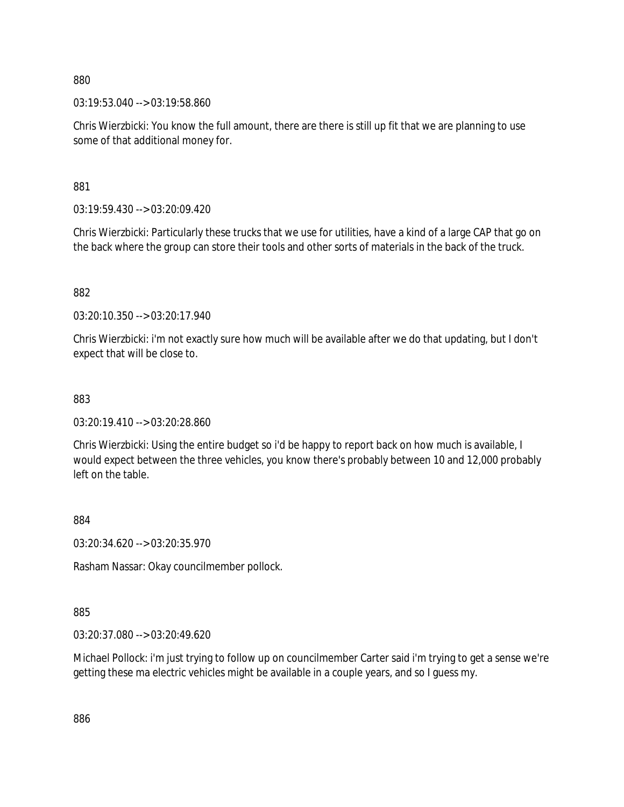03:19:53.040 --> 03:19:58.860

Chris Wierzbicki: You know the full amount, there are there is still up fit that we are planning to use some of that additional money for.

881

03:19:59.430 --> 03:20:09.420

Chris Wierzbicki: Particularly these trucks that we use for utilities, have a kind of a large CAP that go on the back where the group can store their tools and other sorts of materials in the back of the truck.

882

03:20:10.350 --> 03:20:17.940

Chris Wierzbicki: i'm not exactly sure how much will be available after we do that updating, but I don't expect that will be close to.

883

03:20:19.410 --> 03:20:28.860

Chris Wierzbicki: Using the entire budget so i'd be happy to report back on how much is available, I would expect between the three vehicles, you know there's probably between 10 and 12,000 probably left on the table.

884

03:20:34.620 --> 03:20:35.970

Rasham Nassar: Okay councilmember pollock.

885

03:20:37.080 --> 03:20:49.620

Michael Pollock: i'm just trying to follow up on councilmember Carter said i'm trying to get a sense we're getting these ma electric vehicles might be available in a couple years, and so I guess my.

886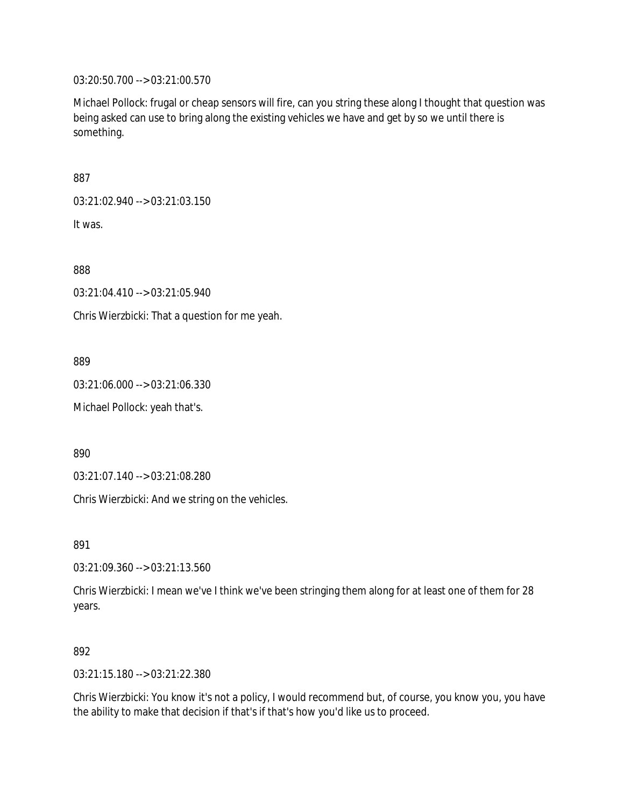03:20:50.700 --> 03:21:00.570

Michael Pollock: frugal or cheap sensors will fire, can you string these along I thought that question was being asked can use to bring along the existing vehicles we have and get by so we until there is something.

887

03:21:02.940 --> 03:21:03.150

It was.

888

03:21:04.410 --> 03:21:05.940

Chris Wierzbicki: That a question for me yeah.

889

03:21:06.000 --> 03:21:06.330

Michael Pollock: yeah that's.

890

03:21:07.140 --> 03:21:08.280

Chris Wierzbicki: And we string on the vehicles.

891

03:21:09.360 --> 03:21:13.560

Chris Wierzbicki: I mean we've I think we've been stringing them along for at least one of them for 28 years.

### 892

03:21:15.180 --> 03:21:22.380

Chris Wierzbicki: You know it's not a policy, I would recommend but, of course, you know you, you have the ability to make that decision if that's if that's how you'd like us to proceed.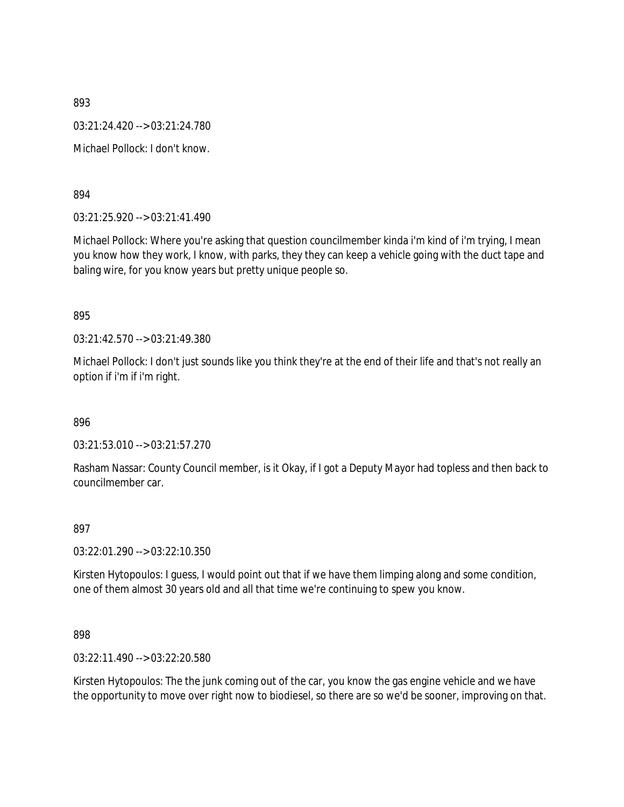893 03:21:24.420 --> 03:21:24.780 Michael Pollock: I don't know.

894

03:21:25.920 --> 03:21:41.490

Michael Pollock: Where you're asking that question councilmember kinda i'm kind of i'm trying, I mean you know how they work, I know, with parks, they they can keep a vehicle going with the duct tape and baling wire, for you know years but pretty unique people so.

895

03:21:42.570 --> 03:21:49.380

Michael Pollock: I don't just sounds like you think they're at the end of their life and that's not really an option if i'm if i'm right.

896

03:21:53.010 --> 03:21:57.270

Rasham Nassar: County Council member, is it Okay, if I got a Deputy Mayor had topless and then back to councilmember car.

897

03:22:01.290 --> 03:22:10.350

Kirsten Hytopoulos: I guess, I would point out that if we have them limping along and some condition, one of them almost 30 years old and all that time we're continuing to spew you know.

898

03:22:11.490 --> 03:22:20.580

Kirsten Hytopoulos: The the junk coming out of the car, you know the gas engine vehicle and we have the opportunity to move over right now to biodiesel, so there are so we'd be sooner, improving on that.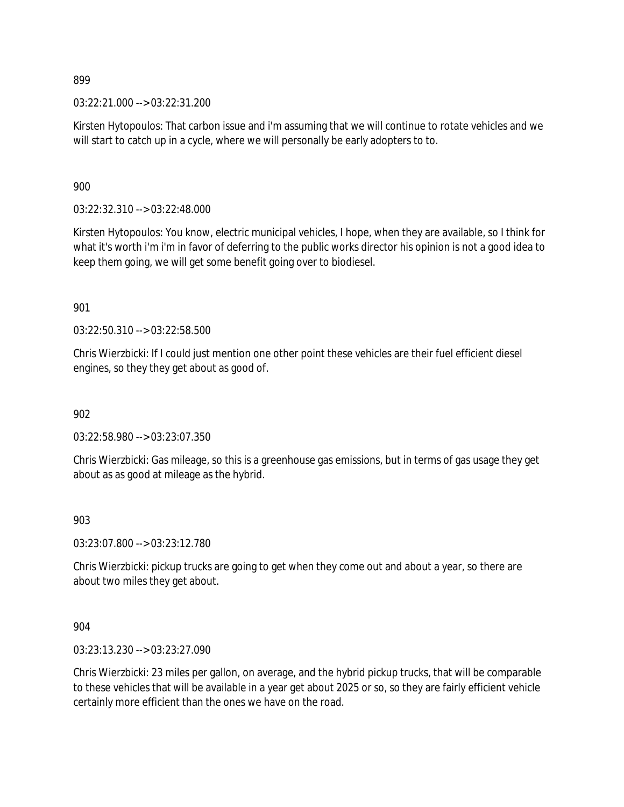03:22:21.000 --> 03:22:31.200

Kirsten Hytopoulos: That carbon issue and i'm assuming that we will continue to rotate vehicles and we will start to catch up in a cycle, where we will personally be early adopters to to.

900

03:22:32.310 --> 03:22:48.000

Kirsten Hytopoulos: You know, electric municipal vehicles, I hope, when they are available, so I think for what it's worth i'm i'm in favor of deferring to the public works director his opinion is not a good idea to keep them going, we will get some benefit going over to biodiesel.

901

03:22:50.310 --> 03:22:58.500

Chris Wierzbicki: If I could just mention one other point these vehicles are their fuel efficient diesel engines, so they they get about as good of.

902

03:22:58.980 --> 03:23:07.350

Chris Wierzbicki: Gas mileage, so this is a greenhouse gas emissions, but in terms of gas usage they get about as as good at mileage as the hybrid.

903

03:23:07.800 --> 03:23:12.780

Chris Wierzbicki: pickup trucks are going to get when they come out and about a year, so there are about two miles they get about.

904

03:23:13.230 --> 03:23:27.090

Chris Wierzbicki: 23 miles per gallon, on average, and the hybrid pickup trucks, that will be comparable to these vehicles that will be available in a year get about 2025 or so, so they are fairly efficient vehicle certainly more efficient than the ones we have on the road.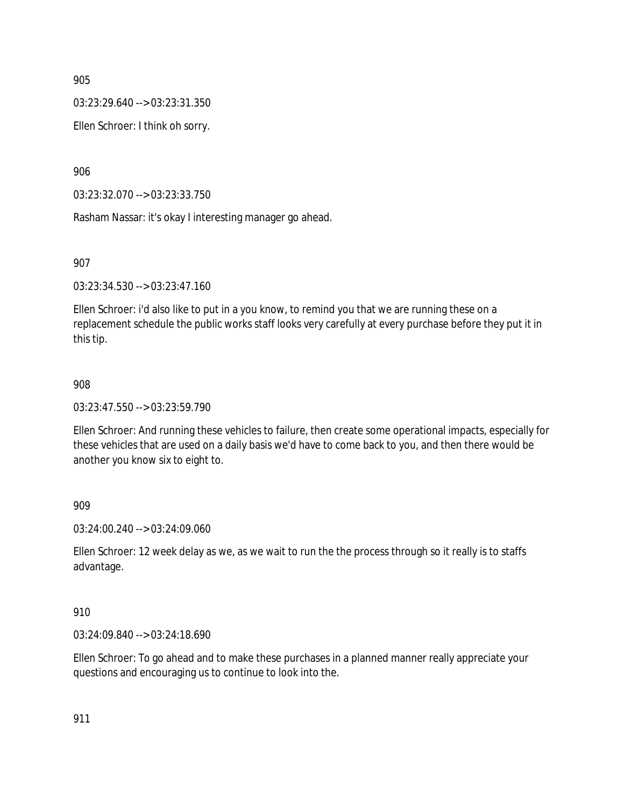03:23:29.640 --> 03:23:31.350

Ellen Schroer: I think oh sorry.

906

03:23:32.070 --> 03:23:33.750

Rasham Nassar: it's okay I interesting manager go ahead.

907

03:23:34.530 --> 03:23:47.160

Ellen Schroer: i'd also like to put in a you know, to remind you that we are running these on a replacement schedule the public works staff looks very carefully at every purchase before they put it in this tip.

### 908

03:23:47.550 --> 03:23:59.790

Ellen Schroer: And running these vehicles to failure, then create some operational impacts, especially for these vehicles that are used on a daily basis we'd have to come back to you, and then there would be another you know six to eight to.

909

03:24:00.240 --> 03:24:09.060

Ellen Schroer: 12 week delay as we, as we wait to run the the process through so it really is to staffs advantage.

910

03:24:09.840 --> 03:24:18.690

Ellen Schroer: To go ahead and to make these purchases in a planned manner really appreciate your questions and encouraging us to continue to look into the.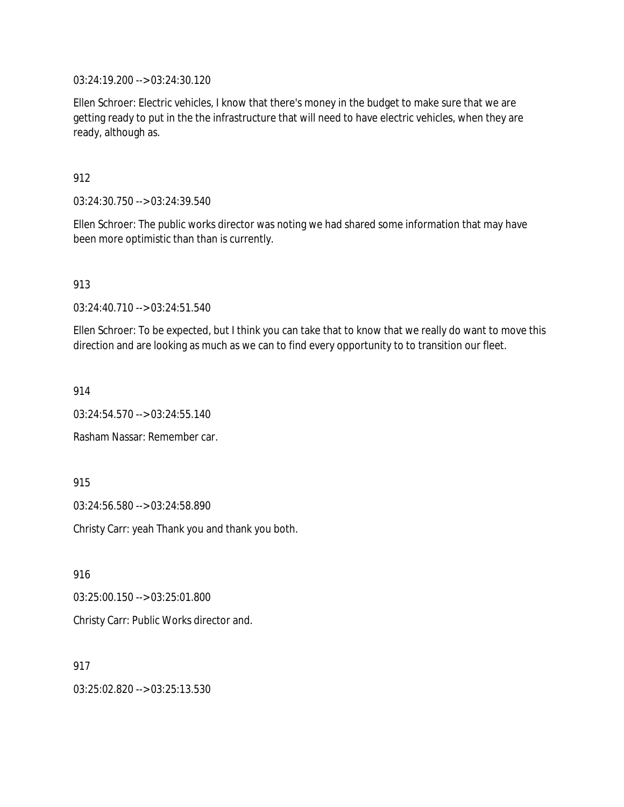03:24:19.200 --> 03:24:30.120

Ellen Schroer: Electric vehicles, I know that there's money in the budget to make sure that we are getting ready to put in the the infrastructure that will need to have electric vehicles, when they are ready, although as.

912

03:24:30.750 --> 03:24:39.540

Ellen Schroer: The public works director was noting we had shared some information that may have been more optimistic than than is currently.

913

03:24:40.710 --> 03:24:51.540

Ellen Schroer: To be expected, but I think you can take that to know that we really do want to move this direction and are looking as much as we can to find every opportunity to to transition our fleet.

914

03:24:54.570 --> 03:24:55.140

Rasham Nassar: Remember car.

915

03:24:56.580 --> 03:24:58.890

Christy Carr: yeah Thank you and thank you both.

916

03:25:00.150 --> 03:25:01.800

Christy Carr: Public Works director and.

917

03:25:02.820 --> 03:25:13.530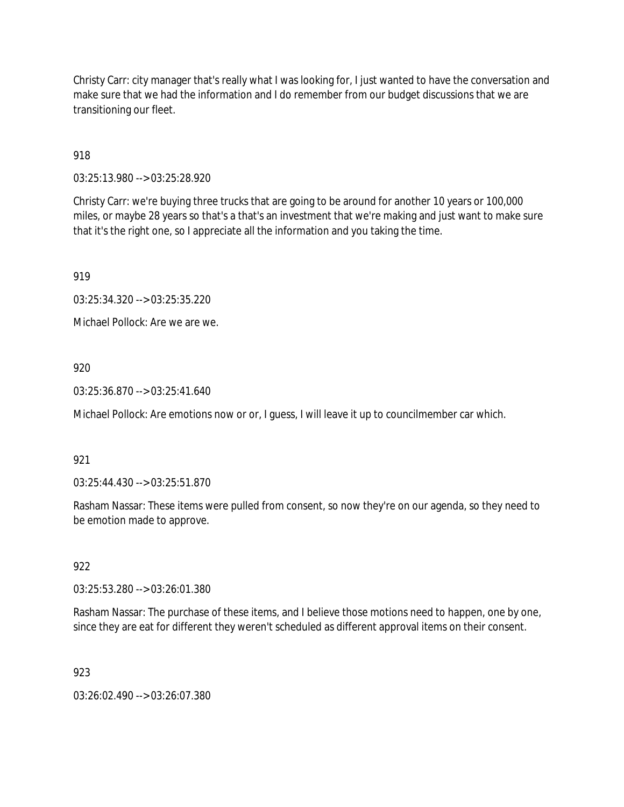Christy Carr: city manager that's really what I was looking for, I just wanted to have the conversation and make sure that we had the information and I do remember from our budget discussions that we are transitioning our fleet.

918

03:25:13.980 --> 03:25:28.920

Christy Carr: we're buying three trucks that are going to be around for another 10 years or 100,000 miles, or maybe 28 years so that's a that's an investment that we're making and just want to make sure that it's the right one, so I appreciate all the information and you taking the time.

919

03:25:34.320 --> 03:25:35.220

Michael Pollock: Are we are we.

# 920

03:25:36.870 --> 03:25:41.640

Michael Pollock: Are emotions now or or, I guess, I will leave it up to councilmember car which.

## 921

03:25:44.430 --> 03:25:51.870

Rasham Nassar: These items were pulled from consent, so now they're on our agenda, so they need to be emotion made to approve.

## 922

03:25:53.280 --> 03:26:01.380

Rasham Nassar: The purchase of these items, and I believe those motions need to happen, one by one, since they are eat for different they weren't scheduled as different approval items on their consent.

## 923

03:26:02.490 --> 03:26:07.380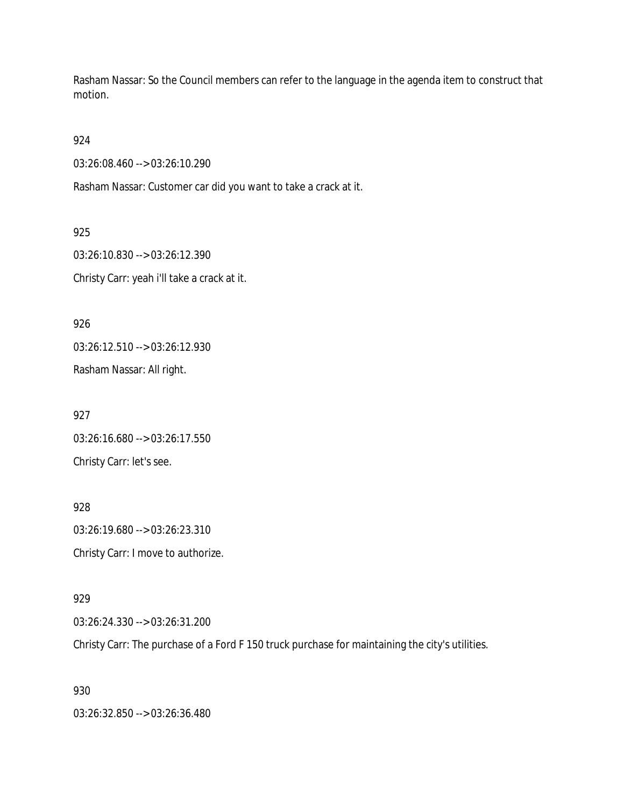Rasham Nassar: So the Council members can refer to the language in the agenda item to construct that motion.

924

03:26:08.460 --> 03:26:10.290

Rasham Nassar: Customer car did you want to take a crack at it.

925 03:26:10.830 --> 03:26:12.390 Christy Carr: yeah i'll take a crack at it.

926 03:26:12.510 --> 03:26:12.930 Rasham Nassar: All right.

927 03:26:16.680 --> 03:26:17.550 Christy Carr: let's see.

928 03:26:19.680 --> 03:26:23.310 Christy Carr: I move to authorize.

929

03:26:24.330 --> 03:26:31.200

Christy Carr: The purchase of a Ford F 150 truck purchase for maintaining the city's utilities.

930

03:26:32.850 --> 03:26:36.480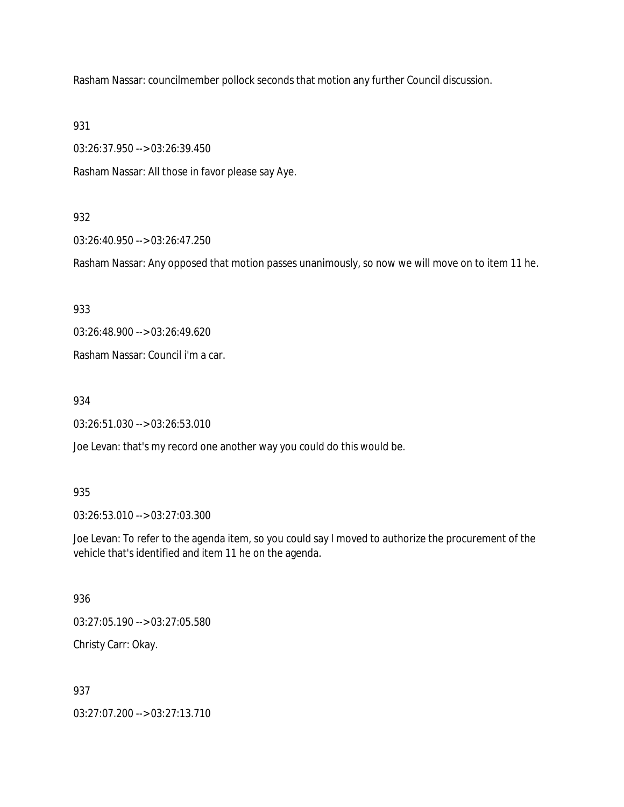Rasham Nassar: councilmember pollock seconds that motion any further Council discussion.

931

03:26:37.950 --> 03:26:39.450

Rasham Nassar: All those in favor please say Aye.

### 932

03:26:40.950 --> 03:26:47.250

Rasham Nassar: Any opposed that motion passes unanimously, so now we will move on to item 11 he.

933

03:26:48.900 --> 03:26:49.620

Rasham Nassar: Council i'm a car.

934

03:26:51.030 --> 03:26:53.010

Joe Levan: that's my record one another way you could do this would be.

#### 935

03:26:53.010 --> 03:27:03.300

Joe Levan: To refer to the agenda item, so you could say I moved to authorize the procurement of the vehicle that's identified and item 11 he on the agenda.

## 936

03:27:05.190 --> 03:27:05.580

Christy Carr: Okay.

## 937

03:27:07.200 --> 03:27:13.710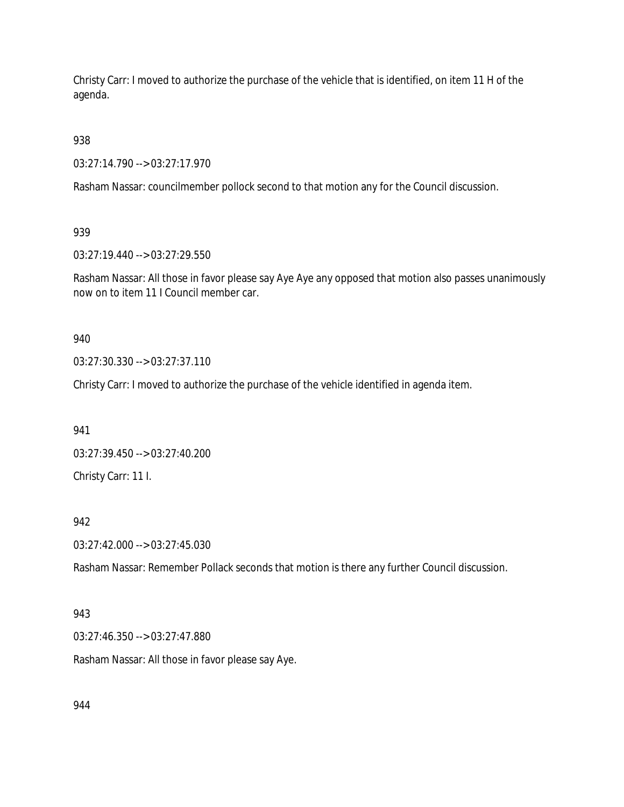Christy Carr: I moved to authorize the purchase of the vehicle that is identified, on item 11 H of the agenda.

938

03:27:14.790 --> 03:27:17.970

Rasham Nassar: councilmember pollock second to that motion any for the Council discussion.

939

03:27:19.440 --> 03:27:29.550

Rasham Nassar: All those in favor please say Aye Aye any opposed that motion also passes unanimously now on to item 11 I Council member car.

940

03:27:30.330 --> 03:27:37.110

Christy Carr: I moved to authorize the purchase of the vehicle identified in agenda item.

941

03:27:39.450 --> 03:27:40.200 Christy Carr: 11 I.

942

03:27:42.000 --> 03:27:45.030

Rasham Nassar: Remember Pollack seconds that motion is there any further Council discussion.

943

03:27:46.350 --> 03:27:47.880

Rasham Nassar: All those in favor please say Aye.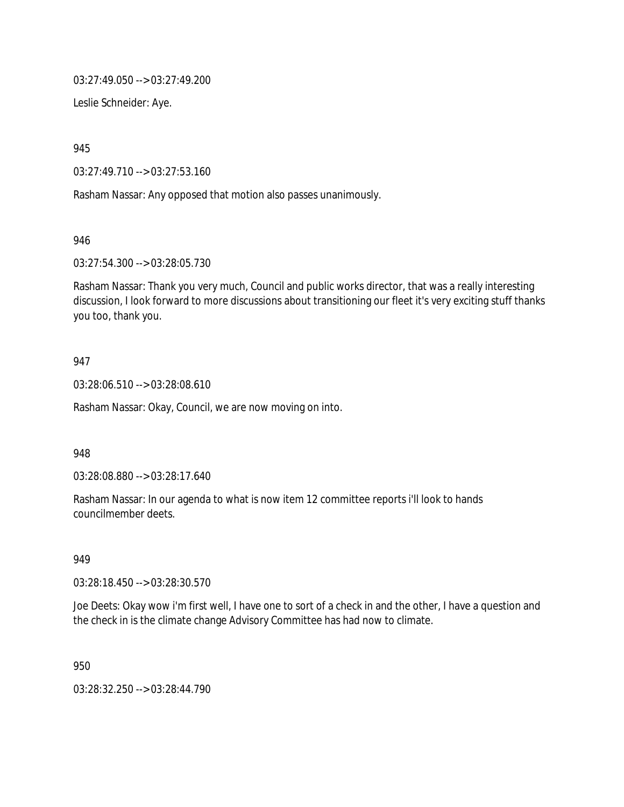03:27:49.050 --> 03:27:49.200

Leslie Schneider: Aye.

945

03:27:49.710 --> 03:27:53.160

Rasham Nassar: Any opposed that motion also passes unanimously.

946

03:27:54.300 --> 03:28:05.730

Rasham Nassar: Thank you very much, Council and public works director, that was a really interesting discussion, I look forward to more discussions about transitioning our fleet it's very exciting stuff thanks you too, thank you.

### 947

03:28:06.510 --> 03:28:08.610

Rasham Nassar: Okay, Council, we are now moving on into.

948

03:28:08.880 --> 03:28:17.640

Rasham Nassar: In our agenda to what is now item 12 committee reports i'll look to hands councilmember deets.

949

03:28:18.450 --> 03:28:30.570

Joe Deets: Okay wow i'm first well, I have one to sort of a check in and the other, I have a question and the check in is the climate change Advisory Committee has had now to climate.

950

03:28:32.250 --> 03:28:44.790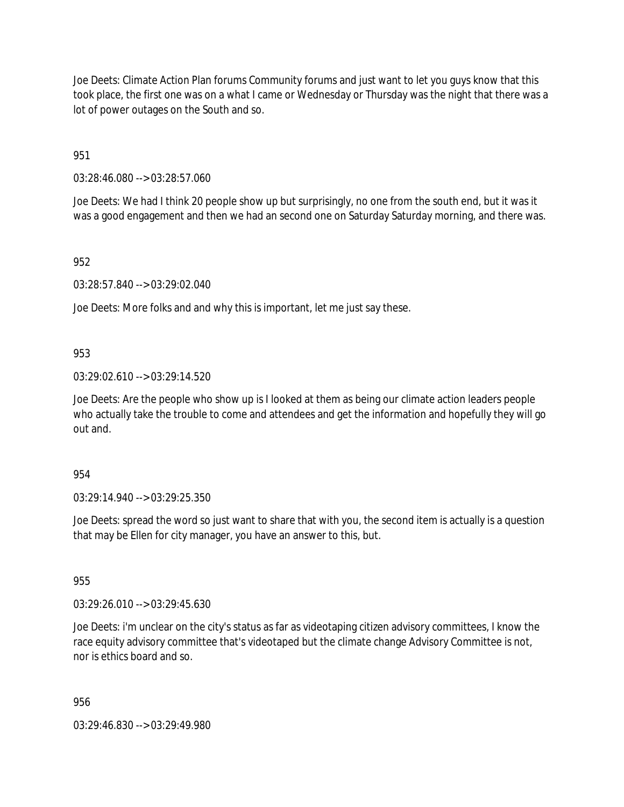Joe Deets: Climate Action Plan forums Community forums and just want to let you guys know that this took place, the first one was on a what I came or Wednesday or Thursday was the night that there was a lot of power outages on the South and so.

951

03:28:46.080 --> 03:28:57.060

Joe Deets: We had I think 20 people show up but surprisingly, no one from the south end, but it was it was a good engagement and then we had an second one on Saturday Saturday morning, and there was.

952

03:28:57.840 --> 03:29:02.040

Joe Deets: More folks and and why this is important, let me just say these.

953

03:29:02.610 --> 03:29:14.520

Joe Deets: Are the people who show up is I looked at them as being our climate action leaders people who actually take the trouble to come and attendees and get the information and hopefully they will go out and.

954

03:29:14.940 --> 03:29:25.350

Joe Deets: spread the word so just want to share that with you, the second item is actually is a question that may be Ellen for city manager, you have an answer to this, but.

955

03:29:26.010 --> 03:29:45.630

Joe Deets: i'm unclear on the city's status as far as videotaping citizen advisory committees, I know the race equity advisory committee that's videotaped but the climate change Advisory Committee is not, nor is ethics board and so.

956

03:29:46.830 --> 03:29:49.980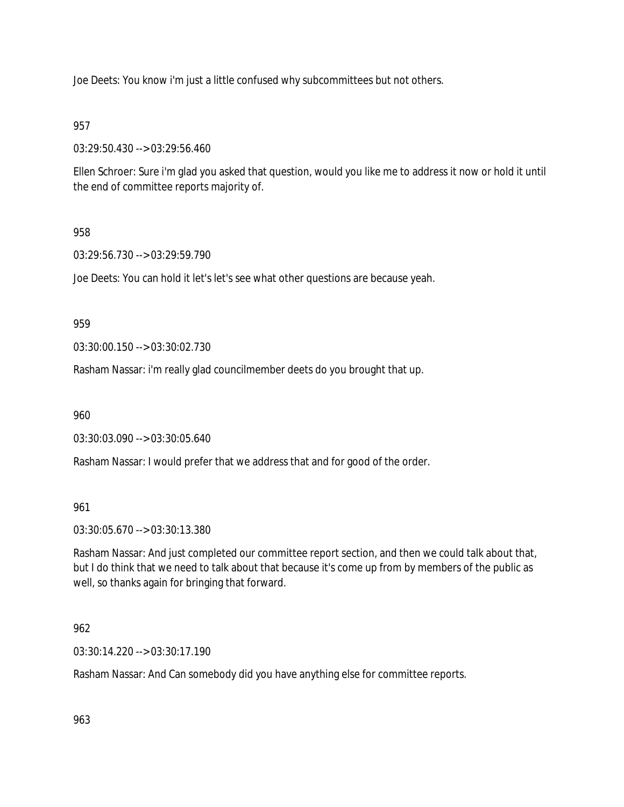Joe Deets: You know i'm just a little confused why subcommittees but not others.

# 957

03:29:50.430 --> 03:29:56.460

Ellen Schroer: Sure i'm glad you asked that question, would you like me to address it now or hold it until the end of committee reports majority of.

# 958

03:29:56.730 --> 03:29:59.790

Joe Deets: You can hold it let's let's see what other questions are because yeah.

959

03:30:00.150 --> 03:30:02.730

Rasham Nassar: i'm really glad councilmember deets do you brought that up.

960

03:30:03.090 --> 03:30:05.640

Rasham Nassar: I would prefer that we address that and for good of the order.

961

03:30:05.670 --> 03:30:13.380

Rasham Nassar: And just completed our committee report section, and then we could talk about that, but I do think that we need to talk about that because it's come up from by members of the public as well, so thanks again for bringing that forward.

# 962

03:30:14.220 --> 03:30:17.190

Rasham Nassar: And Can somebody did you have anything else for committee reports.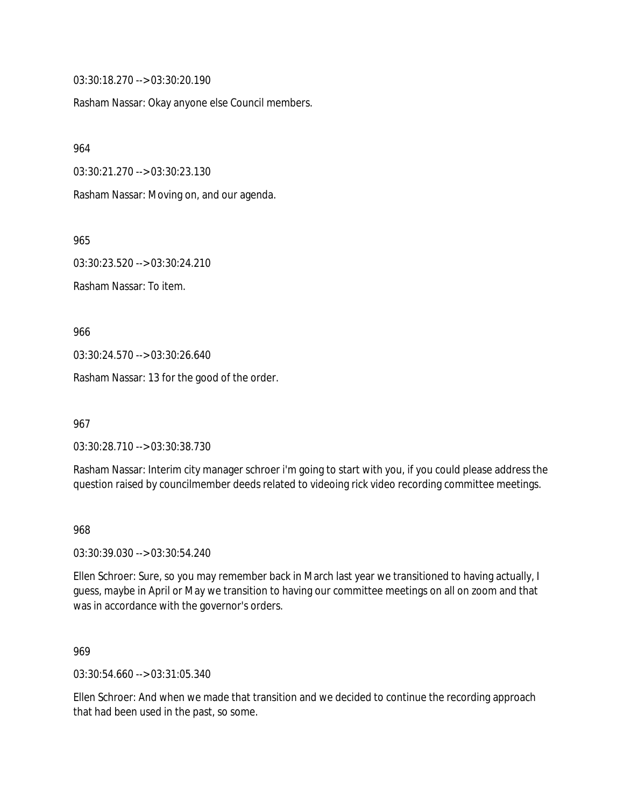03:30:18.270 --> 03:30:20.190

Rasham Nassar: Okay anyone else Council members.

964

03:30:21.270 --> 03:30:23.130

Rasham Nassar: Moving on, and our agenda.

965

03:30:23.520 --> 03:30:24.210

Rasham Nassar: To item.

966

03:30:24.570 --> 03:30:26.640

Rasham Nassar: 13 for the good of the order.

967

03:30:28.710 --> 03:30:38.730

Rasham Nassar: Interim city manager schroer i'm going to start with you, if you could please address the question raised by councilmember deeds related to videoing rick video recording committee meetings.

968

03:30:39.030 --> 03:30:54.240

Ellen Schroer: Sure, so you may remember back in March last year we transitioned to having actually, I guess, maybe in April or May we transition to having our committee meetings on all on zoom and that was in accordance with the governor's orders.

969

03:30:54.660 --> 03:31:05.340

Ellen Schroer: And when we made that transition and we decided to continue the recording approach that had been used in the past, so some.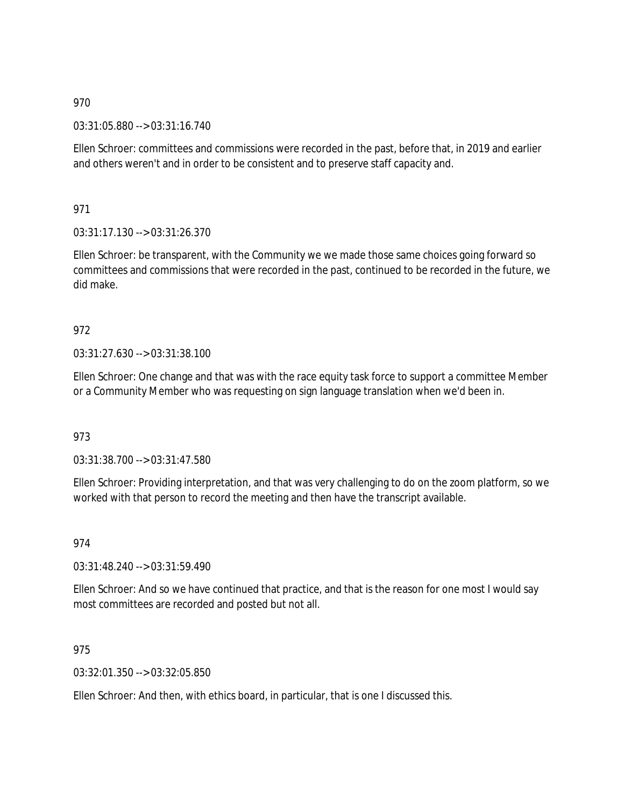03:31:05.880 --> 03:31:16.740

Ellen Schroer: committees and commissions were recorded in the past, before that, in 2019 and earlier and others weren't and in order to be consistent and to preserve staff capacity and.

971

03:31:17.130 --> 03:31:26.370

Ellen Schroer: be transparent, with the Community we we made those same choices going forward so committees and commissions that were recorded in the past, continued to be recorded in the future, we did make.

# 972

03:31:27.630 --> 03:31:38.100

Ellen Schroer: One change and that was with the race equity task force to support a committee Member or a Community Member who was requesting on sign language translation when we'd been in.

## 973

03:31:38.700 --> 03:31:47.580

Ellen Schroer: Providing interpretation, and that was very challenging to do on the zoom platform, so we worked with that person to record the meeting and then have the transcript available.

974

03:31:48.240 --> 03:31:59.490

Ellen Schroer: And so we have continued that practice, and that is the reason for one most I would say most committees are recorded and posted but not all.

## 975

03:32:01.350 --> 03:32:05.850

Ellen Schroer: And then, with ethics board, in particular, that is one I discussed this.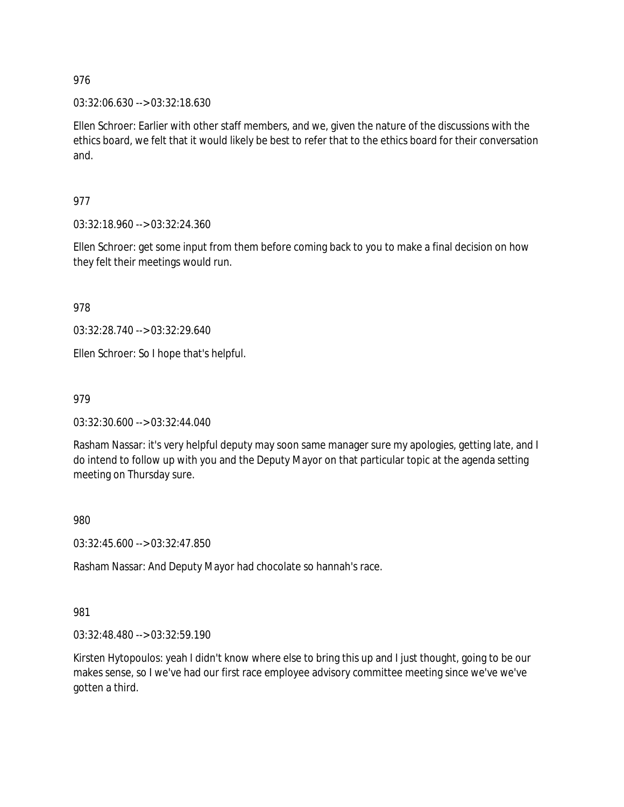03:32:06.630 --> 03:32:18.630

Ellen Schroer: Earlier with other staff members, and we, given the nature of the discussions with the ethics board, we felt that it would likely be best to refer that to the ethics board for their conversation and.

977

03:32:18.960 --> 03:32:24.360

Ellen Schroer: get some input from them before coming back to you to make a final decision on how they felt their meetings would run.

978

03:32:28.740 --> 03:32:29.640

Ellen Schroer: So I hope that's helpful.

979

03:32:30.600 --> 03:32:44.040

Rasham Nassar: it's very helpful deputy may soon same manager sure my apologies, getting late, and I do intend to follow up with you and the Deputy Mayor on that particular topic at the agenda setting meeting on Thursday sure.

980

03:32:45.600 --> 03:32:47.850

Rasham Nassar: And Deputy Mayor had chocolate so hannah's race.

981

03:32:48.480 --> 03:32:59.190

Kirsten Hytopoulos: yeah I didn't know where else to bring this up and I just thought, going to be our makes sense, so I we've had our first race employee advisory committee meeting since we've we've gotten a third.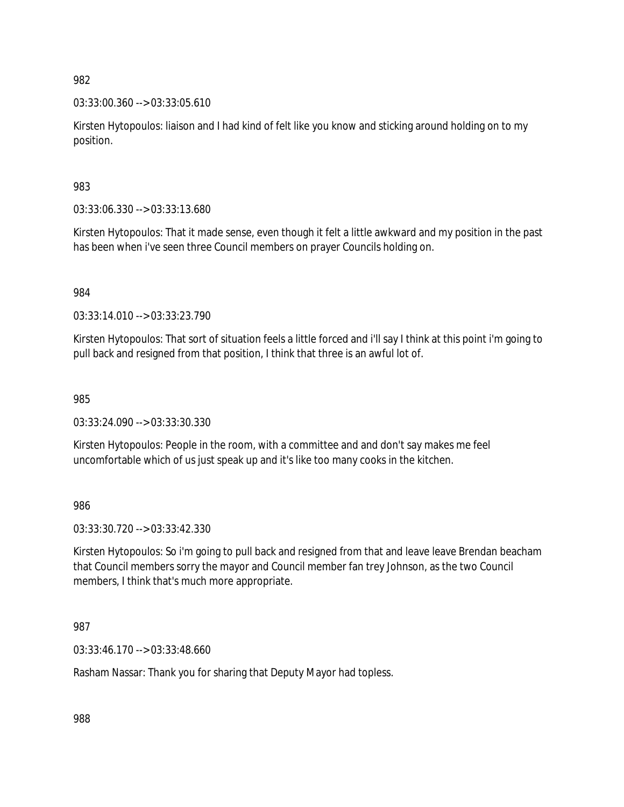03:33:00.360 --> 03:33:05.610

Kirsten Hytopoulos: liaison and I had kind of felt like you know and sticking around holding on to my position.

983

03:33:06.330 --> 03:33:13.680

Kirsten Hytopoulos: That it made sense, even though it felt a little awkward and my position in the past has been when i've seen three Council members on prayer Councils holding on.

984

03:33:14.010 --> 03:33:23.790

Kirsten Hytopoulos: That sort of situation feels a little forced and i'll say I think at this point i'm going to pull back and resigned from that position, I think that three is an awful lot of.

985

03:33:24.090 --> 03:33:30.330

Kirsten Hytopoulos: People in the room, with a committee and and don't say makes me feel uncomfortable which of us just speak up and it's like too many cooks in the kitchen.

986

03:33:30.720 --> 03:33:42.330

Kirsten Hytopoulos: So i'm going to pull back and resigned from that and leave leave Brendan beacham that Council members sorry the mayor and Council member fan trey Johnson, as the two Council members, I think that's much more appropriate.

987

03:33:46.170 --> 03:33:48.660

Rasham Nassar: Thank you for sharing that Deputy Mayor had topless.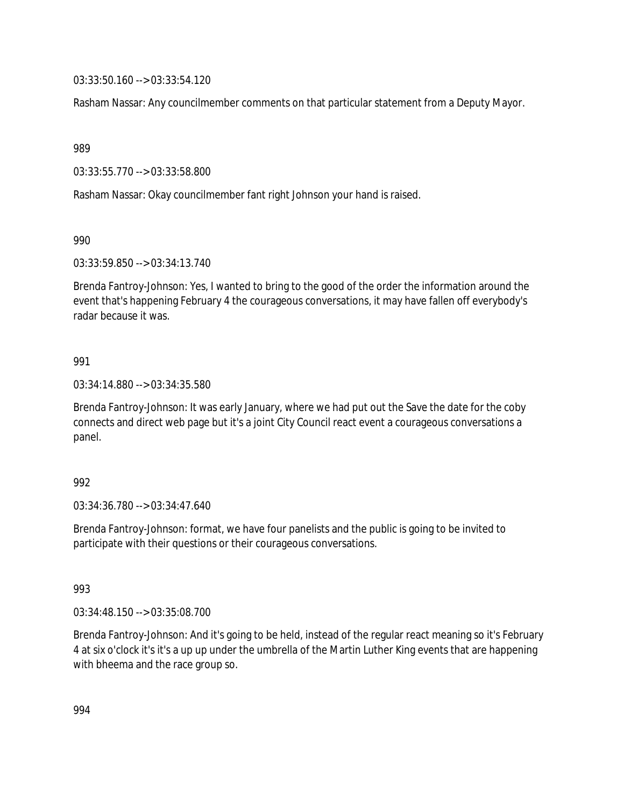03:33:50.160 --> 03:33:54.120

Rasham Nassar: Any councilmember comments on that particular statement from a Deputy Mayor.

989

03:33:55.770 --> 03:33:58.800

Rasham Nassar: Okay councilmember fant right Johnson your hand is raised.

990

03:33:59.850 --> 03:34:13.740

Brenda Fantroy-Johnson: Yes, I wanted to bring to the good of the order the information around the event that's happening February 4 the courageous conversations, it may have fallen off everybody's radar because it was.

### 991

03:34:14.880 --> 03:34:35.580

Brenda Fantroy-Johnson: It was early January, where we had put out the Save the date for the coby connects and direct web page but it's a joint City Council react event a courageous conversations a panel.

#### 992

03:34:36.780 --> 03:34:47.640

Brenda Fantroy-Johnson: format, we have four panelists and the public is going to be invited to participate with their questions or their courageous conversations.

#### 993

03:34:48.150 --> 03:35:08.700

Brenda Fantroy-Johnson: And it's going to be held, instead of the regular react meaning so it's February 4 at six o'clock it's it's a up up under the umbrella of the Martin Luther King events that are happening with bheema and the race group so.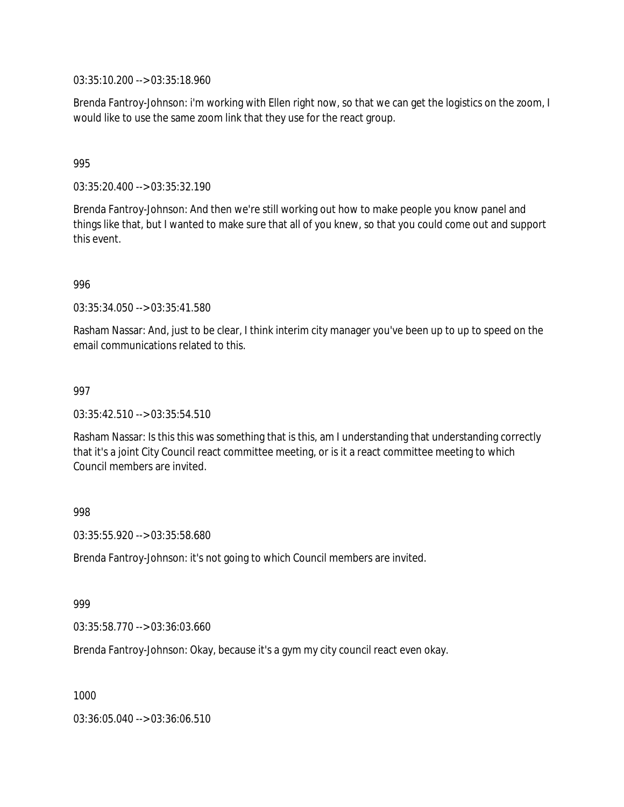03:35:10.200 --> 03:35:18.960

Brenda Fantroy-Johnson: i'm working with Ellen right now, so that we can get the logistics on the zoom, I would like to use the same zoom link that they use for the react group.

### 995

03:35:20.400 --> 03:35:32.190

Brenda Fantroy-Johnson: And then we're still working out how to make people you know panel and things like that, but I wanted to make sure that all of you knew, so that you could come out and support this event.

996

03:35:34.050 --> 03:35:41.580

Rasham Nassar: And, just to be clear, I think interim city manager you've been up to up to speed on the email communications related to this.

997

03:35:42.510 --> 03:35:54.510

Rasham Nassar: Is this this was something that is this, am I understanding that understanding correctly that it's a joint City Council react committee meeting, or is it a react committee meeting to which Council members are invited.

998

03:35:55.920 --> 03:35:58.680

Brenda Fantroy-Johnson: it's not going to which Council members are invited.

999

03:35:58.770 --> 03:36:03.660

Brenda Fantroy-Johnson: Okay, because it's a gym my city council react even okay.

1000

03:36:05.040 --> 03:36:06.510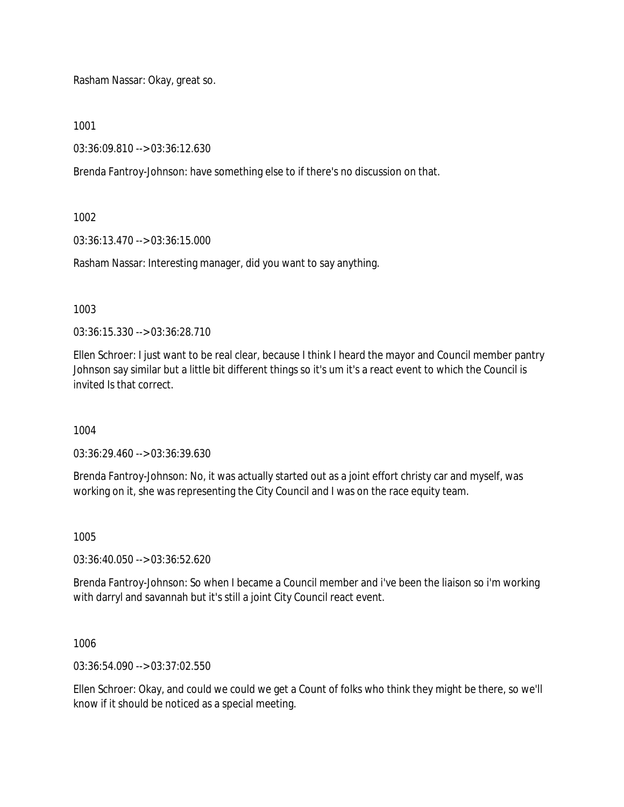Rasham Nassar: Okay, great so.

1001

03:36:09.810 --> 03:36:12.630

Brenda Fantroy-Johnson: have something else to if there's no discussion on that.

1002

03:36:13.470 --> 03:36:15.000

Rasham Nassar: Interesting manager, did you want to say anything.

1003

03:36:15.330 --> 03:36:28.710

Ellen Schroer: I just want to be real clear, because I think I heard the mayor and Council member pantry Johnson say similar but a little bit different things so it's um it's a react event to which the Council is invited Is that correct.

1004

03:36:29.460 --> 03:36:39.630

Brenda Fantroy-Johnson: No, it was actually started out as a joint effort christy car and myself, was working on it, she was representing the City Council and I was on the race equity team.

1005

03:36:40.050 --> 03:36:52.620

Brenda Fantroy-Johnson: So when I became a Council member and i've been the liaison so i'm working with darryl and savannah but it's still a joint City Council react event.

1006

03:36:54.090 --> 03:37:02.550

Ellen Schroer: Okay, and could we could we get a Count of folks who think they might be there, so we'll know if it should be noticed as a special meeting.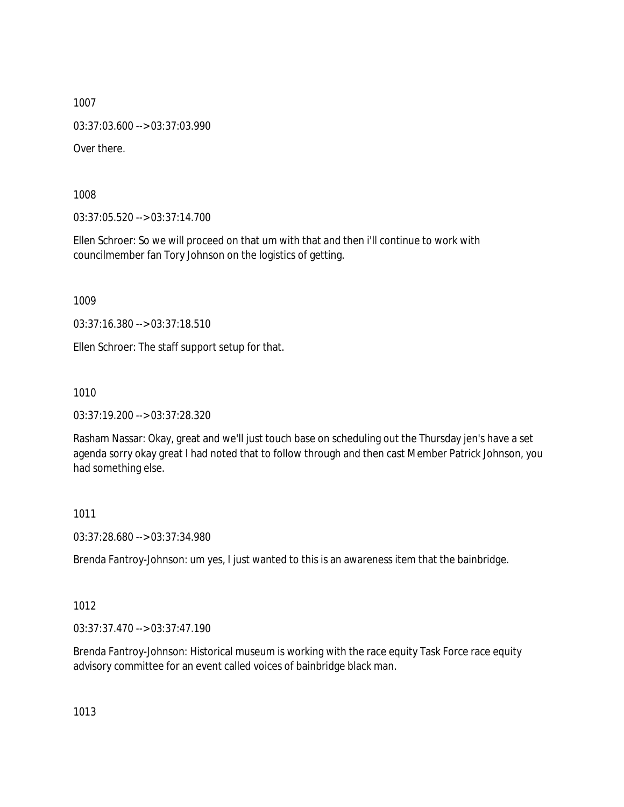03:37:03.600 --> 03:37:03.990

Over there.

1008

03:37:05.520 --> 03:37:14.700

Ellen Schroer: So we will proceed on that um with that and then i'll continue to work with councilmember fan Tory Johnson on the logistics of getting.

1009

03:37:16.380 --> 03:37:18.510

Ellen Schroer: The staff support setup for that.

1010

03:37:19.200 --> 03:37:28.320

Rasham Nassar: Okay, great and we'll just touch base on scheduling out the Thursday jen's have a set agenda sorry okay great I had noted that to follow through and then cast Member Patrick Johnson, you had something else.

1011

03:37:28.680 --> 03:37:34.980

Brenda Fantroy-Johnson: um yes, I just wanted to this is an awareness item that the bainbridge.

1012

03:37:37.470 --> 03:37:47.190

Brenda Fantroy-Johnson: Historical museum is working with the race equity Task Force race equity advisory committee for an event called voices of bainbridge black man.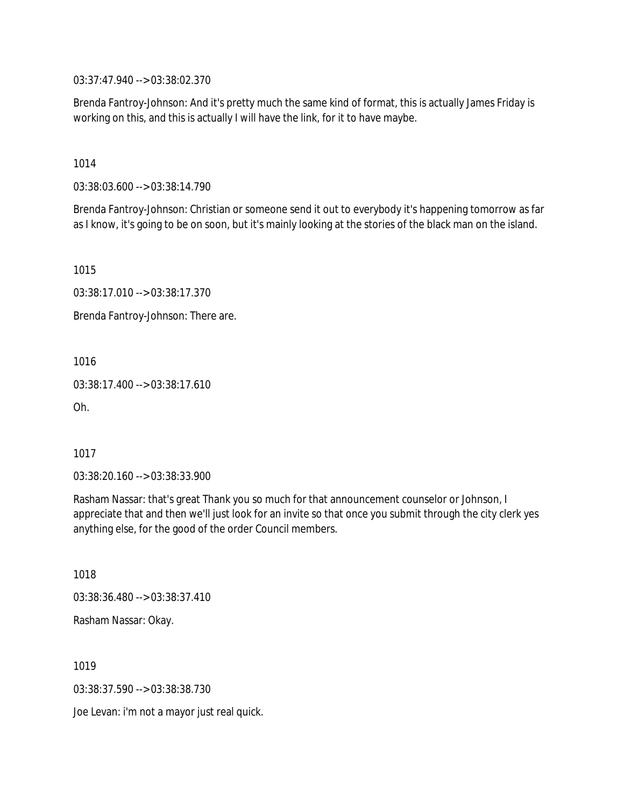03:37:47.940 --> 03:38:02.370

Brenda Fantroy-Johnson: And it's pretty much the same kind of format, this is actually James Friday is working on this, and this is actually I will have the link, for it to have maybe.

1014

03:38:03.600 --> 03:38:14.790

Brenda Fantroy-Johnson: Christian or someone send it out to everybody it's happening tomorrow as far as I know, it's going to be on soon, but it's mainly looking at the stories of the black man on the island.

1015

03:38:17.010 --> 03:38:17.370

Brenda Fantroy-Johnson: There are.

1016

03:38:17.400 --> 03:38:17.610

Oh.

1017

03:38:20.160 --> 03:38:33.900

Rasham Nassar: that's great Thank you so much for that announcement counselor or Johnson, I appreciate that and then we'll just look for an invite so that once you submit through the city clerk yes anything else, for the good of the order Council members.

1018 03:38:36.480 --> 03:38:37.410

Rasham Nassar: Okay.

1019

03:38:37.590 --> 03:38:38.730

Joe Levan: i'm not a mayor just real quick.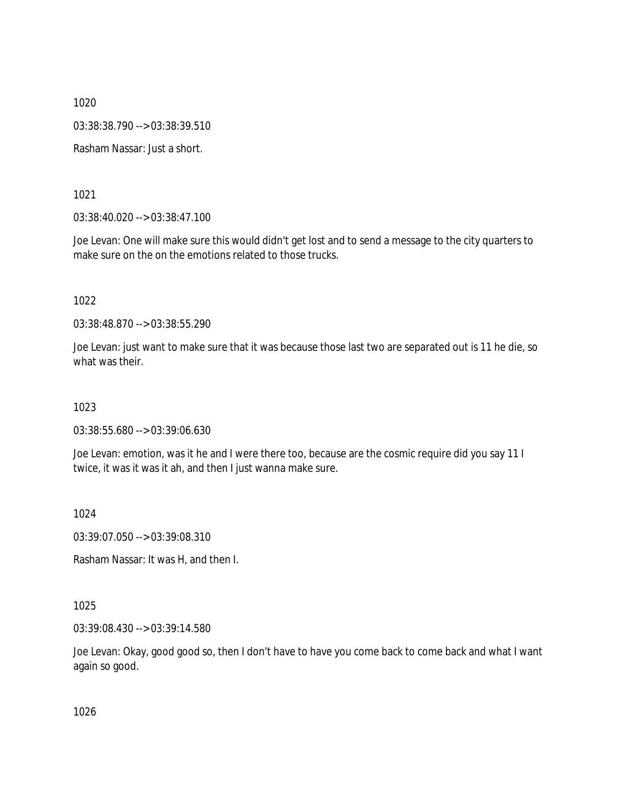03:38:38.790 --> 03:38:39.510

Rasham Nassar: Just a short.

1021

03:38:40.020 --> 03:38:47.100

Joe Levan: One will make sure this would didn't get lost and to send a message to the city quarters to make sure on the on the emotions related to those trucks.

1022

03:38:48.870 --> 03:38:55.290

Joe Levan: just want to make sure that it was because those last two are separated out is 11 he die, so what was their

1023

03:38:55.680 --> 03:39:06.630

Joe Levan: emotion, was it he and I were there too, because are the cosmic require did you say 11 I twice, it was it was it ah, and then I just wanna make sure.

1024

03:39:07.050 --> 03:39:08.310

Rasham Nassar: It was H, and then I.

1025

03:39:08.430 --> 03:39:14.580

Joe Levan: Okay, good good so, then I don't have to have you come back to come back and what I want again so good.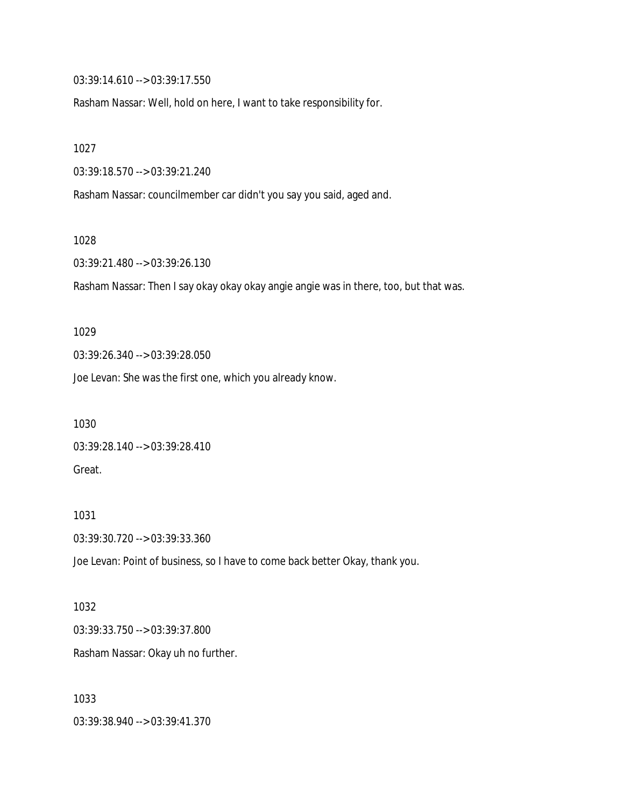03:39:14.610 --> 03:39:17.550

Rasham Nassar: Well, hold on here, I want to take responsibility for.

1027

03:39:18.570 --> 03:39:21.240

Rasham Nassar: councilmember car didn't you say you said, aged and.

1028

03:39:21.480 --> 03:39:26.130

Rasham Nassar: Then I say okay okay okay angie angie was in there, too, but that was.

1029

03:39:26.340 --> 03:39:28.050

Joe Levan: She was the first one, which you already know.

1030 03:39:28.140 --> 03:39:28.410 Great.

1031 03:39:30.720 --> 03:39:33.360

Joe Levan: Point of business, so I have to come back better Okay, thank you.

1032 03:39:33.750 --> 03:39:37.800 Rasham Nassar: Okay uh no further.

1033 03:39:38.940 --> 03:39:41.370